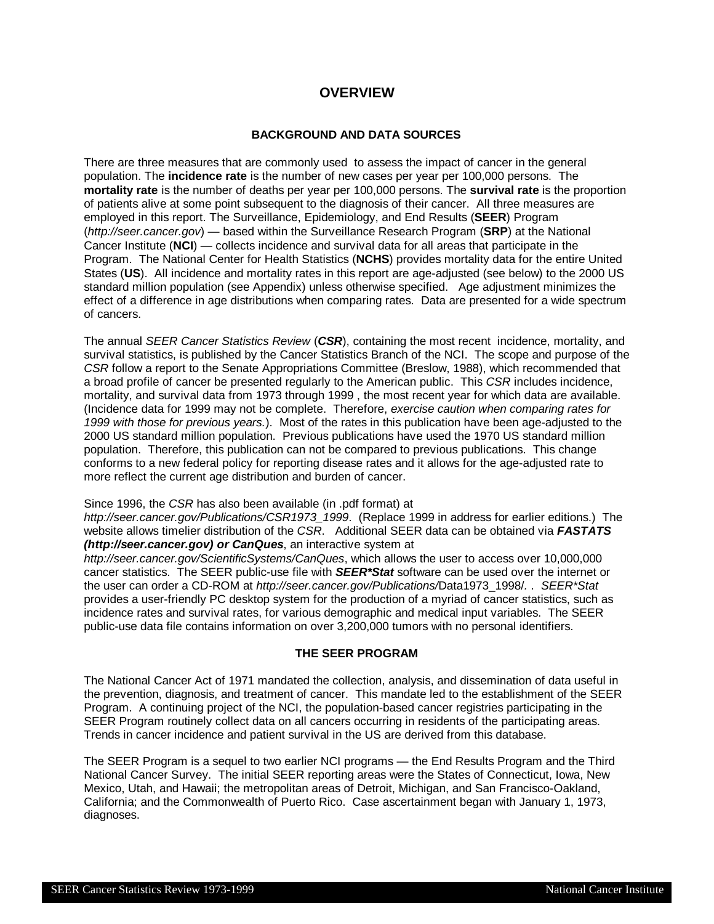## **OVERVIEW**

#### **BACKGROUND AND DATA SOURCES**

There are three measures that are commonly used to assess the impact of cancer in the general population. The **incidence rate** is the number of new cases per year per 100,000 persons. The **mortality rate** is the number of deaths per year per 100,000 persons. The **survival rate** is the proportion of patients alive at some point subsequent to the diagnosis of their cancer. All three measures are employed in this report. The Surveillance, Epidemiology, and End Results (**SEER**) Program (*http://seer.cancer.gov*) — based within the Surveillance Research Program (**SRP**) at the National Cancer Institute (**NCI**) — collects incidence and survival data for all areas that participate in the Program. The National Center for Health Statistics (**NCHS**) provides mortality data for the entire United States (**US**). All incidence and mortality rates in this report are age-adjusted (see below) to the 2000 US standard million population (see Appendix) unless otherwise specified. Age adjustment minimizes the effect of a difference in age distributions when comparing rates. Data are presented for a wide spectrum of cancers.

The annual *SEER Cancer Statistics Review* (*CSR*), containing the most recent incidence, mortality, and survival statistics, is published by the Cancer Statistics Branch of the NCI. The scope and purpose of the *CSR* follow a report to the Senate Appropriations Committee (Breslow, 1988), which recommended that a broad profile of cancer be presented regularly to the American public. This *CSR* includes incidence, mortality, and survival data from 1973 through 1999 , the most recent year for which data are available. (Incidence data for 1999 may not be complete. Therefore, *exercise caution when comparing rates for 1999 with those for previous years.*). Most of the rates in this publication have been age-adjusted to the 2000 US standard million population. Previous publications have used the 1970 US standard million population. Therefore, this publication can not be compared to previous publications. This change conforms to a new federal policy for reporting disease rates and it allows for the age-adjusted rate to more reflect the current age distribution and burden of cancer.

#### Since 1996, the *CSR* has also been available (in .pdf format) at

*http://seer.cancer.gov/Publications/CSR1973\_1999*. (Replace 1999 in address for earlier editions.) The website allows timelier distribution of the *CSR*. Additional SEER data can be obtained via *FASTATS (http://seer.cancer.gov) or CanQues*, an interactive system at

*http://seer.cancer.gov/ScientificSystems/CanQues*, which allows the user to access over 10,000,000 cancer statistics. The SEER public-use file with *SEER\*Stat* software can be used over the internet or the user can order a CD-ROM at *http://seer.cancer.gov/Publications/*Data1973\_1998/*.* . *SEER\*Stat* provides a user-friendly PC desktop system for the production of a myriad of cancer statistics, such as incidence rates and survival rates, for various demographic and medical input variables. The SEER public-use data file contains information on over 3,200,000 tumors with no personal identifiers.

#### **THE SEER PROGRAM**

The National Cancer Act of 1971 mandated the collection, analysis, and dissemination of data useful in the prevention, diagnosis, and treatment of cancer. This mandate led to the establishment of the SEER Program. A continuing project of the NCI, the population-based cancer registries participating in the SEER Program routinely collect data on all cancers occurring in residents of the participating areas. Trends in cancer incidence and patient survival in the US are derived from this database.

The SEER Program is a sequel to two earlier NCI programs — the End Results Program and the Third National Cancer Survey. The initial SEER reporting areas were the States of Connecticut, Iowa, New Mexico, Utah, and Hawaii; the metropolitan areas of Detroit, Michigan, and San Francisco-Oakland, California; and the Commonwealth of Puerto Rico. Case ascertainment began with January 1, 1973, diagnoses.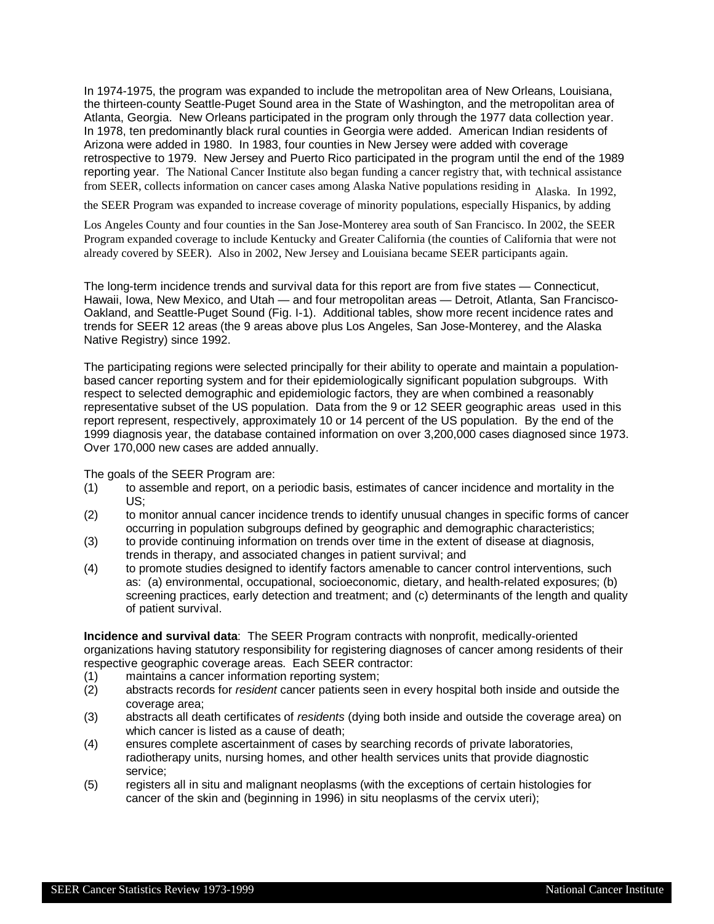In 1974-1975, the program was expanded to include the metropolitan area of New Orleans, Louisiana, the thirteen-county Seattle-Puget Sound area in the State of Washington, and the metropolitan area of Atlanta, Georgia. New Orleans participated in the program only through the 1977 data collection year. In 1978, ten predominantly black rural counties in Georgia were added. American Indian residents of Arizona were added in 1980. In 1983, four counties in New Jersey were added with coverage retrospective to 1979. New Jersey and Puerto Rico participated in the program until the end of the 1989 reporting year. The National Cancer Institute also began funding a cancer registry that, with technical assistance from SEER, collects information on cancer cases among Alaska Native populations residing in Alaska. In 1992,

the SEER Program was expanded to increase coverage of minority populations, especially Hispanics, by adding

Los Angeles County and four counties in the San Jose-Monterey area south of San Francisco. In 2002, the SEER Program expanded coverage to include Kentucky and Greater California (the counties of California that were not already covered by SEER). Also in 2002, New Jersey and Louisiana became SEER participants again.

The long-term incidence trends and survival data for this report are from five states — Connecticut, Hawaii, Iowa, New Mexico, and Utah — and four metropolitan areas — Detroit, Atlanta, San Francisco-Oakland, and Seattle-Puget Sound (Fig. I-1). Additional tables, show more recent incidence rates and trends for SEER 12 areas (the 9 areas above plus Los Angeles, San Jose-Monterey, and the Alaska Native Registry) since 1992.

The participating regions were selected principally for their ability to operate and maintain a populationbased cancer reporting system and for their epidemiologically significant population subgroups. With respect to selected demographic and epidemiologic factors, they are when combined a reasonably representative subset of the US population. Data from the 9 or 12 SEER geographic areas used in this report represent, respectively, approximately 10 or 14 percent of the US population. By the end of the 1999 diagnosis year, the database contained information on over 3,200,000 cases diagnosed since 1973. Over 170,000 new cases are added annually.

The goals of the SEER Program are:

- (1) to assemble and report, on a periodic basis, estimates of cancer incidence and mortality in the US;
- (2) to monitor annual cancer incidence trends to identify unusual changes in specific forms of cancer occurring in population subgroups defined by geographic and demographic characteristics;
- (3) to provide continuing information on trends over time in the extent of disease at diagnosis, trends in therapy, and associated changes in patient survival; and
- (4) to promote studies designed to identify factors amenable to cancer control interventions, such as: (a) environmental, occupational, socioeconomic, dietary, and health-related exposures; (b) screening practices, early detection and treatment; and (c) determinants of the length and quality of patient survival.

**Incidence and survival data**: The SEER Program contracts with nonprofit, medically-oriented organizations having statutory responsibility for registering diagnoses of cancer among residents of their respective geographic coverage areas. Each SEER contractor:

- (1) maintains a cancer information reporting system;
- (2) abstracts records for *resident* cancer patients seen in every hospital both inside and outside the coverage area;
- (3) abstracts all death certificates of *residents* (dying both inside and outside the coverage area) on which cancer is listed as a cause of death;
- (4) ensures complete ascertainment of cases by searching records of private laboratories, radiotherapy units, nursing homes, and other health services units that provide diagnostic service;
- (5) registers all in situ and malignant neoplasms (with the exceptions of certain histologies for cancer of the skin and (beginning in 1996) in situ neoplasms of the cervix uteri);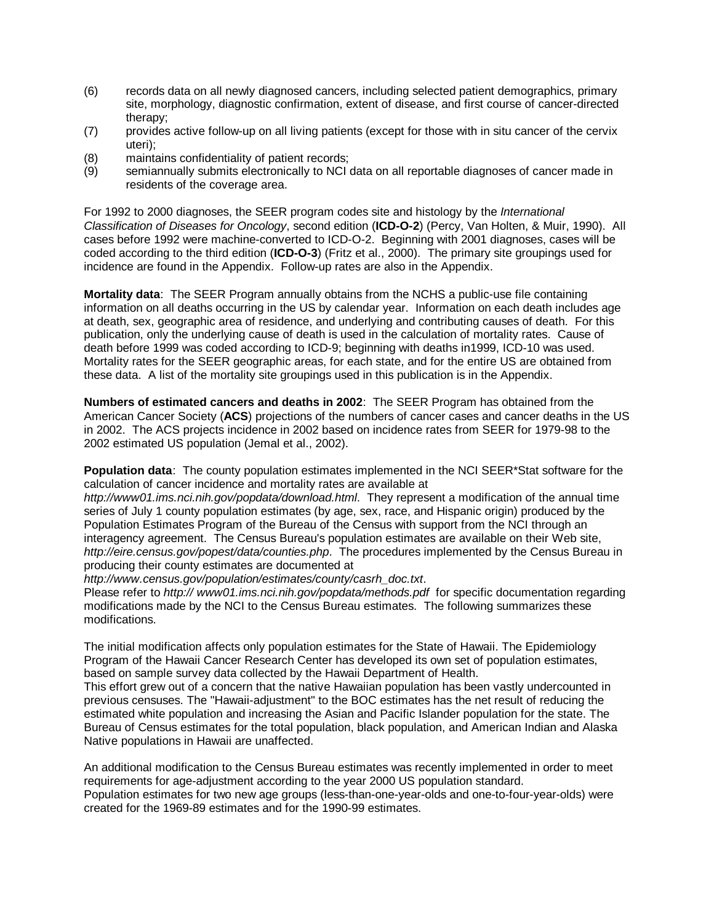- (6) records data on all newly diagnosed cancers, including selected patient demographics, primary site, morphology, diagnostic confirmation, extent of disease, and first course of cancer-directed therapy;
- (7) provides active follow-up on all living patients (except for those with in situ cancer of the cervix uteri);
- (8) maintains confidentiality of patient records;
- (9) semiannually submits electronically to NCI data on all reportable diagnoses of cancer made in residents of the coverage area.

For 1992 to 2000 diagnoses, the SEER program codes site and histology by the *International Classification of Diseases for Oncology*, second edition (**ICD-O-2**) (Percy, Van Holten, & Muir, 1990). All cases before 1992 were machine-converted to ICD-O-2. Beginning with 2001 diagnoses, cases will be coded according to the third edition (**ICD-O-3**) (Fritz et al., 2000). The primary site groupings used for incidence are found in the Appendix. Follow-up rates are also in the Appendix.

**Mortality data**: The SEER Program annually obtains from the NCHS a public-use file containing information on all deaths occurring in the US by calendar year. Information on each death includes age at death, sex, geographic area of residence, and underlying and contributing causes of death. For this publication, only the underlying cause of death is used in the calculation of mortality rates. Cause of death before 1999 was coded according to ICD-9; beginning with deaths in1999, ICD-10 was used. Mortality rates for the SEER geographic areas, for each state, and for the entire US are obtained from these data. A list of the mortality site groupings used in this publication is in the Appendix.

**Numbers of estimated cancers and deaths in 2002**: The SEER Program has obtained from the American Cancer Society (**ACS**) projections of the numbers of cancer cases and cancer deaths in the US in 2002. The ACS projects incidence in 2002 based on incidence rates from SEER for 1979-98 to the 2002 estimated US population (Jemal et al., 2002).

**Population data**: The county population estimates implemented in the NCI SEER\*Stat software for the calculation of cancer incidence and mortality rates are available at

*http://www01.ims.nci.nih.gov/popdata/download.html*. They represent a modification of the annual time series of July 1 county population estimates (by age, sex, race, and Hispanic origin) produced by the Population Estimates Program of the Bureau of the Census with support from the NCI through an interagency agreement. The Census Bureau's population estimates are available on their Web site, *http://eire.census.gov/popest/data/counties.php*. The procedures implemented by the Census Bureau in producing their county estimates are documented at

*http://www.census.gov/population/estimates/county/casrh\_doc.txt*.

Please refer to *http:// www01.ims.nci.nih.gov/popdata/methods.pdf* for specific documentation regarding modifications made by the NCI to the Census Bureau estimates. The following summarizes these modifications.

The initial modification affects only population estimates for the State of Hawaii. The Epidemiology Program of the Hawaii Cancer Research Center has developed its own set of population estimates, based on sample survey data collected by the Hawaii Department of Health.

This effort grew out of a concern that the native Hawaiian population has been vastly undercounted in previous censuses. The "Hawaii-adjustment" to the BOC estimates has the net result of reducing the estimated white population and increasing the Asian and Pacific Islander population for the state. The Bureau of Census estimates for the total population, black population, and American Indian and Alaska Native populations in Hawaii are unaffected.

An additional modification to the Census Bureau estimates was recently implemented in order to meet requirements for age-adjustment according to the year 2000 US population standard.

Population estimates for two new age groups (less-than-one-year-olds and one-to-four-year-olds) were created for the 1969-89 estimates and for the 1990-99 estimates.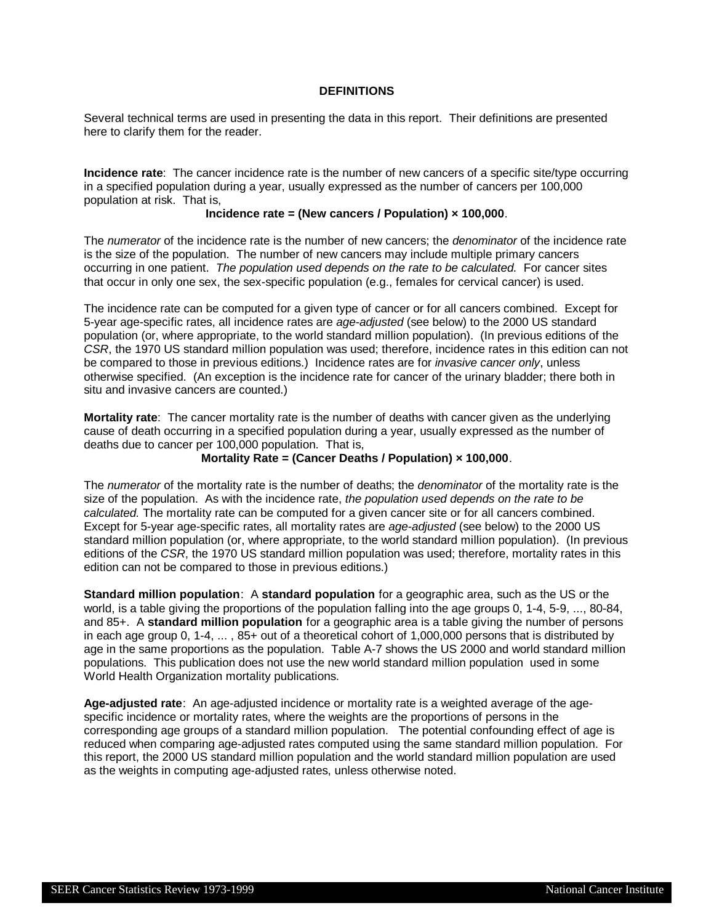#### **DEFINITIONS**

Several technical terms are used in presenting the data in this report. Their definitions are presented here to clarify them for the reader.

**Incidence rate**: The cancer incidence rate is the number of new cancers of a specific site/type occurring in a specified population during a year, usually expressed as the number of cancers per 100,000 population at risk. That is,

#### **Incidence rate = (New cancers / Population) × 100,000**.

The *numerator* of the incidence rate is the number of new cancers; the *denominator* of the incidence rate is the size of the population. The number of new cancers may include multiple primary cancers occurring in one patient. *The population used depends on the rate to be calculated.* For cancer sites that occur in only one sex, the sex-specific population (e.g., females for cervical cancer) is used.

The incidence rate can be computed for a given type of cancer or for all cancers combined. Except for 5-year age-specific rates, all incidence rates are *age-adjusted* (see below) to the 2000 US standard population (or, where appropriate, to the world standard million population). (In previous editions of the *CSR*, the 1970 US standard million population was used; therefore, incidence rates in this edition can not be compared to those in previous editions.) Incidence rates are for *invasive cancer only*, unless otherwise specified. (An exception is the incidence rate for cancer of the urinary bladder; there both in situ and invasive cancers are counted.)

**Mortality rate**: The cancer mortality rate is the number of deaths with cancer given as the underlying cause of death occurring in a specified population during a year, usually expressed as the number of deaths due to cancer per 100,000 population. That is,

#### **Mortality Rate = (Cancer Deaths / Population) × 100,000**.

The *numerator* of the mortality rate is the number of deaths; the *denominator* of the mortality rate is the size of the population. As with the incidence rate, *the population used depends on the rate to be calculated.* The mortality rate can be computed for a given cancer site or for all cancers combined. Except for 5-year age-specific rates, all mortality rates are *age-adjusted* (see below) to the 2000 US standard million population (or, where appropriate, to the world standard million population). (In previous editions of the *CSR*, the 1970 US standard million population was used; therefore, mortality rates in this edition can not be compared to those in previous editions.)

**Standard million population**: A **standard population** for a geographic area, such as the US or the world, is a table giving the proportions of the population falling into the age groups 0, 1-4, 5-9, ..., 80-84, and 85+. A **standard million population** for a geographic area is a table giving the number of persons in each age group 0, 1-4, ... , 85+ out of a theoretical cohort of 1,000,000 persons that is distributed by age in the same proportions as the population. Table A-7 shows the US 2000 and world standard million populations. This publication does not use the new world standard million population used in some World Health Organization mortality publications.

**Age-adjusted rate**: An age-adjusted incidence or mortality rate is a weighted average of the agespecific incidence or mortality rates, where the weights are the proportions of persons in the corresponding age groups of a standard million population. The potential confounding effect of age is reduced when comparing age-adjusted rates computed using the same standard million population. For this report, the 2000 US standard million population and the world standard million population are used as the weights in computing age-adjusted rates, unless otherwise noted.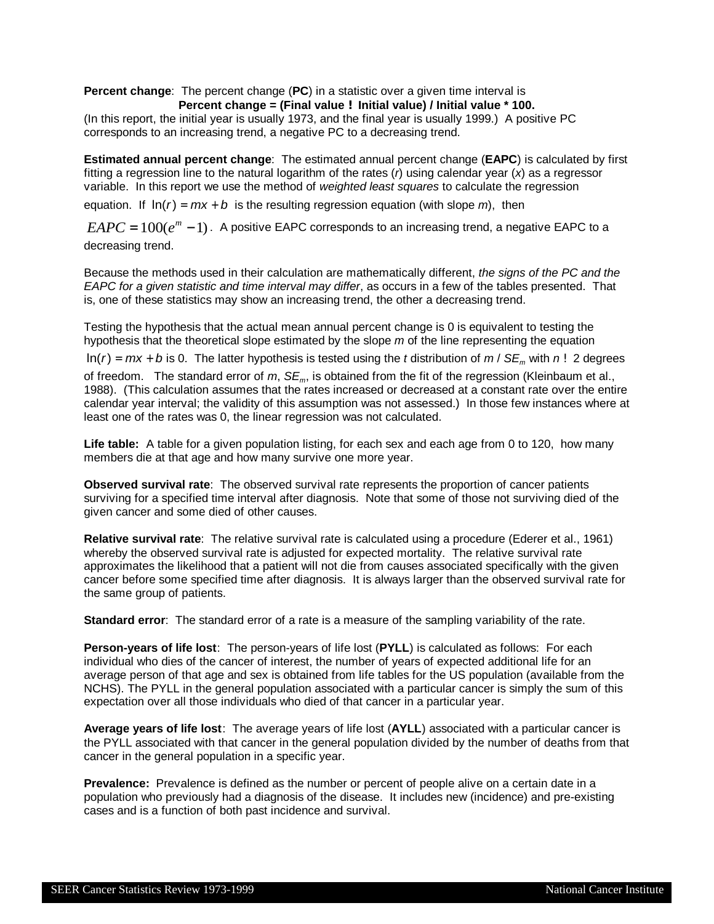**Percent change:** The percent change (PC) in a statistic over a given time interval is **Percent change = (Final value ! Initial value) / Initial value \* 100.**

(In this report, the initial year is usually 1973, and the final year is usually 1999.) A positive PC corresponds to an increasing trend, a negative PC to a decreasing trend.

**Estimated annual percent change**: The estimated annual percent change (**EAPC**) is calculated by first fitting a regression line to the natural logarithm of the rates (*r*) using calendar year (*x*) as a regressor variable. In this report we use the method of *weighted least squares* to calculate the regression

equation. If  $ln(r) = mx + b$  is the resulting regression equation (with slope *m*), then

 $EAPC = 100(e<sup>m</sup> - 1)$ . A positive EAPC corresponds to an increasing trend, a negative EAPC to a decreasing trend.

Because the methods used in their calculation are mathematically different, *the signs of the PC and the EAPC for a given statistic and time interval may differ*, as occurs in a few of the tables presented. That is, one of these statistics may show an increasing trend, the other a decreasing trend.

Testing the hypothesis that the actual mean annual percent change is 0 is equivalent to testing the hypothesis that the theoretical slope estimated by the slope *m* of the line representing the equation ln(*r*) = *mx* + *b* is 0. The latter hypothesis is tested using the *t* distribution of *m* / *SEm* with *n* ! 2 degrees of freedom. The standard error of *m*, *SEm*, is obtained from the fit of the regression (Kleinbaum et al., 1988). (This calculation assumes that the rates increased or decreased at a constant rate over the entire calendar year interval; the validity of this assumption was not assessed.) In those few instances where at least one of the rates was 0, the linear regression was not calculated.

**Life table:** A table for a given population listing, for each sex and each age from 0 to 120, how many members die at that age and how many survive one more year.

**Observed survival rate**: The observed survival rate represents the proportion of cancer patients surviving for a specified time interval after diagnosis. Note that some of those not surviving died of the given cancer and some died of other causes.

**Relative survival rate**: The relative survival rate is calculated using a procedure (Ederer et al., 1961) whereby the observed survival rate is adjusted for expected mortality. The relative survival rate approximates the likelihood that a patient will not die from causes associated specifically with the given cancer before some specified time after diagnosis. It is always larger than the observed survival rate for the same group of patients.

**Standard error**: The standard error of a rate is a measure of the sampling variability of the rate.

**Person-years of life lost**: The person-years of life lost (**PYLL**) is calculated as follows: For each individual who dies of the cancer of interest, the number of years of expected additional life for an average person of that age and sex is obtained from life tables for the US population (available from the NCHS). The PYLL in the general population associated with a particular cancer is simply the sum of this expectation over all those individuals who died of that cancer in a particular year.

**Average years of life lost**: The average years of life lost (**AYLL**) associated with a particular cancer is the PYLL associated with that cancer in the general population divided by the number of deaths from that cancer in the general population in a specific year.

**Prevalence:** Prevalence is defined as the number or percent of people alive on a certain date in a population who previously had a diagnosis of the disease. It includes new (incidence) and pre-existing cases and is a function of both past incidence and survival.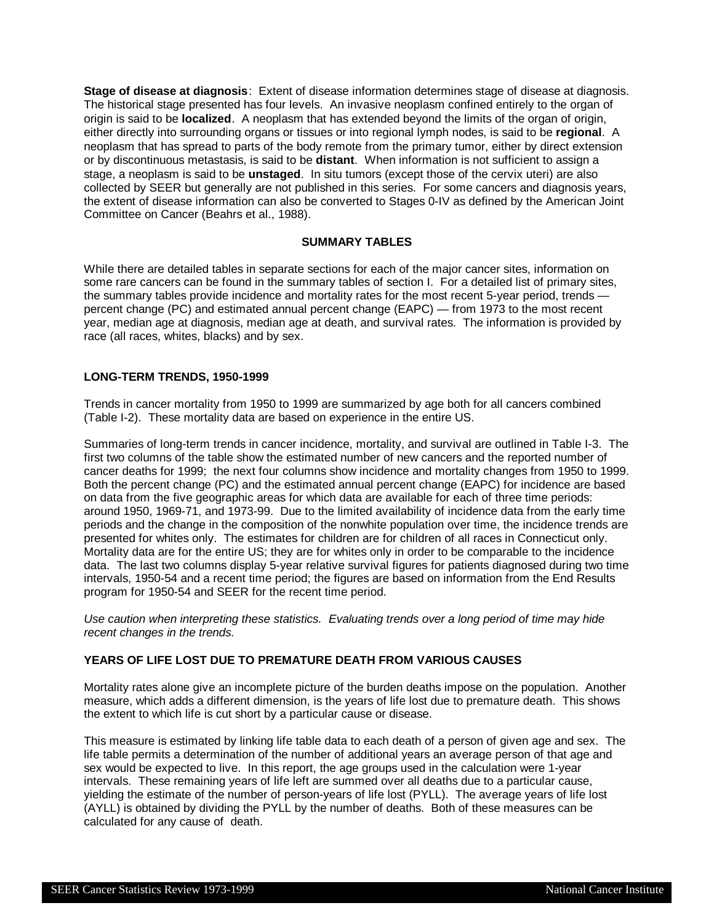**Stage of disease at diagnosis**: Extent of disease information determines stage of disease at diagnosis. The historical stage presented has four levels. An invasive neoplasm confined entirely to the organ of origin is said to be **localized**. A neoplasm that has extended beyond the limits of the organ of origin, either directly into surrounding organs or tissues or into regional lymph nodes, is said to be **regional**. A neoplasm that has spread to parts of the body remote from the primary tumor, either by direct extension or by discontinuous metastasis, is said to be **distant**. When information is not sufficient to assign a stage, a neoplasm is said to be **unstaged**. In situ tumors (except those of the cervix uteri) are also collected by SEER but generally are not published in this series. For some cancers and diagnosis years, the extent of disease information can also be converted to Stages 0-IV as defined by the American Joint Committee on Cancer (Beahrs et al., 1988).

#### **SUMMARY TABLES**

While there are detailed tables in separate sections for each of the major cancer sites, information on some rare cancers can be found in the summary tables of section I. For a detailed list of primary sites, the summary tables provide incidence and mortality rates for the most recent 5-year period, trends percent change (PC) and estimated annual percent change (EAPC) — from 1973 to the most recent year, median age at diagnosis, median age at death, and survival rates. The information is provided by race (all races, whites, blacks) and by sex.

#### **LONG-TERM TRENDS, 1950-1999**

Trends in cancer mortality from 1950 to 1999 are summarized by age both for all cancers combined (Table I-2). These mortality data are based on experience in the entire US.

Summaries of long-term trends in cancer incidence, mortality, and survival are outlined in Table I-3. The first two columns of the table show the estimated number of new cancers and the reported number of cancer deaths for 1999; the next four columns show incidence and mortality changes from 1950 to 1999. Both the percent change (PC) and the estimated annual percent change (EAPC) for incidence are based on data from the five geographic areas for which data are available for each of three time periods: around 1950, 1969-71, and 1973-99. Due to the limited availability of incidence data from the early time periods and the change in the composition of the nonwhite population over time, the incidence trends are presented for whites only. The estimates for children are for children of all races in Connecticut only. Mortality data are for the entire US; they are for whites only in order to be comparable to the incidence data. The last two columns display 5-year relative survival figures for patients diagnosed during two time intervals, 1950-54 and a recent time period; the figures are based on information from the End Results program for 1950-54 and SEER for the recent time period.

*Use caution when interpreting these statistics. Evaluating trends over a long period of time may hide recent changes in the trends.*

#### **YEARS OF LIFE LOST DUE TO PREMATURE DEATH FROM VARIOUS CAUSES**

Mortality rates alone give an incomplete picture of the burden deaths impose on the population. Another measure, which adds a different dimension, is the years of life lost due to premature death. This shows the extent to which life is cut short by a particular cause or disease.

This measure is estimated by linking life table data to each death of a person of given age and sex. The life table permits a determination of the number of additional years an average person of that age and sex would be expected to live. In this report, the age groups used in the calculation were 1-year intervals. These remaining years of life left are summed over all deaths due to a particular cause, yielding the estimate of the number of person-years of life lost (PYLL). The average years of life lost (AYLL) is obtained by dividing the PYLL by the number of deaths. Both of these measures can be calculated for any cause of death.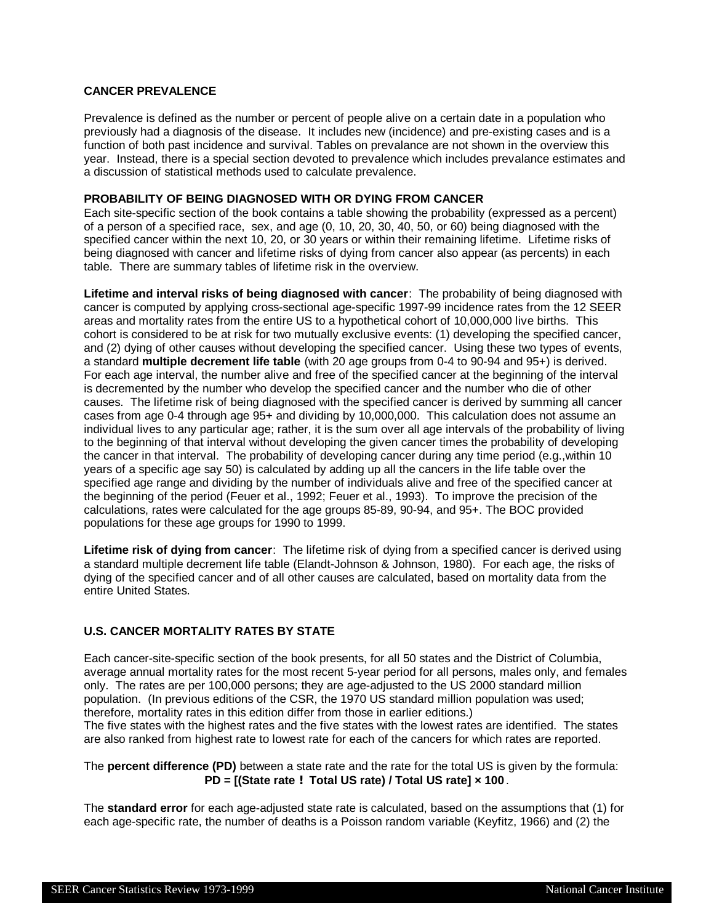#### **CANCER PREVALENCE**

Prevalence is defined as the number or percent of people alive on a certain date in a population who previously had a diagnosis of the disease. It includes new (incidence) and pre-existing cases and is a function of both past incidence and survival. Tables on prevalance are not shown in the overview this year. Instead, there is a special section devoted to prevalence which includes prevalance estimates and a discussion of statistical methods used to calculate prevalence.

## **PROBABILITY OF BEING DIAGNOSED WITH OR DYING FROM CANCER**

Each site-specific section of the book contains a table showing the probability (expressed as a percent) of a person of a specified race, sex, and age (0, 10, 20, 30, 40, 50, or 60) being diagnosed with the specified cancer within the next 10, 20, or 30 years or within their remaining lifetime. Lifetime risks of being diagnosed with cancer and lifetime risks of dying from cancer also appear (as percents) in each table. There are summary tables of lifetime risk in the overview.

**Lifetime and interval risks of being diagnosed with cancer**: The probability of being diagnosed with cancer is computed by applying cross-sectional age-specific 1997-99 incidence rates from the 12 SEER areas and mortality rates from the entire US to a hypothetical cohort of 10,000,000 live births. This cohort is considered to be at risk for two mutually exclusive events: (1) developing the specified cancer, and (2) dying of other causes without developing the specified cancer. Using these two types of events, a standard **multiple decrement life table** (with 20 age groups from 0-4 to 90-94 and 95+) is derived. For each age interval, the number alive and free of the specified cancer at the beginning of the interval is decremented by the number who develop the specified cancer and the number who die of other causes. The lifetime risk of being diagnosed with the specified cancer is derived by summing all cancer cases from age 0-4 through age 95+ and dividing by 10,000,000. This calculation does not assume an individual lives to any particular age; rather, it is the sum over all age intervals of the probability of living to the beginning of that interval without developing the given cancer times the probability of developing the cancer in that interval. The probability of developing cancer during any time period (e.g.,within 10 years of a specific age say 50) is calculated by adding up all the cancers in the life table over the specified age range and dividing by the number of individuals alive and free of the specified cancer at the beginning of the period (Feuer et al., 1992; Feuer et al., 1993). To improve the precision of the calculations, rates were calculated for the age groups 85-89, 90-94, and 95+. The BOC provided populations for these age groups for 1990 to 1999.

**Lifetime risk of dying from cancer**: The lifetime risk of dying from a specified cancer is derived using a standard multiple decrement life table (Elandt-Johnson & Johnson, 1980). For each age, the risks of dying of the specified cancer and of all other causes are calculated, based on mortality data from the entire United States.

## **U.S. CANCER MORTALITY RATES BY STATE**

Each cancer-site-specific section of the book presents, for all 50 states and the District of Columbia, average annual mortality rates for the most recent 5-year period for all persons, males only, and females only. The rates are per 100,000 persons; they are age-adjusted to the US 2000 standard million population. (In previous editions of the CSR, the 1970 US standard million population was used; therefore, mortality rates in this edition differ from those in earlier editions.) The five states with the highest rates and the five states with the lowest rates are identified. The states are also ranked from highest rate to lowest rate for each of the cancers for which rates are reported.

The **percent difference (PD)** between a state rate and the rate for the total US is given by the formula: **PD = [(State rate ! Total US rate) / Total US rate] × 100**.

The **standard error** for each age-adjusted state rate is calculated, based on the assumptions that (1) for each age-specific rate, the number of deaths is a Poisson random variable (Keyfitz, 1966) and (2) the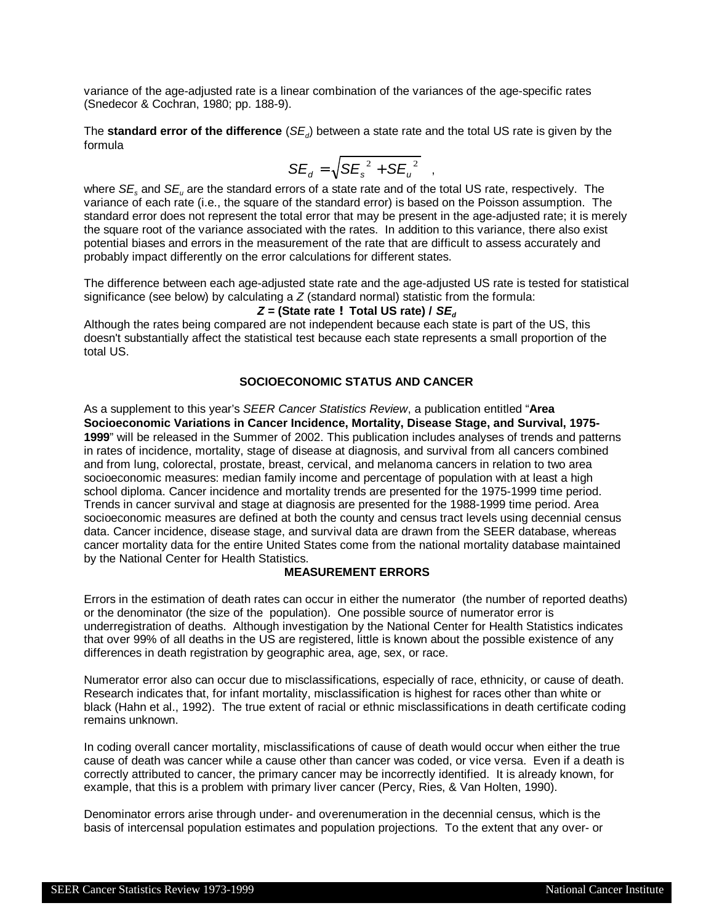variance of the age-adjusted rate is a linear combination of the variances of the age-specific rates (Snedecor & Cochran, 1980; pp. 188-9).

The **standard error of the difference** (*SE<sup>d</sup>* ) between a state rate and the total US rate is given by the formula

$$
SE_d = \sqrt{SE_s^2 + SE_u^2}
$$

where  $SE_{s}$  and  $SE_{u}$  are the standard errors of a state rate and of the total US rate, respectively. The variance of each rate (i.e., the square of the standard error) is based on the Poisson assumption. The standard error does not represent the total error that may be present in the age-adjusted rate; it is merely the square root of the variance associated with the rates. In addition to this variance, there also exist potential biases and errors in the measurement of the rate that are difficult to assess accurately and probably impact differently on the error calculations for different states.

The difference between each age-adjusted state rate and the age-adjusted US rate is tested for statistical significance (see below) by calculating a *Z* (standard normal) statistic from the formula:

#### *Z* **= (State rate ! Total US rate) /** *SE<sup>d</sup>*

Although the rates being compared are not independent because each state is part of the US, this doesn't substantially affect the statistical test because each state represents a small proportion of the total US.

#### **SOCIOECONOMIC STATUS AND CANCER**

As a supplement to this year's *SEER Cancer Statistics Review*, a publication entitled "**Area Socioeconomic Variations in Cancer Incidence, Mortality, Disease Stage, and Survival, 1975- 1999**" will be released in the Summer of 2002. This publication includes analyses of trends and patterns in rates of incidence, mortality, stage of disease at diagnosis, and survival from all cancers combined and from lung, colorectal, prostate, breast, cervical, and melanoma cancers in relation to two area socioeconomic measures: median family income and percentage of population with at least a high school diploma. Cancer incidence and mortality trends are presented for the 1975-1999 time period. Trends in cancer survival and stage at diagnosis are presented for the 1988-1999 time period. Area socioeconomic measures are defined at both the county and census tract levels using decennial census data. Cancer incidence, disease stage, and survival data are drawn from the SEER database, whereas cancer mortality data for the entire United States come from the national mortality database maintained by the National Center for Health Statistics.

#### **MEASUREMENT ERRORS**

Errors in the estimation of death rates can occur in either the numerator (the number of reported deaths) or the denominator (the size of the population). One possible source of numerator error is underregistration of deaths. Although investigation by the National Center for Health Statistics indicates that over 99% of all deaths in the US are registered, little is known about the possible existence of any differences in death registration by geographic area, age, sex, or race.

Numerator error also can occur due to misclassifications, especially of race, ethnicity, or cause of death. Research indicates that, for infant mortality, misclassification is highest for races other than white or black (Hahn et al., 1992). The true extent of racial or ethnic misclassifications in death certificate coding remains unknown.

In coding overall cancer mortality, misclassifications of cause of death would occur when either the true cause of death was cancer while a cause other than cancer was coded, or vice versa. Even if a death is correctly attributed to cancer, the primary cancer may be incorrectly identified. It is already known, for example, that this is a problem with primary liver cancer (Percy, Ries, & Van Holten, 1990).

Denominator errors arise through under- and overenumeration in the decennial census, which is the basis of intercensal population estimates and population projections. To the extent that any over- or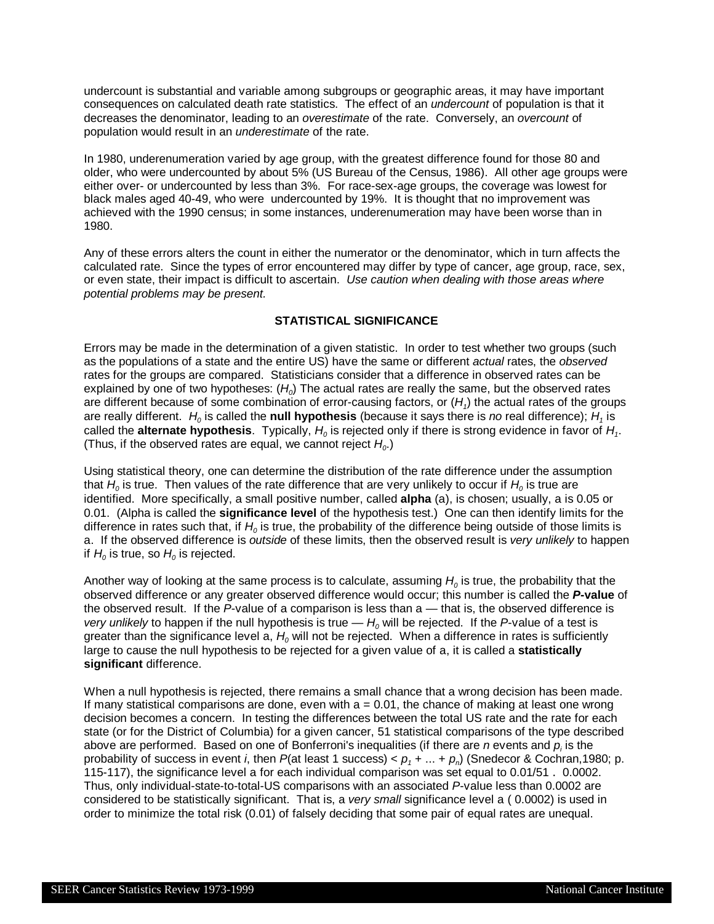undercount is substantial and variable among subgroups or geographic areas, it may have important consequences on calculated death rate statistics. The effect of an *undercount* of population is that it decreases the denominator, leading to an *overestimate* of the rate. Conversely, an *overcount* of population would result in an *underestimate* of the rate.

In 1980, underenumeration varied by age group, with the greatest difference found for those 80 and older, who were undercounted by about 5% (US Bureau of the Census, 1986). All other age groups were either over- or undercounted by less than 3%. For race-sex-age groups, the coverage was lowest for black males aged 40-49, who were undercounted by 19%. It is thought that no improvement was achieved with the 1990 census; in some instances, underenumeration may have been worse than in 1980.

Any of these errors alters the count in either the numerator or the denominator, which in turn affects the calculated rate. Since the types of error encountered may differ by type of cancer, age group, race, sex, or even state, their impact is difficult to ascertain. *Use caution when dealing with those areas where potential problems may be present.*

#### **STATISTICAL SIGNIFICANCE**

Errors may be made in the determination of a given statistic. In order to test whether two groups (such as the populations of a state and the entire US) have the same or different *actual* rates, the *observed* rates for the groups are compared. Statisticians consider that a difference in observed rates can be explained by one of two hypotheses: (H<sub>0</sub>) The actual rates are really the same, but the observed rates are different because of some combination of error-causing factors, or (*H<sup>1</sup>* ) the actual rates of the groups are really different.  $H_o$  is called the **null hypothesis** (because it says there is *no* real difference);  $H_i$  is called the **alternate hypothesis**. Typically,  $H_o$  is rejected only if there is strong evidence in favor of  $H_i$ . (Thus, if the observed rates are equal, we cannot reject *H<sup>0</sup>* .)

Using statistical theory, one can determine the distribution of the rate difference under the assumption that  $H_o$  is true. Then values of the rate difference that are very unlikely to occur if  $H_o$  is true are identified. More specifically, a small positive number, called **alpha** (a), is chosen; usually, a is 0.05 or 0.01. (Alpha is called the **significance level** of the hypothesis test.) One can then identify limits for the difference in rates such that, if  $H_o$  is true, the probability of the difference being outside of those limits is a. If the observed difference is *outside* of these limits, then the observed result is *very unlikely* to happen if  $H_o$  is true, so  $H_o$  is rejected.

Another way of looking at the same process is to calculate, assuming  $H_o$  is true, the probability that the observed difference or any greater observed difference would occur; this number is called the *P***-value** of the observed result. If the *P*-value of a comparison is less than a — that is, the observed difference is *very unlikely* to happen if the null hypothesis is true  $- H_0$  will be rejected. If the P-value of a test is greater than the significance level a,  $H_0$  will not be rejected. When a difference in rates is sufficiently large to cause the null hypothesis to be rejected for a given value of a, it is called a **statistically significant** difference.

When a null hypothesis is rejected, there remains a small chance that a wrong decision has been made. If many statistical comparisons are done, even with  $a = 0.01$ , the chance of making at least one wrong decision becomes a concern. In testing the differences between the total US rate and the rate for each state (or for the District of Columbia) for a given cancer, 51 statistical comparisons of the type described above are performed. Based on one of Bonferroni's inequalities (if there are *n* events and  $p_i$  is the probability of success in event *i*, then *P*(at least 1 success) < *p<sup>1</sup>* + ... + *p<sup>n</sup>* ) (Snedecor & Cochran,1980; p. 115-117), the significance level a for each individual comparison was set equal to 0.01/51 . 0.0002. Thus, only individual-state-to-total-US comparisons with an associated *P*-value less than 0.0002 are considered to be statistically significant. That is, a *very small* significance level a ( 0.0002) is used in order to minimize the total risk (0.01) of falsely deciding that some pair of equal rates are unequal.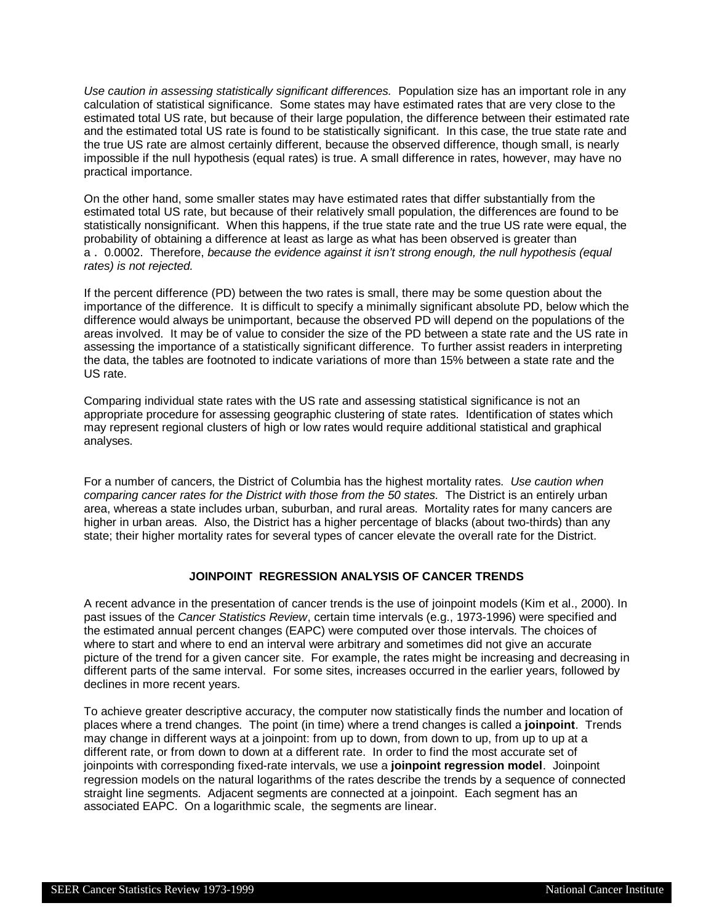*Use caution in assessing statistically significant differences.* Population size has an important role in any calculation of statistical significance. Some states may have estimated rates that are very close to the estimated total US rate, but because of their large population, the difference between their estimated rate and the estimated total US rate is found to be statistically significant. In this case, the true state rate and the true US rate are almost certainly different, because the observed difference, though small, is nearly impossible if the null hypothesis (equal rates) is true. A small difference in rates, however, may have no practical importance.

On the other hand, some smaller states may have estimated rates that differ substantially from the estimated total US rate, but because of their relatively small population, the differences are found to be statistically nonsignificant. When this happens, if the true state rate and the true US rate were equal, the probability of obtaining a difference at least as large as what has been observed is greater than a . 0.0002. Therefore, *because the evidence against it isn't strong enough, the null hypothesis (equal rates) is not rejected.*

If the percent difference (PD) between the two rates is small, there may be some question about the importance of the difference. It is difficult to specify a minimally significant absolute PD, below which the difference would always be unimportant, because the observed PD will depend on the populations of the areas involved. It may be of value to consider the size of the PD between a state rate and the US rate in assessing the importance of a statistically significant difference. To further assist readers in interpreting the data, the tables are footnoted to indicate variations of more than 15% between a state rate and the US rate.

Comparing individual state rates with the US rate and assessing statistical significance is not an appropriate procedure for assessing geographic clustering of state rates. Identification of states which may represent regional clusters of high or low rates would require additional statistical and graphical analyses.

For a number of cancers, the District of Columbia has the highest mortality rates. *Use caution when comparing cancer rates for the District with those from the 50 states.* The District is an entirely urban area, whereas a state includes urban, suburban, and rural areas. Mortality rates for many cancers are higher in urban areas. Also, the District has a higher percentage of blacks (about two-thirds) than any state; their higher mortality rates for several types of cancer elevate the overall rate for the District.

## **JOINPOINT REGRESSION ANALYSIS OF CANCER TRENDS**

A recent advance in the presentation of cancer trends is the use of joinpoint models (Kim et al., 2000). In past issues of the *Cancer Statistics Review*, certain time intervals (e.g., 1973-1996) were specified and the estimated annual percent changes (EAPC) were computed over those intervals. The choices of where to start and where to end an interval were arbitrary and sometimes did not give an accurate picture of the trend for a given cancer site. For example, the rates might be increasing and decreasing in different parts of the same interval. For some sites, increases occurred in the earlier years, followed by declines in more recent years.

To achieve greater descriptive accuracy, the computer now statistically finds the number and location of places where a trend changes. The point (in time) where a trend changes is called a **joinpoint**. Trends may change in different ways at a joinpoint: from up to down, from down to up, from up to up at a different rate, or from down to down at a different rate. In order to find the most accurate set of joinpoints with corresponding fixed-rate intervals, we use a **joinpoint regression model**. Joinpoint regression models on the natural logarithms of the rates describe the trends by a sequence of connected straight line segments. Adjacent segments are connected at a joinpoint. Each segment has an associated EAPC. On a logarithmic scale, the segments are linear.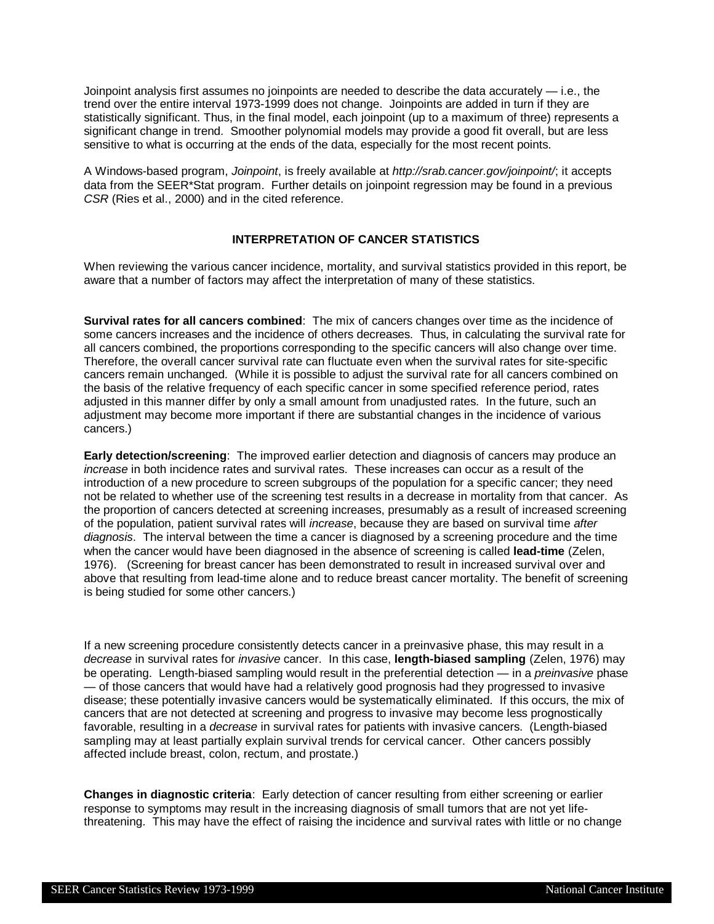Joinpoint analysis first assumes no joinpoints are needed to describe the data accurately — i.e., the trend over the entire interval 1973-1999 does not change. Joinpoints are added in turn if they are statistically significant. Thus, in the final model, each joinpoint (up to a maximum of three) represents a significant change in trend. Smoother polynomial models may provide a good fit overall, but are less sensitive to what is occurring at the ends of the data, especially for the most recent points.

A Windows-based program, *Joinpoint*, is freely available at *http://srab.cancer.gov/joinpoint/*; it accepts data from the SEER\*Stat program. Further details on joinpoint regression may be found in a previous *CSR* (Ries et al., 2000) and in the cited reference.

#### **INTERPRETATION OF CANCER STATISTICS**

When reviewing the various cancer incidence, mortality, and survival statistics provided in this report, be aware that a number of factors may affect the interpretation of many of these statistics.

**Survival rates for all cancers combined**: The mix of cancers changes over time as the incidence of some cancers increases and the incidence of others decreases. Thus, in calculating the survival rate for all cancers combined, the proportions corresponding to the specific cancers will also change over time. Therefore, the overall cancer survival rate can fluctuate even when the survival rates for site-specific cancers remain unchanged. (While it is possible to adjust the survival rate for all cancers combined on the basis of the relative frequency of each specific cancer in some specified reference period, rates adjusted in this manner differ by only a small amount from unadjusted rates. In the future, such an adjustment may become more important if there are substantial changes in the incidence of various cancers.)

**Early detection/screening**: The improved earlier detection and diagnosis of cancers may produce an *increase* in both incidence rates and survival rates. These increases can occur as a result of the introduction of a new procedure to screen subgroups of the population for a specific cancer; they need not be related to whether use of the screening test results in a decrease in mortality from that cancer. As the proportion of cancers detected at screening increases, presumably as a result of increased screening of the population, patient survival rates will *increase*, because they are based on survival time *after diagnosis*. The interval between the time a cancer is diagnosed by a screening procedure and the time when the cancer would have been diagnosed in the absence of screening is called **lead-time** (Zelen, 1976). (Screening for breast cancer has been demonstrated to result in increased survival over and above that resulting from lead-time alone and to reduce breast cancer mortality. The benefit of screening is being studied for some other cancers.)

If a new screening procedure consistently detects cancer in a preinvasive phase, this may result in a *decrease* in survival rates for *invasive* cancer. In this case, **length-biased sampling** (Zelen, 1976) may be operating. Length-biased sampling would result in the preferential detection — in a *preinvasive* phase — of those cancers that would have had a relatively good prognosis had they progressed to invasive disease; these potentially invasive cancers would be systematically eliminated. If this occurs, the mix of cancers that are not detected at screening and progress to invasive may become less prognostically favorable, resulting in a *decrease* in survival rates for patients with invasive cancers. (Length-biased sampling may at least partially explain survival trends for cervical cancer. Other cancers possibly affected include breast, colon, rectum, and prostate.)

**Changes in diagnostic criteria**: Early detection of cancer resulting from either screening or earlier response to symptoms may result in the increasing diagnosis of small tumors that are not yet lifethreatening. This may have the effect of raising the incidence and survival rates with little or no change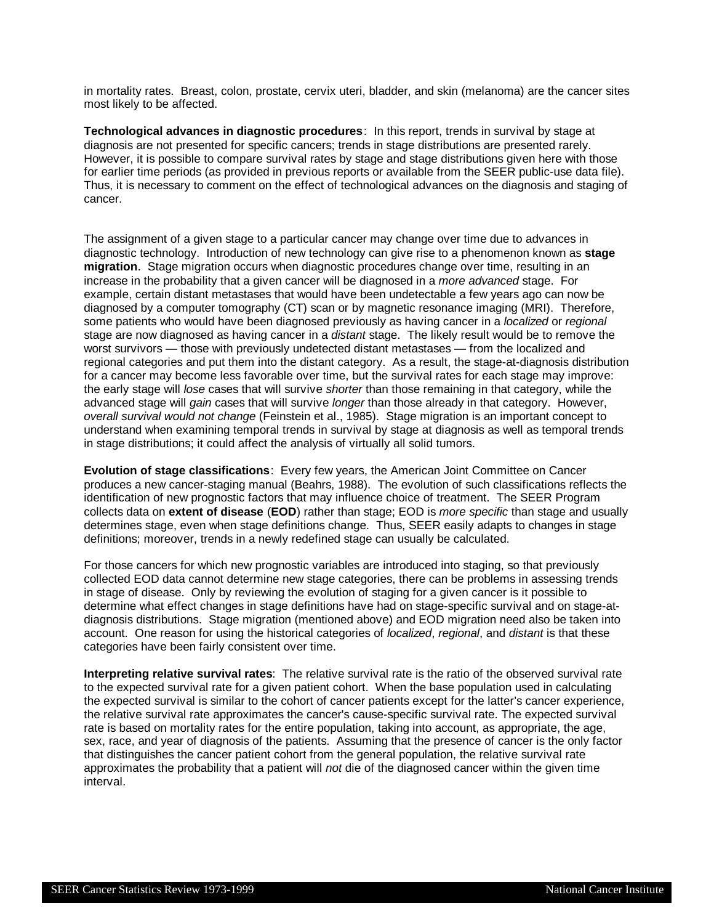in mortality rates. Breast, colon, prostate, cervix uteri, bladder, and skin (melanoma) are the cancer sites most likely to be affected.

**Technological advances in diagnostic procedures**: In this report, trends in survival by stage at diagnosis are not presented for specific cancers; trends in stage distributions are presented rarely. However, it is possible to compare survival rates by stage and stage distributions given here with those for earlier time periods (as provided in previous reports or available from the SEER public-use data file). Thus, it is necessary to comment on the effect of technological advances on the diagnosis and staging of cancer.

The assignment of a given stage to a particular cancer may change over time due to advances in diagnostic technology. Introduction of new technology can give rise to a phenomenon known as **stage migration**. Stage migration occurs when diagnostic procedures change over time, resulting in an increase in the probability that a given cancer will be diagnosed in a *more advanced* stage. For example, certain distant metastases that would have been undetectable a few years ago can now be diagnosed by a computer tomography (CT) scan or by magnetic resonance imaging (MRI). Therefore, some patients who would have been diagnosed previously as having cancer in a *localized* or *regional* stage are now diagnosed as having cancer in a *distant* stage. The likely result would be to remove the worst survivors — those with previously undetected distant metastases — from the localized and regional categories and put them into the distant category. As a result, the stage-at-diagnosis distribution for a cancer may become less favorable over time, but the survival rates for each stage may improve: the early stage will *lose* cases that will survive *shorter* than those remaining in that category, while the advanced stage will *gain* cases that will survive *longer* than those already in that category. However, *overall survival would not change* (Feinstein et al., 1985). Stage migration is an important concept to understand when examining temporal trends in survival by stage at diagnosis as well as temporal trends in stage distributions; it could affect the analysis of virtually all solid tumors.

**Evolution of stage classifications**: Every few years, the American Joint Committee on Cancer produces a new cancer-staging manual (Beahrs, 1988). The evolution of such classifications reflects the identification of new prognostic factors that may influence choice of treatment. The SEER Program collects data on **extent of disease** (**EOD**) rather than stage; EOD is *more specific* than stage and usually determines stage, even when stage definitions change. Thus, SEER easily adapts to changes in stage definitions; moreover, trends in a newly redefined stage can usually be calculated.

For those cancers for which new prognostic variables are introduced into staging, so that previously collected EOD data cannot determine new stage categories, there can be problems in assessing trends in stage of disease. Only by reviewing the evolution of staging for a given cancer is it possible to determine what effect changes in stage definitions have had on stage-specific survival and on stage-atdiagnosis distributions. Stage migration (mentioned above) and EOD migration need also be taken into account. One reason for using the historical categories of *localized*, *regional*, and *distant* is that these categories have been fairly consistent over time.

**Interpreting relative survival rates**: The relative survival rate is the ratio of the observed survival rate to the expected survival rate for a given patient cohort. When the base population used in calculating the expected survival is similar to the cohort of cancer patients except for the latter's cancer experience, the relative survival rate approximates the cancer's cause-specific survival rate. The expected survival rate is based on mortality rates for the entire population, taking into account, as appropriate, the age, sex, race, and year of diagnosis of the patients. Assuming that the presence of cancer is the only factor that distinguishes the cancer patient cohort from the general population, the relative survival rate approximates the probability that a patient will *not* die of the diagnosed cancer within the given time interval.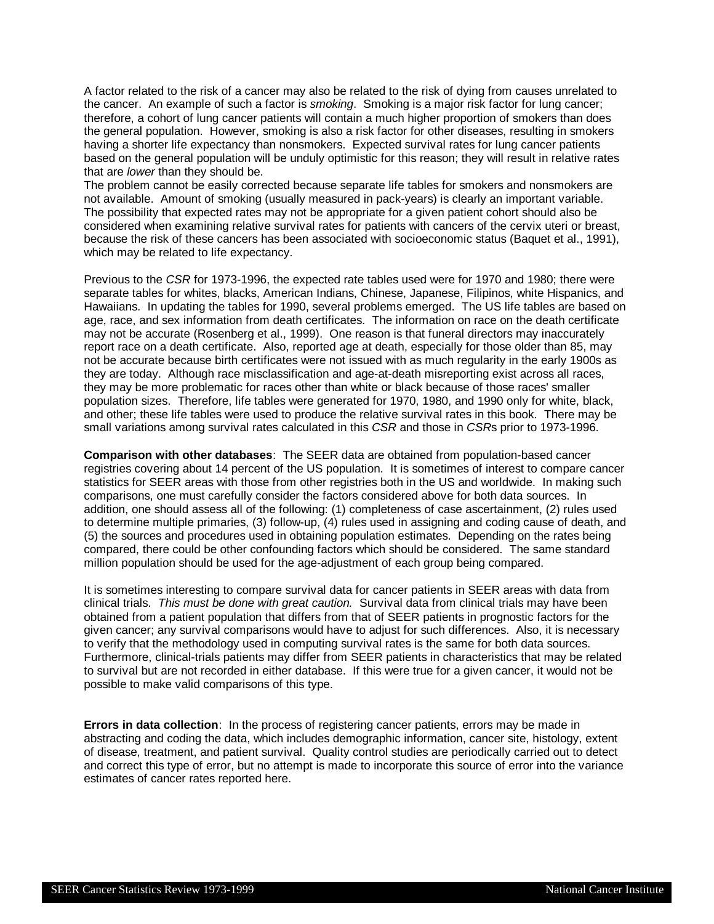A factor related to the risk of a cancer may also be related to the risk of dying from causes unrelated to the cancer. An example of such a factor is *smoking*. Smoking is a major risk factor for lung cancer; therefore, a cohort of lung cancer patients will contain a much higher proportion of smokers than does the general population. However, smoking is also a risk factor for other diseases, resulting in smokers having a shorter life expectancy than nonsmokers. Expected survival rates for lung cancer patients based on the general population will be unduly optimistic for this reason; they will result in relative rates that are *lower* than they should be.

The problem cannot be easily corrected because separate life tables for smokers and nonsmokers are not available. Amount of smoking (usually measured in pack-years) is clearly an important variable. The possibility that expected rates may not be appropriate for a given patient cohort should also be considered when examining relative survival rates for patients with cancers of the cervix uteri or breast, because the risk of these cancers has been associated with socioeconomic status (Baquet et al., 1991), which may be related to life expectancy.

Previous to the *CSR* for 1973-1996, the expected rate tables used were for 1970 and 1980; there were separate tables for whites, blacks, American Indians, Chinese, Japanese, Filipinos, white Hispanics, and Hawaiians. In updating the tables for 1990, several problems emerged. The US life tables are based on age, race, and sex information from death certificates. The information on race on the death certificate may not be accurate (Rosenberg et al., 1999). One reason is that funeral directors may inaccurately report race on a death certificate. Also, reported age at death, especially for those older than 85, may not be accurate because birth certificates were not issued with as much regularity in the early 1900s as they are today. Although race misclassification and age-at-death misreporting exist across all races, they may be more problematic for races other than white or black because of those races' smaller population sizes. Therefore, life tables were generated for 1970, 1980, and 1990 only for white, black, and other; these life tables were used to produce the relative survival rates in this book. There may be small variations among survival rates calculated in this *CSR* and those in *CSR*s prior to 1973-1996.

**Comparison with other databases**: The SEER data are obtained from population-based cancer registries covering about 14 percent of the US population. It is sometimes of interest to compare cancer statistics for SEER areas with those from other registries both in the US and worldwide. In making such comparisons, one must carefully consider the factors considered above for both data sources. In addition, one should assess all of the following: (1) completeness of case ascertainment, (2) rules used to determine multiple primaries, (3) follow-up, (4) rules used in assigning and coding cause of death, and (5) the sources and procedures used in obtaining population estimates. Depending on the rates being compared, there could be other confounding factors which should be considered. The same standard million population should be used for the age-adjustment of each group being compared.

It is sometimes interesting to compare survival data for cancer patients in SEER areas with data from clinical trials. *This must be done with great caution.* Survival data from clinical trials may have been obtained from a patient population that differs from that of SEER patients in prognostic factors for the given cancer; any survival comparisons would have to adjust for such differences. Also, it is necessary to verify that the methodology used in computing survival rates is the same for both data sources. Furthermore, clinical-trials patients may differ from SEER patients in characteristics that may be related to survival but are not recorded in either database. If this were true for a given cancer, it would not be possible to make valid comparisons of this type.

**Errors in data collection**: In the process of registering cancer patients, errors may be made in abstracting and coding the data, which includes demographic information, cancer site, histology, extent of disease, treatment, and patient survival. Quality control studies are periodically carried out to detect and correct this type of error, but no attempt is made to incorporate this source of error into the variance estimates of cancer rates reported here.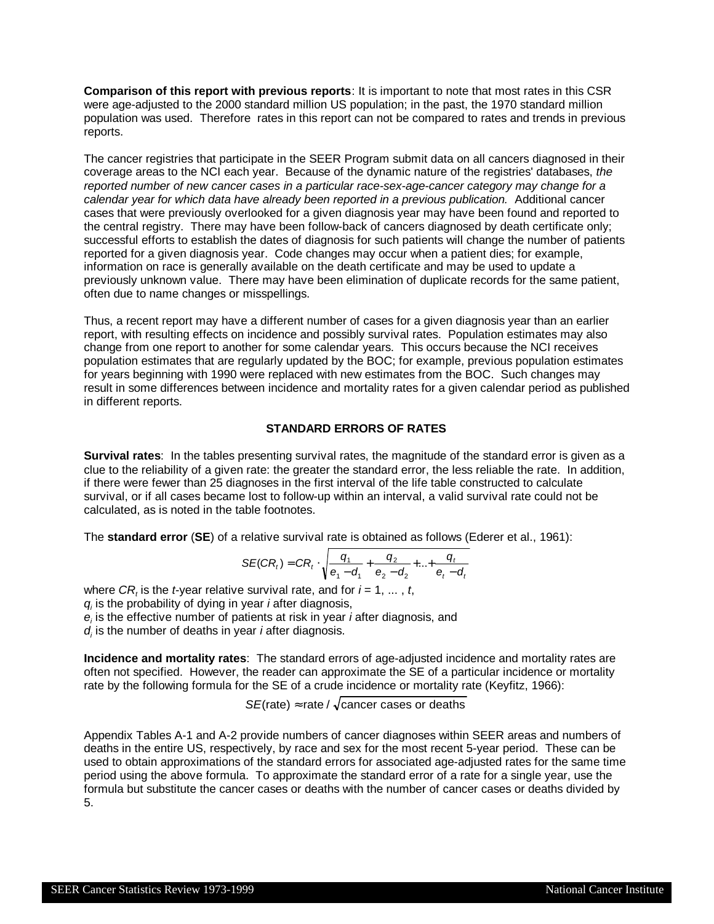**Comparison of this report with previous reports**: It is important to note that most rates in this CSR were age-adjusted to the 2000 standard million US population; in the past, the 1970 standard million population was used. Therefore rates in this report can not be compared to rates and trends in previous reports.

The cancer registries that participate in the SEER Program submit data on all cancers diagnosed in their coverage areas to the NCI each year. Because of the dynamic nature of the registries' databases, *the reported number of new cancer cases in a particular race-sex-age-cancer category may change for a calendar year for which data have already been reported in a previous publication.* Additional cancer cases that were previously overlooked for a given diagnosis year may have been found and reported to the central registry. There may have been follow-back of cancers diagnosed by death certificate only; successful efforts to establish the dates of diagnosis for such patients will change the number of patients reported for a given diagnosis year. Code changes may occur when a patient dies; for example, information on race is generally available on the death certificate and may be used to update a previously unknown value. There may have been elimination of duplicate records for the same patient, often due to name changes or misspellings.

Thus, a recent report may have a different number of cases for a given diagnosis year than an earlier report, with resulting effects on incidence and possibly survival rates. Population estimates may also change from one report to another for some calendar years. This occurs because the NCI receives population estimates that are regularly updated by the BOC; for example, previous population estimates for years beginning with 1990 were replaced with new estimates from the BOC. Such changes may result in some differences between incidence and mortality rates for a given calendar period as published in different reports.

#### **STANDARD ERRORS OF RATES**

**Survival rates**: In the tables presenting survival rates, the magnitude of the standard error is given as a clue to the reliability of a given rate: the greater the standard error, the less reliable the rate. In addition, if there were fewer than 25 diagnoses in the first interval of the life table constructed to calculate survival, or if all cases became lost to follow-up within an interval, a valid survival rate could not be calculated, as is noted in the table footnotes.

The **standard error** (**SE**) of a relative survival rate is obtained as follows (Ederer et al., 1961):

$$
SE(CR_t) = CR_t \cdot \sqrt{\frac{q_1}{e_1 - d_1} + \frac{q_2}{e_2 - d_2} + \dots + \frac{q_t}{e_t - d_t}}
$$

where  $CR_t$  is the *t*-year relative survival rate, and for  $i = 1, ..., t$ ,

*qi* is the probability of dying in year *i* after diagnosis,

*ei* is the effective number of patients at risk in year *i* after diagnosis, and

*di* is the number of deaths in year *i* after diagnosis.

**Incidence and mortality rates**: The standard errors of age-adjusted incidence and mortality rates are often not specified. However, the reader can approximate the SE of a particular incidence or mortality rate by the following formula for the SE of a crude incidence or mortality rate (Keyfitz, 1966):

*SE*(rate)  $\approx$  rate /  $\sqrt{\text{cancer}}$  cases or deaths

Appendix Tables A-1 and A-2 provide numbers of cancer diagnoses within SEER areas and numbers of deaths in the entire US, respectively, by race and sex for the most recent 5-year period. These can be used to obtain approximations of the standard errors for associated age-adjusted rates for the same time period using the above formula. To approximate the standard error of a rate for a single year, use the formula but substitute the cancer cases or deaths with the number of cancer cases or deaths divided by 5.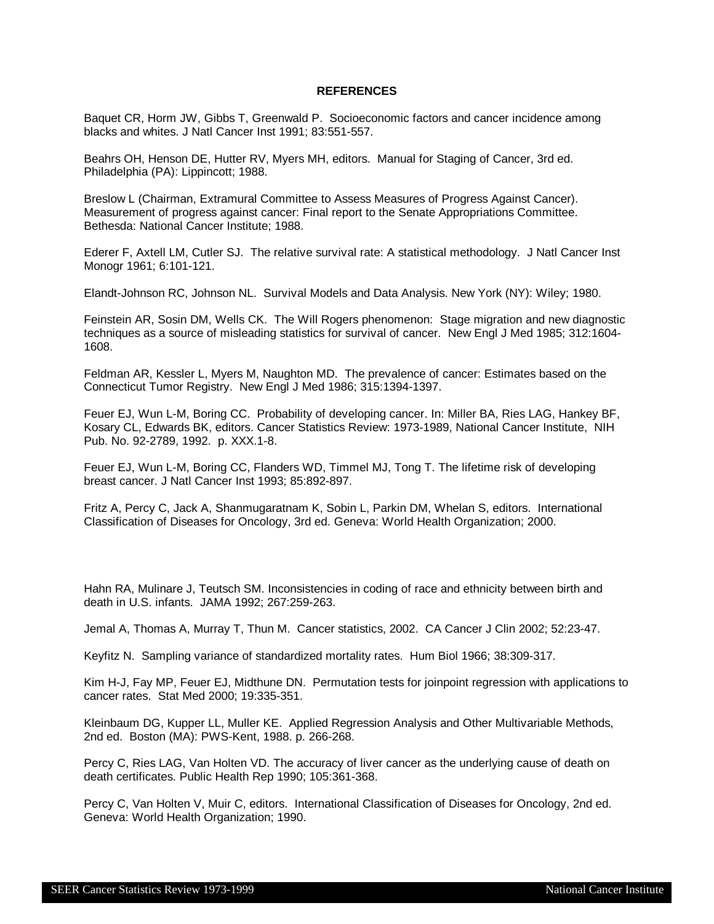#### **REFERENCES**

Baquet CR, Horm JW, Gibbs T, Greenwald P. Socioeconomic factors and cancer incidence among blacks and whites. J Natl Cancer Inst 1991; 83:551-557.

Beahrs OH, Henson DE, Hutter RV, Myers MH, editors. Manual for Staging of Cancer, 3rd ed. Philadelphia (PA): Lippincott; 1988.

Breslow L (Chairman, Extramural Committee to Assess Measures of Progress Against Cancer). Measurement of progress against cancer: Final report to the Senate Appropriations Committee. Bethesda: National Cancer Institute; 1988.

Ederer F, Axtell LM, Cutler SJ. The relative survival rate: A statistical methodology. J Natl Cancer Inst Monogr 1961; 6:101-121.

Elandt-Johnson RC, Johnson NL. Survival Models and Data Analysis. New York (NY): Wiley; 1980.

Feinstein AR, Sosin DM, Wells CK. The Will Rogers phenomenon: Stage migration and new diagnostic techniques as a source of misleading statistics for survival of cancer. New Engl J Med 1985; 312:1604- 1608.

Feldman AR, Kessler L, Myers M, Naughton MD. The prevalence of cancer: Estimates based on the Connecticut Tumor Registry. New Engl J Med 1986; 315:1394-1397.

Feuer EJ, Wun L-M, Boring CC. Probability of developing cancer. In: Miller BA, Ries LAG, Hankey BF, Kosary CL, Edwards BK, editors. Cancer Statistics Review: 1973-1989, National Cancer Institute, NIH Pub. No. 92-2789, 1992. p. XXX.1-8.

Feuer EJ, Wun L-M, Boring CC, Flanders WD, Timmel MJ, Tong T. The lifetime risk of developing breast cancer. J Natl Cancer Inst 1993; 85:892-897.

Fritz A, Percy C, Jack A, Shanmugaratnam K, Sobin L, Parkin DM, Whelan S, editors. International Classification of Diseases for Oncology, 3rd ed. Geneva: World Health Organization; 2000.

Hahn RA, Mulinare J, Teutsch SM. Inconsistencies in coding of race and ethnicity between birth and death in U.S. infants. JAMA 1992; 267:259-263.

Jemal A, Thomas A, Murray T, Thun M. Cancer statistics, 2002. CA Cancer J Clin 2002; 52:23-47.

Keyfitz N. Sampling variance of standardized mortality rates. Hum Biol 1966; 38:309-317.

Kim H-J, Fay MP, Feuer EJ, Midthune DN. Permutation tests for joinpoint regression with applications to cancer rates. Stat Med 2000; 19:335-351.

Kleinbaum DG, Kupper LL, Muller KE. Applied Regression Analysis and Other Multivariable Methods, 2nd ed. Boston (MA): PWS-Kent, 1988. p. 266-268.

Percy C, Ries LAG, Van Holten VD. The accuracy of liver cancer as the underlying cause of death on death certificates. Public Health Rep 1990; 105:361-368.

Percy C, Van Holten V, Muir C, editors. International Classification of Diseases for Oncology, 2nd ed. Geneva: World Health Organization; 1990.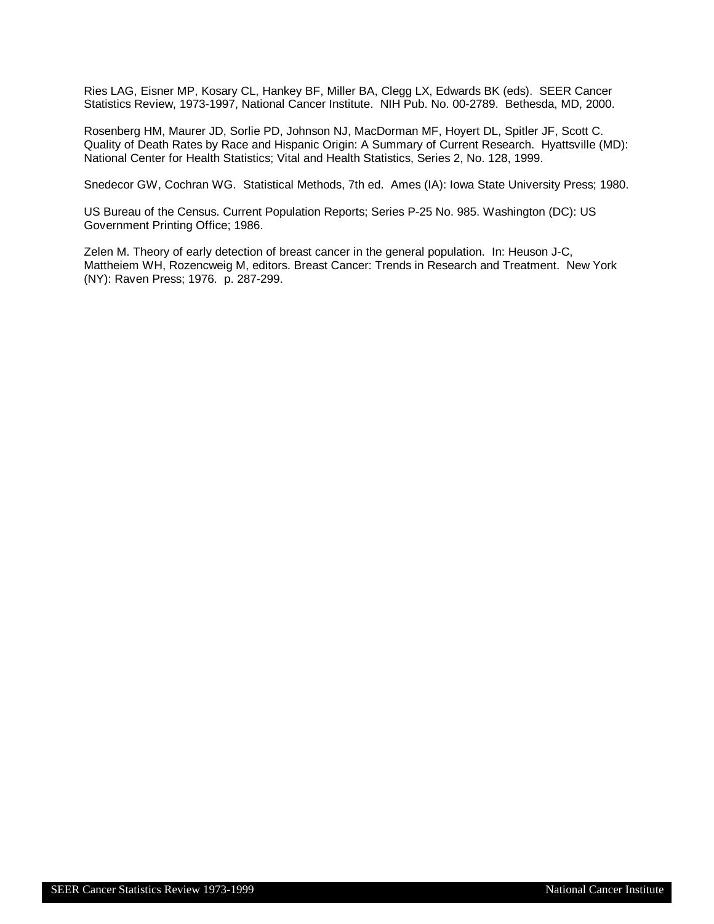Ries LAG, Eisner MP, Kosary CL, Hankey BF, Miller BA, Clegg LX, Edwards BK (eds). SEER Cancer Statistics Review, 1973-1997, National Cancer Institute. NIH Pub. No. 00-2789. Bethesda, MD, 2000.

Rosenberg HM, Maurer JD, Sorlie PD, Johnson NJ, MacDorman MF, Hoyert DL, Spitler JF, Scott C. Quality of Death Rates by Race and Hispanic Origin: A Summary of Current Research. Hyattsville (MD): National Center for Health Statistics; Vital and Health Statistics, Series 2, No. 128, 1999.

Snedecor GW, Cochran WG. Statistical Methods, 7th ed. Ames (IA): Iowa State University Press; 1980.

US Bureau of the Census. Current Population Reports; Series P-25 No. 985. Washington (DC): US Government Printing Office; 1986.

Zelen M. Theory of early detection of breast cancer in the general population. In: Heuson J-C, Mattheiem WH, Rozencweig M, editors. Breast Cancer: Trends in Research and Treatment. New York (NY): Raven Press; 1976. p. 287-299.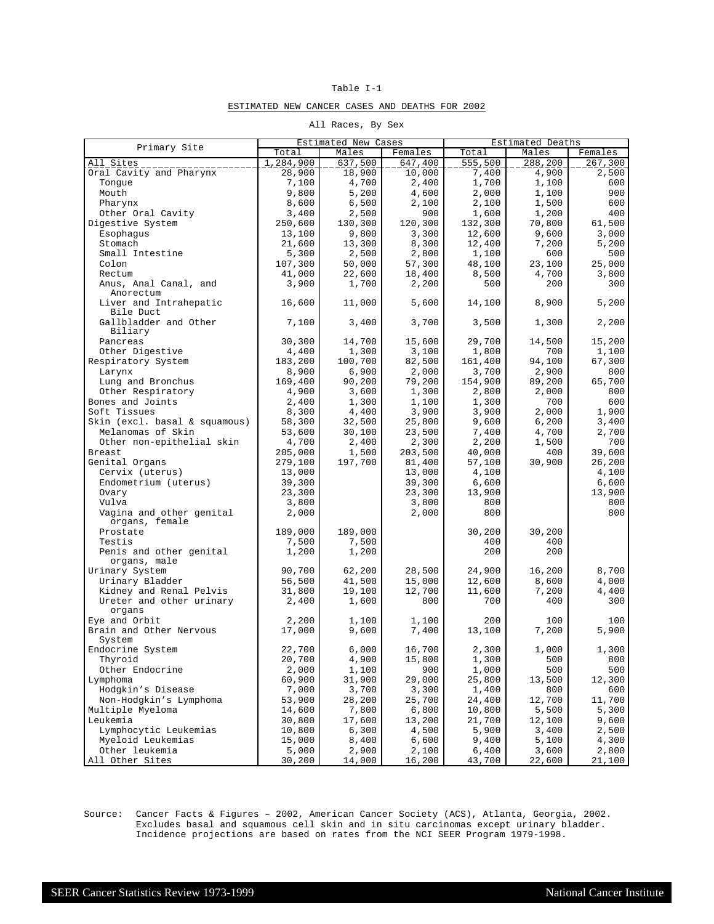#### ESTIMATED NEW CANCER CASES AND DEATHS FOR 2002

| Primary Site                               |           | Estimated New Cases |         | Estimated Deaths |         |         |  |  |
|--------------------------------------------|-----------|---------------------|---------|------------------|---------|---------|--|--|
|                                            | Total     | Males               | Females | Total            | Males   | Females |  |  |
| All Sites                                  | 1,284,900 | 637,500             | 647,400 | 555,500          | 288,200 | 267,300 |  |  |
| Oral Cavity and Pharynx                    | 28,900    | 18,900              | 10,000  | 7,400            | 4,900   | 2,500   |  |  |
| Tonque                                     | 7,100     | 4,700               | 2,400   | 1,700            | 1,100   | 600     |  |  |
| Mouth                                      | 9,800     | 5,200               | 4,600   | 2,000            | 1,100   | 900     |  |  |
| Pharynx                                    | 8,600     | 6,500               | 2,100   | 2,100            | 1,500   | 600     |  |  |
| Other Oral Cavity                          | 3,400     | 2,500               | 900     | 1,600            | 1,200   | 400     |  |  |
| Digestive System                           | 250,600   | 130,300             | 120,300 | 132,300          | 70,800  | 61,500  |  |  |
| Esophagus                                  | 13,100    | 9,800               | 3,300   | 12,600           | 9,600   | 3,000   |  |  |
| Stomach                                    | 21,600    | 13,300              | 8,300   | 12,400           | 7,200   | 5,200   |  |  |
| Small Intestine                            | 5,300     | 2,500               | 2,800   | 1,100            | 600     | 500     |  |  |
| Colon                                      | 107,300   | 50,000              | 57,300  | 48,100           | 23,100  | 25,000  |  |  |
| Rectum                                     | 41,000    | 22,600              | 18,400  | 8,500            | 4,700   | 3,800   |  |  |
| Anus, Anal Canal, and<br>Anorectum         | 3,900     | 1,700               | 2,200   | 500              | 200     | 300     |  |  |
| Liver and Intrahepatic<br>Bile Duct        | 16,600    | 11,000              | 5,600   | 14,100           | 8,900   | 5,200   |  |  |
| Gallbladder and Other<br>Biliary           | 7,100     | 3,400               | 3,700   | 3,500            | 1,300   | 2,200   |  |  |
| Pancreas                                   | 30,300    | 14,700              | 15,600  | 29,700           | 14,500  | 15,200  |  |  |
| Other Digestive                            | 4,400     | 1,300               | 3,100   | 1,800            | 700     | 1,100   |  |  |
| Respiratory System                         | 183,200   | 100,700             | 82,500  | 161,400          | 94,100  | 67,300  |  |  |
| Larynx                                     | 8,900     | 6,900               | 2,000   | 3,700            | 2,900   | 800     |  |  |
| Lung and Bronchus                          | 169,400   | 90,200              | 79,200  | 154,900          | 89,200  | 65,700  |  |  |
| Other Respiratory                          | 4,900     | 3,600               | 1,300   | 2,800            | 2,000   | 800     |  |  |
| Bones and Joints                           | 2,400     | 1,300               | 1,100   | 1,300            | 700     | 600     |  |  |
| Soft Tissues                               | 8,300     | 4,400               | 3,900   | 3,900            | 2,000   | 1,900   |  |  |
| Skin (excl. basal & squamous)              | 58,300    | 32,500              | 25,800  | 9,600            | 6,200   | 3,400   |  |  |
| Melanomas of Skin                          | 53,600    | 30,100              | 23,500  | 7,400            | 4,700   | 2,700   |  |  |
| Other non-epithelial skin                  | 4,700     | 2,400               | 2,300   | 2,200            | 1,500   | 700     |  |  |
| <b>Breast</b>                              | 205,000   | 1,500               | 203,500 | 40,000           | 400     | 39,600  |  |  |
| Genital Organs                             | 279,100   | 197,700             | 81,400  | 57,100           | 30,900  | 26,200  |  |  |
| Cervix (uterus)                            | 13,000    |                     | 13,000  | 4,100            |         | 4,100   |  |  |
| Endometrium (uterus)                       | 39,300    |                     | 39,300  | 6,600            |         | 6,600   |  |  |
| Ovary                                      | 23,300    |                     | 23,300  | 13,900           |         | 13,900  |  |  |
| Vulva                                      | 3,800     |                     | 3,800   | 800              |         | 800     |  |  |
| Vagina and other genital<br>organs, female | 2,000     |                     | 2,000   | 800              |         | 800     |  |  |
| Prostate                                   | 189,000   | 189,000             |         | 30,200           | 30,200  |         |  |  |
| Testis                                     | 7,500     | 7,500               |         | 400              | 400     |         |  |  |
| Penis and other genital<br>organs, male    | 1,200     | 1,200               |         | 200              | 200     |         |  |  |
| Urinary System                             | 90,700    | 62,200              | 28,500  | 24,900           | 16,200  | 8,700   |  |  |
| Urinary Bladder                            | 56,500    | 41,500              | 15,000  | 12,600           | 8,600   | 4,000   |  |  |
| Kidney and Renal Pelvis                    | 31,800    | 19,100              | 12,700  | 11,600           | 7,200   | 4,400   |  |  |
| Ureter and other urinary                   | 2,400     | 1,600               | 800     | 700              | 400     | 300     |  |  |
| organs                                     |           |                     |         |                  |         |         |  |  |
| Eye and Orbit                              | 2,200     | 1,100               | 1,100   | 200              | 100     | 100     |  |  |
| Brain and Other Nervous<br>System          | 17,000    | 9,600               | 7,400   | 13,100           | 7,200   | 5,900   |  |  |
| Endocrine System                           | 22,700    | 6,000               | 16,700  | 2,300            | 1,000   | 1,300   |  |  |
| Thyroid                                    | 20,700    | 4,900               | 15,800  | 1,300            | 500     | 800     |  |  |
| Other Endocrine                            | 2,000     | 1,100               | 900     | 1,000            | 500     | 500     |  |  |
| Lymphoma                                   | 60,900    | 31,900              | 29,000  | 25,800           | 13,500  | 12,300  |  |  |
| Hodgkin's Disease                          | 7,000     | 3,700               | 3,300   | 1,400            | 800     | 600     |  |  |
| Non-Hodgkin's Lymphoma                     | 53,900    | 28,200              | 25,700  | 24,400           | 12,700  | 11,700  |  |  |
| Multiple Myeloma                           | 14,600    | 7,800               | 6,800   | 10,800           | 5,500   | 5,300   |  |  |
| Leukemia                                   | 30,800    | 17,600              | 13,200  | 21,700           | 12,100  | 9,600   |  |  |
| Lymphocytic Leukemias                      | 10,800    | 6,300               | 4,500   | 5,900            | 3,400   | 2,500   |  |  |
| Myeloid Leukemias                          | 15,000    | 8,400               | 6,600   | 9,400            | 5,100   | 4,300   |  |  |
| Other leukemia                             | 5,000     | 2,900               | 2,100   | 6,400            | 3,600   | 2,800   |  |  |
| All Other Sites                            | 30,200    | 14,000              | 16,200  | 43,700           | 22,600  | 21,100  |  |  |

All Races, By Sex

Source: Cancer Facts & Figures – 2002, American Cancer Society (ACS), Atlanta, Georgia, 2002. Excludes basal and squamous cell skin and in situ carcinomas except urinary bladder. Incidence projections are based on rates from the NCI SEER Program 1979-1998.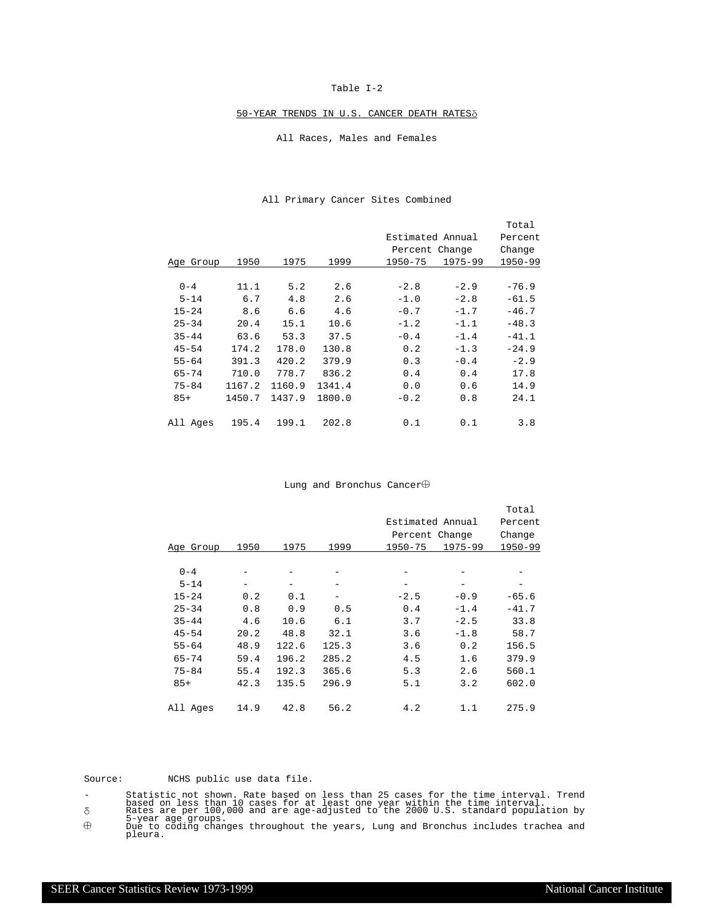#### Table I-2

#### 50-YEAR TRENDS IN U.S. CANCER DEATH RATES

#### All Races, Males and Females

|           |        |        |        |                  |                | Total   |  |  |
|-----------|--------|--------|--------|------------------|----------------|---------|--|--|
|           |        |        |        | Estimated Annual |                | Percent |  |  |
|           |        |        |        |                  | Percent Change |         |  |  |
| Age Group | 1950   | 1975   | 1999   | 1950-75          | 1975-99        | 1950-99 |  |  |
|           |        |        |        |                  |                |         |  |  |
| $0 - 4$   | 11.1   | 5.2    | 2.6    | $-2.8$           | $-2.9$         | $-76.9$ |  |  |
| $5 - 14$  | 6.7    | 4.8    | 2.6    | $-1.0$           | $-2.8$         | $-61.5$ |  |  |
| $15 - 24$ | 8.6    | 6.6    | 4.6    | $-0.7$           | $-1.7$         | $-46.7$ |  |  |
| $25 - 34$ | 20.4   | 15.1   | 10.6   | $-1.2$           | $-1.1$         | $-48.3$ |  |  |
| $35 - 44$ | 63.6   | 53.3   | 37.5   | $-0.4$           | $-1.4$         | $-41.1$ |  |  |
| $45 - 54$ | 174.2  | 178.0  | 130.8  | 0.2              | $-1.3$         | $-24.9$ |  |  |
| $55 - 64$ | 391.3  | 420.2  | 379.9  | 0.3              | $-0.4$         | $-2.9$  |  |  |
| $65 - 74$ | 710.0  | 778.7  | 836.2  | 0.4              | 0.4            | 17.8    |  |  |
| $75 - 84$ | 1167.2 | 1160.9 | 1341.4 | 0.0              | 0.6            | 14.9    |  |  |
| $85+$     | 1450.7 | 1437.9 | 1800.0 | $-0.2$           | 0.8            | 24.1    |  |  |
| All Ages  | 195.4  | 199.1  | 202.8  | 0.1              | 0.1            | 3.8     |  |  |

#### All Primary Cancer Sites Combined

#### Lung and Bronchus Cancer $\oplus$

|           |      |       |       |                  |         | Total   |
|-----------|------|-------|-------|------------------|---------|---------|
|           |      |       |       | Estimated Annual |         | Percent |
|           |      |       |       | Percent Change   | Change  |         |
| Age Group | 1950 | 1975  | 1999  | 1950-75          | 1975-99 | 1950-99 |
|           |      |       |       |                  |         |         |
| $0 - 4$   |      |       |       |                  |         |         |
| $5 - 14$  |      |       |       |                  |         |         |
| $15 - 24$ | 0.2  | 0.1   |       | $-2.5$           | $-0.9$  | $-65.6$ |
| $25 - 34$ | 0.8  | 0.9   | 0.5   | 0.4              | $-1.4$  | $-41.7$ |
| $35 - 44$ | 4.6  | 10.6  | 6.1   | 3.7              | $-2.5$  | 33.8    |
| $45 - 54$ | 20.2 | 48.8  | 32.1  | 3.6              | $-1.8$  | 58.7    |
| $55 - 64$ | 48.9 | 122.6 | 125.3 | 3.6              | 0.2     | 156.5   |
| $65 - 74$ | 59.4 | 196.2 | 285.2 | 4.5              | 1.6     | 379.9   |
| $75 - 84$ | 55.4 | 192.3 | 365.6 | 5.3              | 2.6     | 560.1   |
| $85+$     | 42.3 | 135.5 | 296.9 | 5.1              | 3.2     | 602.0   |
| All Ages  | 14.9 | 42.8  | 56.2  | 4.2              | 1.1     | 275.9   |
|           |      |       |       |                  |         |         |

Source: NCHS public use data file.

|  | Statistic not shown. Rate based on less than 25 cases for the time interval. Trend |  |  |  |
|--|------------------------------------------------------------------------------------|--|--|--|
|  | hased on less than 10 gases for at least one wear within the time interval         |  |  |  |

Statistic not shown. Rate based on less than 25 cases for the time interval. Trend<br>based on less than 10 cases for at least one year within the time interval.<br>Rates are per 100,000 and are age-adjusted to the 2000 U.S. sta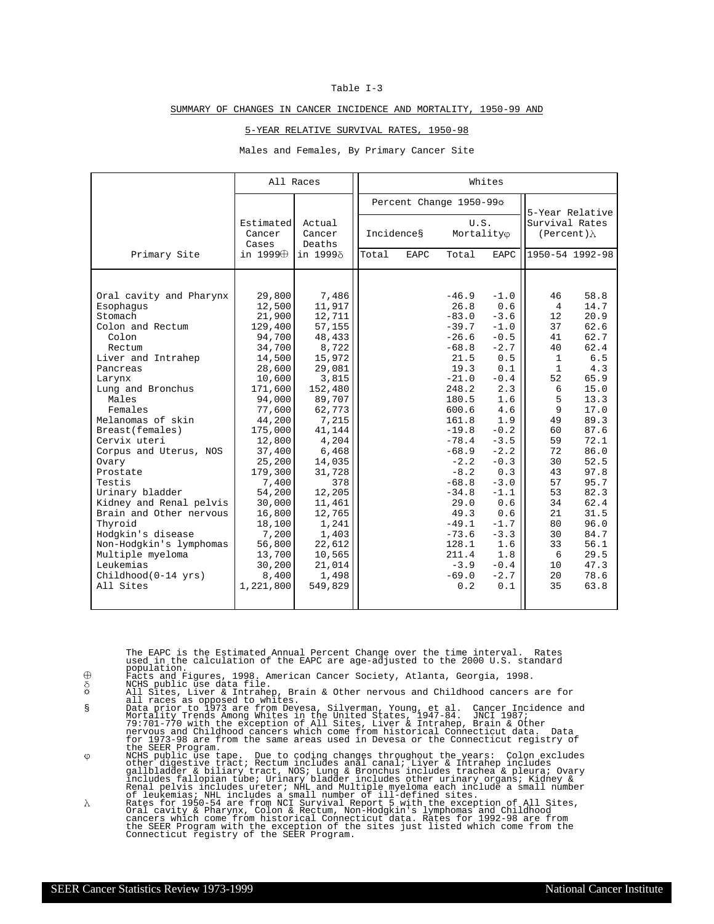#### Table I-3

#### SUMMARY OF CHANGES IN CANCER INCIDENCE AND MORTALITY, 1950-99 AND

#### 5-YEAR RELATIVE SURVIVAL RATES, 1950-98

#### Males and Females, By Primary Cancer Site

|                                              | All Races                    |                            | Whites |            |                          |                            |                         |                    |                             |  |
|----------------------------------------------|------------------------------|----------------------------|--------|------------|--------------------------|----------------------------|-------------------------|--------------------|-----------------------------|--|
|                                              |                              |                            |        |            | Percent Change 1950-99\$ |                            |                         | 5-Year Relative    |                             |  |
|                                              | Estimated<br>Cancer<br>Cases | Actual<br>Cancer<br>Deaths |        | Incidences |                          |                            | U.S.<br>Mortalityo      |                    | Survival Rates<br>(Percent) |  |
| Primary Site                                 | in 1999 $\oplus$             | in 1999δ                   | Total  |            | EAPC                     | Total                      | EAPC                    |                    | 1950-54 1992-98             |  |
| Oral cavity and Pharynx                      | 29,800                       | 7,486                      |        |            |                          | $-46.9$                    | $-1.0$                  | 46                 | 58.8                        |  |
| Esophaqus<br>Stomach                         | 12,500<br>21,900             | 11,917<br>12,711           |        |            |                          | 26.8<br>$-83.0$            | 0.6<br>$-3.6$           | 4<br>12            | 14.7<br>20.9                |  |
| Colon and Rectum<br>Colon                    | 129,400<br>94,700            | 57,155<br>48,433           |        |            |                          | $-39.7$<br>$-26.6$         | $-1.0$<br>$-0.5$        | 37<br>41           | 62.6<br>62.7                |  |
| Rectum<br>Liver and Intrahep                 | 34,700<br>14,500             | 8,722<br>15,972            |        |            |                          | $-68.8$<br>21.5            | $-2.7$<br>0.5           | 40<br>$\mathbf{1}$ | 62.4<br>6.5                 |  |
| Pancreas<br>Larynx                           | 28,600<br>10,600             | 29,081<br>3,815            |        |            |                          | 19.3<br>$-21.0$            | 0.1<br>$-0.4$           | $\mathbf{1}$<br>52 | 4.3<br>65.9                 |  |
| Lung and Bronchus<br>Males                   | 171,600<br>94,000            | 152,480<br>89,707          |        |            |                          | 248.2<br>180.5             | 2.3<br>1.6              | 6<br>5             | 15.0<br>13.3                |  |
| Females<br>Melanomas of skin                 | 77,600<br>44,200             | 62,773<br>7,215            |        |            |                          | 600.6<br>161.8             | 4.6<br>1.9              | 9<br>49            | 17.0<br>89.3                |  |
| Breast (females)<br>Cervix uteri             | 175,000<br>12,800            | 41,144<br>4,204            |        |            |                          | $-19.8$<br>$-78.4$         | $-0.2$<br>$-3.5$        | 60<br>59           | 87.6<br>72.1                |  |
| Corpus and Uterus, NOS<br>Ovary              | 37,400<br>25,200             | 6,468<br>14,035            |        |            |                          | $-68.9$<br>$-2.2$          | $-2.2$<br>$-0.3$        | 72<br>30           | 86.0<br>52.5                |  |
| Prostate<br>Testis                           | 179,300<br>7,400             | 31,728<br>378              |        |            |                          | $-8.2$<br>$-68.8$          | 0.3<br>$-3.0$           | 43<br>57           | 97.8<br>95.7                |  |
| Urinary bladder<br>Kidney and Renal pelvis   | 54,200<br>30,000             | 12,205<br>11,461           |        |            |                          | $-34.8$<br>29.0            | $-1.1$<br>0.6           | 53<br>34           | 82.3<br>62.4                |  |
| Brain and Other nervous<br>Thyroid           | 16,800<br>18,100             | 12,765<br>1,241            |        |            |                          | 49.3<br>$-49.1$            | 0.6<br>$-1.7$           | 21<br>80           | 31.5<br>96.0                |  |
| Hodgkin's disease<br>Non-Hodgkin's lymphomas | 7,200<br>56,800              | 1,403<br>22,612            |        |            |                          | $-73.6$<br>128.1           | $-3.3$<br>1.6           | 30<br>33           | 84.7<br>56.1                |  |
| Multiple myeloma<br>Leukemias                | 13,700<br>30, 200            | 10,565<br>21,014           |        |            |                          | 211.4<br>$-3.9$<br>$-69.0$ | 1.8<br>$-0.4$<br>$-2.7$ | 6<br>10            | 29.5<br>47.3<br>78.6        |  |
| $Childhood(0-14 yrs)$<br>All Sites           | 8,400<br>1,221,800           | 1,498<br>549,829           |        |            |                          | 0.2                        | 0.1                     | 20<br>35           | 63.8                        |  |

The EAPC is the Estimated Annual Percent Change over the time interval. Rates<br>used in the calculation of the EAPC are age-adjusted to the 2000 U.S. standard<br> $\oplus$  Population.<br>Facts and Figures, 1998. American Cancer Socie

- NCHS public use data file.<br>
All Sites, Liver & Intrahep, Brain & Other nervous and Childhood cancers are for<br>
all races as opposed to whites.<br>
Bata prior to 1973 are from Devesa, Silverman, Young, et all. Cancer Incidence  $\Omega$
- NCHS public use tape. Due to coding changes throughout the years: Colon excludes<br>other digestive tract; Rectum includes anal canal; Liver & Intrahep includes<br>gallbladder & bilary tract, NOS; Lung & Bronchus includes trache
- $\lambda$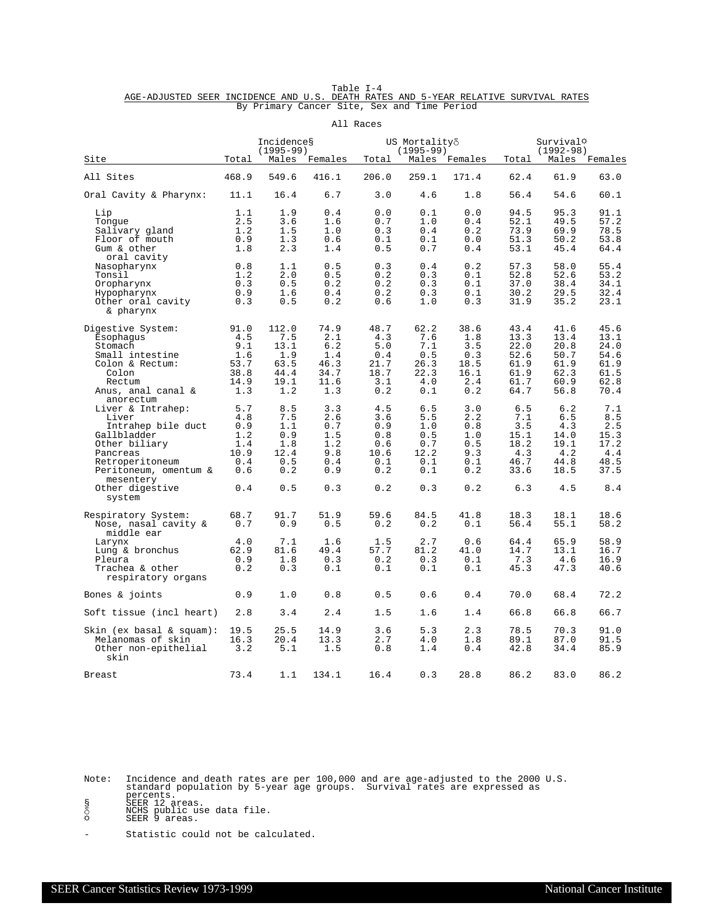| anı |
|-----|
|-----|

Table I-4<br>AGE-ADJUSTED SEER INCIDENCE AND U.S. DEATH RATES AND 5-YEAR RELATIVE SURVIVAL RATES By Primary Cancer Site, Sex and Time Period

|                                                                                                                                                                                       |                                                              |                                                              |                                                             | All Races                                                    |                                                              |                                                             |                                                                 |                                                                 |                                                                 |
|---------------------------------------------------------------------------------------------------------------------------------------------------------------------------------------|--------------------------------------------------------------|--------------------------------------------------------------|-------------------------------------------------------------|--------------------------------------------------------------|--------------------------------------------------------------|-------------------------------------------------------------|-----------------------------------------------------------------|-----------------------------------------------------------------|-----------------------------------------------------------------|
|                                                                                                                                                                                       |                                                              | Incidences<br>$(1995 - 99)$                                  |                                                             |                                                              | US Mortalityo<br>$(1995 - 99)$                               |                                                             |                                                                 | Survival <sup>o</sup><br>$(1992 - 98)$                          |                                                                 |
| Site                                                                                                                                                                                  | Total                                                        |                                                              | Males Females                                               | Total                                                        |                                                              | Males Females                                               | Total                                                           | Males Females                                                   |                                                                 |
| All Sites                                                                                                                                                                             | 468.9                                                        | 549.6                                                        | 416.1                                                       | 206.0                                                        | 259.1                                                        | 171.4                                                       | 62.4                                                            | 61.9                                                            | 63.0                                                            |
| Oral Cavity & Pharynx:                                                                                                                                                                | 11.1                                                         | 16.4                                                         | 6.7                                                         | 3.0                                                          | 4.6                                                          | 1.8                                                         | 56.4                                                            | 54.6                                                            | 60.1                                                            |
| Lip<br>Tonque<br>Salivary gland<br>Floor of mouth<br>Gum & other<br>oral cavity                                                                                                       | 1.1<br>2.5<br>1.2<br>0.9<br>1.8                              | 1.9<br>3.6<br>1.5<br>1.3<br>2.3                              | 0.4<br>1.6<br>1.0<br>0.6<br>1.4                             | 0.0<br>0.7<br>0.3<br>0.1<br>0.5                              | 0.1<br>1.0<br>0.4<br>0.1<br>0.7                              | 0.0<br>0.4<br>0.2<br>0.0<br>0.4                             | 94.5<br>52.1<br>73.9<br>51.3<br>53.1                            | 95.3<br>49.5<br>69.9<br>50.2<br>45.4                            | 91.1<br>57.2<br>78.5<br>53.8<br>64.4                            |
| Nasopharynx<br>Tonsil<br>Oropharynx<br>Hypopharynx<br>Other oral cavity<br>& pharynx                                                                                                  | 0.8<br>1.2<br>0.3<br>0.9<br>0.3                              | 1.1<br>2.0<br>0.5<br>1.6<br>0.5                              | 0.5<br>0.5<br>0.2<br>0.4<br>0.2                             | 0.3<br>0.2<br>0.2<br>0.2<br>0.6                              | 0.4<br>0.3<br>0.3<br>0.3<br>1.0                              | 0.2<br>0.1<br>0.1<br>0.1<br>0.3                             | 57.3<br>52.8<br>37.0<br>30.2<br>31.9                            | 58.0<br>52.6<br>38.4<br>29.5<br>35.2                            | 55.4<br>53.2<br>34.1<br>32.4<br>23.1                            |
| Digestive System:<br>Esophagus<br>Stomach<br>Small intestine<br>Colon & Rectum:<br>Colon<br>Rectum<br>Anus, anal canal &                                                              | 91.0<br>4.5<br>9.1<br>1.6<br>53.7<br>38.8<br>14.9<br>1.3     | 112.0<br>7.5<br>13.1<br>1.9<br>63.5<br>44.4<br>19.1<br>1.2   | 74.9<br>2.1<br>6.2<br>1.4<br>46.3<br>34.7<br>11.6<br>1.3    | 48.7<br>4.3<br>5.0<br>0.4<br>21.7<br>18.7<br>3.1<br>0.2      | 62.2<br>7.6<br>7.1<br>0.5<br>26.3<br>22.3<br>4.0<br>0.1      | 38.6<br>1.8<br>3.5<br>0.3<br>18.5<br>16.1<br>2.4<br>0.2     | 43.4<br>13.3<br>22.0<br>52.6<br>61.9<br>61.9<br>61.7<br>64.7    | 41.6<br>13.4<br>20.8<br>50.7<br>61.9<br>62.3<br>60.9<br>56.8    | 45.6<br>13.1<br>24.0<br>54.6<br>61.9<br>61.5<br>62.8<br>70.4    |
| anorectum<br>Liver & Intrahep:<br>Liver<br>Intrahep bile duct<br>Gallbladder<br>Other biliary<br>Pancreas<br>Retroperitoneum<br>Peritoneum, omentum &<br>mesentery<br>Other digestive | 5.7<br>4.8<br>0.9<br>1.2<br>1.4<br>10.9<br>0.4<br>0.6<br>0.4 | 8.5<br>7.5<br>1.1<br>0.9<br>1.8<br>12.4<br>0.5<br>0.2<br>0.5 | 3.3<br>2.6<br>0.7<br>1.5<br>1.2<br>9.8<br>0.4<br>0.9<br>0.3 | 4.5<br>3.6<br>0.9<br>0.8<br>0.6<br>10.6<br>0.1<br>0.2<br>0.2 | 6.5<br>5.5<br>1.0<br>0.5<br>0.7<br>12.2<br>0.1<br>0.1<br>0.3 | 3.0<br>2.2<br>0.8<br>1.0<br>0.5<br>9.3<br>0.1<br>0.2<br>0.2 | 6.5<br>7.1<br>3.5<br>15.1<br>18.2<br>4.3<br>46.7<br>33.6<br>6.3 | 6.2<br>6.5<br>4.3<br>14.0<br>19.1<br>4.2<br>44.8<br>18.5<br>4.5 | 7.1<br>8.5<br>2.5<br>15.3<br>17.2<br>4.4<br>48.5<br>37.5<br>8.4 |
| system                                                                                                                                                                                |                                                              |                                                              |                                                             |                                                              |                                                              |                                                             |                                                                 |                                                                 |                                                                 |
| Respiratory System:<br>Nose, nasal cavity &<br>middle ear                                                                                                                             | 68.7<br>0.7                                                  | 91.7<br>0.9                                                  | 51.9<br>0.5                                                 | 59.6<br>0.2                                                  | 84.5<br>0.2                                                  | 41.8<br>0.1                                                 | 18.3<br>56.4                                                    | 18.1<br>55.1                                                    | 18.6<br>58.2                                                    |
| Larynx<br>Lung & bronchus<br>Pleura<br>Trachea & other<br>respiratory organs                                                                                                          | 4.0<br>62.9<br>0.9<br>0.2                                    | 7.1<br>81.6<br>1.8<br>0.3                                    | 1.6<br>49.4<br>0.3<br>0.1                                   | 1.5<br>57.7<br>0.2<br>0.1                                    | 2.7<br>81.2<br>0.3<br>0.1                                    | 0.6<br>41.0<br>0.1<br>0.1                                   | 64.4<br>14.7<br>7.3<br>45.3                                     | 65.9<br>13.1<br>4.6<br>47.3                                     | 58.9<br>16.7<br>16.9<br>40.6                                    |
| Bones & joints                                                                                                                                                                        | 0.9                                                          | 1.0                                                          | 0.8                                                         | 0.5                                                          | 0.6                                                          | 0.4                                                         | 70.0                                                            | 68.4                                                            | 72.2                                                            |
| Soft tissue (incl heart)                                                                                                                                                              | 2.8                                                          | 3.4                                                          | 2.4                                                         | 1.5                                                          | 1.6                                                          | 1.4                                                         | 66.8                                                            | 66.8                                                            | 66.7                                                            |
| Skin (ex basal & squam):<br>Melanomas of skin<br>Other non-epithelial<br>skin                                                                                                         | 19.5<br>16.3<br>3.2                                          | 25.5<br>20.4<br>5.1                                          | 14.9<br>13.3<br>1.5                                         | 3.6<br>2.7<br>0.8                                            | 5.3<br>4.0<br>1.4                                            | 2.3<br>1.8<br>0.4                                           | 78.5<br>89.1<br>42.8                                            | 70.3<br>87.0<br>34.4                                            | 91.0<br>91.5<br>85.9                                            |
| <b>Breast</b>                                                                                                                                                                         | 73.4                                                         | 1.1                                                          | 134.1                                                       | 16.4                                                         | 0.3                                                          | 28.8                                                        | 86.2                                                            | 83.0                                                            | 86.2                                                            |

Note: Incidence and death rates are per 100,000 and are age-adjusted to the 2000 U.S.<br>standard population by 5-year age groups. Survival rates are expressed as<br>SEER 12 areas.<br>NCHS percents.<br>SEER 9 areas.

- 
- 
- Statistic could not be calculated.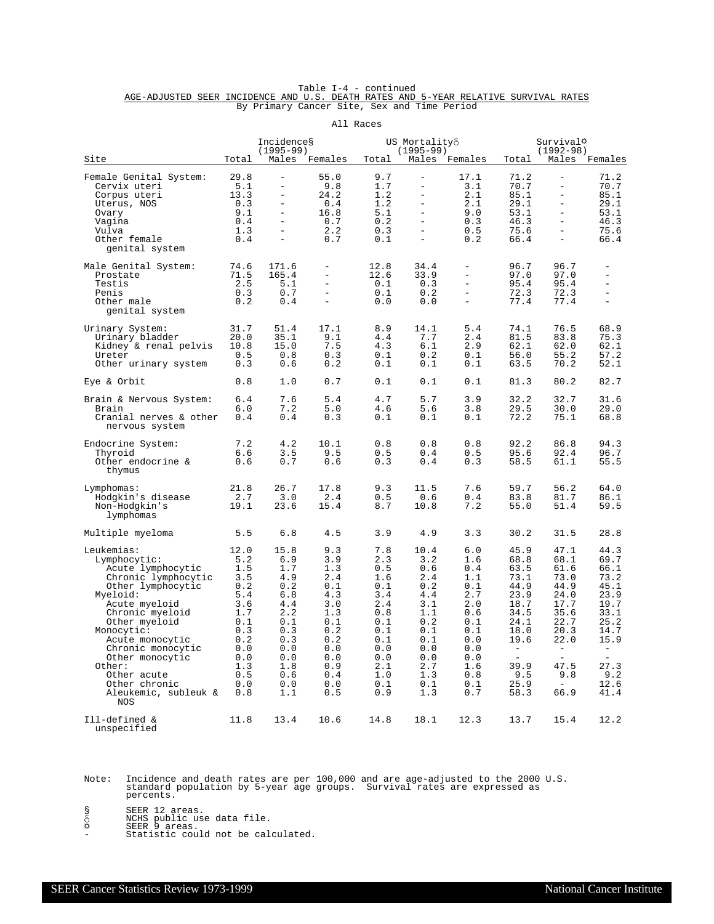| All Races                                                                                                                                                                                                                                                                                                      |                                                                                                                      |                                                                                                                                                        |                                                                                                                     |                                                                                                                     |                                                                                                                                                                         |                                                                                                                     |                                                                                                                                                 |                                                                                                                                                      |                                                                                                                                         |  |
|----------------------------------------------------------------------------------------------------------------------------------------------------------------------------------------------------------------------------------------------------------------------------------------------------------------|----------------------------------------------------------------------------------------------------------------------|--------------------------------------------------------------------------------------------------------------------------------------------------------|---------------------------------------------------------------------------------------------------------------------|---------------------------------------------------------------------------------------------------------------------|-------------------------------------------------------------------------------------------------------------------------------------------------------------------------|---------------------------------------------------------------------------------------------------------------------|-------------------------------------------------------------------------------------------------------------------------------------------------|------------------------------------------------------------------------------------------------------------------------------------------------------|-----------------------------------------------------------------------------------------------------------------------------------------|--|
| Site                                                                                                                                                                                                                                                                                                           | Total                                                                                                                | Incidences<br>$(1995 - 99)$                                                                                                                            | Males Females                                                                                                       | Total                                                                                                               | US Mortalityò<br>(1995–99)                                                                                                                                              | Males Females                                                                                                       |                                                                                                                                                 | Survival¢<br>$(1992 - 98)$<br>Total<br>Males Females                                                                                                 |                                                                                                                                         |  |
| Female Genital System:<br>Cervix uteri<br>Corpus uteri<br>Uterus, NOS<br>Ovary<br>Vagina<br>Vulva<br>Other female<br>genital system                                                                                                                                                                            | 29.8<br>5.1<br>13.3<br>0.3<br>9.1<br>0.4<br>1.3<br>0.4                                                               | $\overline{\phantom{a}}$<br>÷,<br>$\overline{\phantom{a}}$<br>$\overline{\phantom{0}}$<br>$\equiv$<br>$\overline{\phantom{a}}$<br>$\equiv$<br>$\equiv$ | 55.0<br>9.8<br>24.2<br>0.4<br>16.8<br>0.7<br>2.2<br>0.7                                                             | 9.7<br>1.7<br>1.2<br>1.2<br>5.1<br>0.2<br>0.3<br>0.1                                                                | $\overline{\phantom{a}}$<br>$\overline{\phantom{a}}$<br>$\overline{\phantom{a}}$<br>$\equiv$<br>$\equiv$<br>$\overline{\phantom{a}}$<br>$\overline{a}$<br>$\frac{1}{2}$ | 17.1<br>3.1<br>2.1<br>2.1<br>9.0<br>0.3<br>0.5<br>0.2                                                               | 71.2<br>70.7<br>85.1<br>29.1<br>53.1<br>46.3<br>75.6<br>66.4                                                                                    | -<br>$\overline{a}$<br>$\overline{\phantom{0}}$<br>$\equiv$<br>$\equiv$<br>$\overline{\phantom{a}}$<br>$\overline{\phantom{a}}$<br>$\qquad \qquad -$ | 71.2<br>70.7<br>85.1<br>29.1<br>53.1<br>46.3<br>75.6<br>66.4                                                                            |  |
| Male Genital System:<br>Prostate<br>Testis<br>Penis<br>Other male<br>genital system                                                                                                                                                                                                                            | 74.6<br>71.5<br>2.5<br>0.3<br>0.2                                                                                    | 171.6<br>165.4<br>5.1<br>0.7<br>0.4                                                                                                                    | $\qquad \qquad -$<br>$\overline{\phantom{0}}$<br>$\overline{\phantom{0}}$<br>$\qquad \qquad -$<br>$\qquad \qquad -$ | 12.8<br>12.6<br>0.1<br>0.1<br>0.0                                                                                   | 34.4<br>33.9<br>0.3<br>0.2<br>0.0                                                                                                                                       | $\overline{\phantom{a}}$<br>$\overline{\phantom{a}}$<br>$\equiv$<br>$\equiv$<br>$\equiv$                            | 96.7<br>97.0<br>95.4<br>72.3<br>77.4                                                                                                            | 96.7<br>97.0<br>95.4<br>72.3<br>77.4                                                                                                                 | $\overline{\phantom{0}}$<br>$\equiv$<br>$\overline{\phantom{a}}$<br>$\qquad \qquad -$                                                   |  |
| Urinary System:<br>Urinary bladder<br>Kidney & renal pelvis<br>Ureter<br>Other urinary system                                                                                                                                                                                                                  | 31.7<br>20.0<br>10.8<br>0.5<br>0.3                                                                                   | 51.4<br>35.1<br>15.0<br>0.8<br>0.6                                                                                                                     | 17.1<br>9.1<br>7.5<br>0.3<br>0.2                                                                                    | 8.9<br>4.4<br>4.3<br>0.1<br>0.1                                                                                     | 14.1<br>7.7<br>6.1<br>0.2<br>0.1                                                                                                                                        | 5.4<br>2.4<br>2.9<br>0.1<br>0.1                                                                                     | 74.1<br>81.5<br>62.1<br>56.0<br>63.5                                                                                                            | 76.5<br>83.8<br>62.0<br>55.2<br>70.2                                                                                                                 | 68.9<br>75.3<br>62.1<br>57.2<br>52.1                                                                                                    |  |
| Eye & Orbit                                                                                                                                                                                                                                                                                                    | 0.8                                                                                                                  | 1.0                                                                                                                                                    | 0.7                                                                                                                 | 0.1                                                                                                                 | 0.1                                                                                                                                                                     | 0.1                                                                                                                 | 81.3                                                                                                                                            | 80.2                                                                                                                                                 | 82.7                                                                                                                                    |  |
| Brain & Nervous System:<br>Brain<br>Cranial nerves & other<br>nervous system                                                                                                                                                                                                                                   | 6.4<br>6.0<br>0.4                                                                                                    | 7.6<br>7.2<br>0.4                                                                                                                                      | 5.4<br>5.0<br>0.3                                                                                                   | 4.7<br>4.6<br>0.1                                                                                                   | 5.7<br>5.6<br>0.1                                                                                                                                                       | 3.9<br>3.8<br>0.1                                                                                                   | 32.2<br>29.5<br>72.2                                                                                                                            | 32.7<br>30.0<br>75.1                                                                                                                                 | 31.6<br>29.0<br>68.8                                                                                                                    |  |
| Endocrine System:<br>Thyroid<br>Other endocrine &<br>thymus                                                                                                                                                                                                                                                    | 7.2<br>6.6<br>0.6                                                                                                    | 4.2<br>3.5<br>0.7                                                                                                                                      | 10.1<br>9.5<br>0.6                                                                                                  | 0.8<br>0.5<br>0.3                                                                                                   | 0.8<br>0.4<br>0.4                                                                                                                                                       | 0.8<br>0.5<br>0.3                                                                                                   | 92.2<br>95.6<br>58.5                                                                                                                            | 86.8<br>92.4<br>61.1                                                                                                                                 | 94.3<br>96.7<br>55.5                                                                                                                    |  |
| Lymphomas:<br>Hodgkin's disease<br>Non-Hodgkin's<br>lymphomas                                                                                                                                                                                                                                                  | 21.8<br>2.7<br>19.1                                                                                                  | 26.7<br>3.0<br>23.6                                                                                                                                    | 17.8<br>2.4<br>15.4                                                                                                 | 9.3<br>0.5<br>8.7                                                                                                   | 11.5<br>0.6<br>10.8                                                                                                                                                     | 7.6<br>0.4<br>7.2                                                                                                   | 59.7<br>83.8<br>55.0                                                                                                                            | 56.2<br>81.7<br>51.4                                                                                                                                 | 64.0<br>86.1<br>59.5                                                                                                                    |  |
| 5.5<br>Multiple myeloma                                                                                                                                                                                                                                                                                        |                                                                                                                      | 6.8                                                                                                                                                    | 4.5                                                                                                                 | 3.9                                                                                                                 | 4.9                                                                                                                                                                     | 3.3                                                                                                                 | 30.2                                                                                                                                            | 31.5                                                                                                                                                 | 28.8                                                                                                                                    |  |
| Leukemias:<br>Lymphocytic:<br>Acute lymphocytic<br>Chronic lymphocytic<br>Other lymphocytic<br>Myeloid:<br>Acute myeloid<br>Chronic myeloid<br>Other myeloid<br>Monocytic:<br>Acute monocytic<br>Chronic monocytic<br>Other monocytic<br>Other:<br>Other acute<br>Other chronic<br>Aleukemic, subleuk &<br>NOS | 12.0<br>5.2<br>1.5<br>3.5<br>0.2<br>5.4<br>3.6<br>1.7<br>0.1<br>0.3<br>0.2<br>0.0<br>0.0<br>1.3<br>0.5<br>0.0<br>0.8 | 15.8<br>6.9<br>1.7<br>4.9<br>0.2<br>6.8<br>4.4<br>2.2<br>0.1<br>0.3<br>0.3<br>0.0<br>0.0<br>1.8<br>0.6<br>0.0<br>1.1                                   | 9.3<br>3.9<br>1.3<br>2.4<br>0.1<br>4.3<br>3.0<br>1.3<br>0.1<br>0.2<br>0.2<br>0.0<br>0.0<br>0.9<br>0.4<br>0.0<br>0.5 | 7.8<br>2.3<br>0.5<br>1.6<br>0.1<br>3.4<br>2.4<br>0.8<br>0.1<br>0.1<br>0.1<br>0.0<br>0.0<br>2.1<br>1.0<br>0.1<br>0.9 | 10.4<br>3.2<br>0.6<br>2.4<br>0.2<br>4.4<br>3.1<br>1.1<br>0.2<br>0.1<br>0.1<br>0.0<br>0.0<br>2.7<br>1.3<br>0.1<br>1.3                                                    | 6.0<br>1.6<br>0.4<br>1.1<br>0.1<br>2.7<br>2.0<br>0.6<br>0.1<br>0.1<br>0.0<br>0.0<br>0.0<br>1.6<br>0.8<br>0.1<br>0.7 | 45.9<br>68.8<br>63.5<br>73.1<br>44.9<br>23.9<br>18.7<br>34.5<br>24.1<br>18.0<br>19.6<br>$\sim$ $-$<br>$\sim$ $-$<br>39.9<br>9.5<br>25.9<br>58.3 | 47.1<br>68.1<br>61.6<br>73.0<br>44.9<br>24.0<br>17.7<br>35.6<br>22.7<br>20.3<br>22.0<br>$\sim$<br>$\sim$ 100 $\mu$<br>47.5<br>9.8<br>66.9            | 44.3<br>69.7<br>66.1<br>73.2<br>45.1<br>23.9<br>19.7<br>33.1<br>25.2<br>14.7<br>15.9<br>$\sim$<br>$\sim$<br>27.3<br>9.2<br>12.6<br>41.4 |  |
| Ill-defined &<br>unspecified                                                                                                                                                                                                                                                                                   | 11.8                                                                                                                 | 13.4                                                                                                                                                   | 10.6                                                                                                                | 14.8                                                                                                                | 18.1                                                                                                                                                                    | 12.3                                                                                                                | 13.7                                                                                                                                            | 15.4                                                                                                                                                 | 12.2                                                                                                                                    |  |

Table I-4 - continued<br>AGE-ADJUSTED SEER INCIDENCE AND U.S. DEATH RATES AND 5-YEAR RELATIVE SURVIVAL RATES By Primary Cancer Site, Sex and Time Period

Note: Incidence and death rates are per 100,000 and are age-adjusted to the 2000 U.S. standard population by 5-year age groups. Survival rates are expressed as percents.

§ SEER 12 areas. NCHS public use data file. ' SEER 9 areas. - Statistic could not be calculated.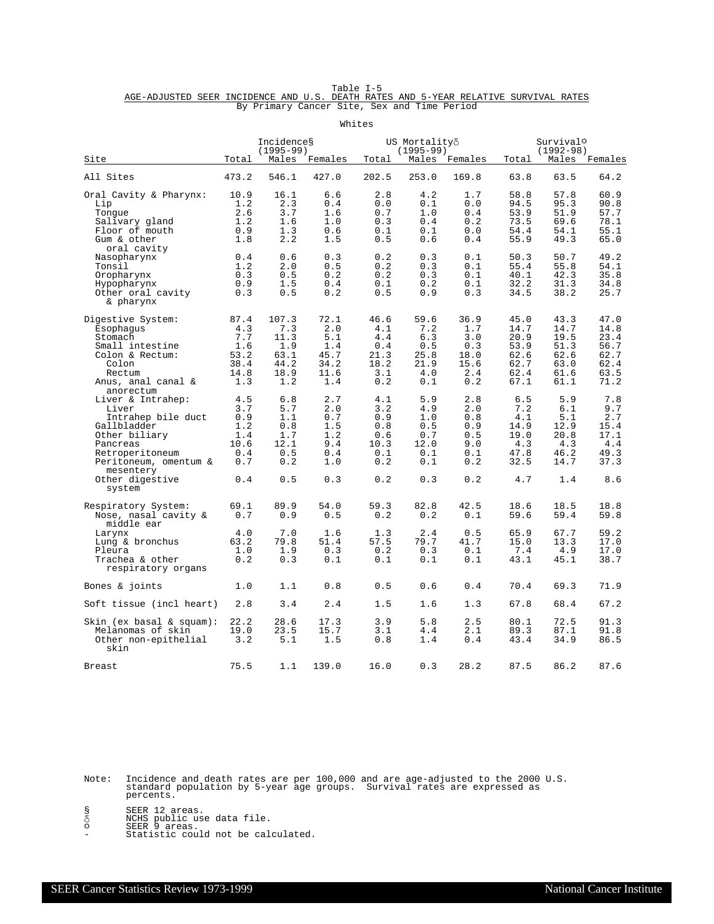| ∙an⊥ |  |
|------|--|
|------|--|

## Table I-5<br>AGE-ADJUSTED SEER INCIDENCE AND U.S. DEATH RATES AND 5-YEAR RELATIVE SURVIVAL RATES By Primary Cancer Site, Sex and Time Period

|                                                                                                                                                                                       |                                                              |                                                              |                                                             | Whites                                                       |                                                              |                                                             |                                                                 |                                                                 |                                                                 |
|---------------------------------------------------------------------------------------------------------------------------------------------------------------------------------------|--------------------------------------------------------------|--------------------------------------------------------------|-------------------------------------------------------------|--------------------------------------------------------------|--------------------------------------------------------------|-------------------------------------------------------------|-----------------------------------------------------------------|-----------------------------------------------------------------|-----------------------------------------------------------------|
|                                                                                                                                                                                       |                                                              | Incidences<br>$(1995 - 99)$                                  |                                                             |                                                              | US Mortalityo<br>$(1995 - 99)$                               |                                                             | Survival¤<br>$(1992 - 98)$<br>Males Females                     |                                                                 |                                                                 |
| Site                                                                                                                                                                                  | Total                                                        |                                                              | Males Females                                               | Total                                                        |                                                              | Males Females                                               | Total                                                           |                                                                 |                                                                 |
| All Sites                                                                                                                                                                             | 473.2                                                        | 546.1                                                        | 427.0                                                       | 202.5                                                        | 253.0                                                        | 169.8                                                       | 63.8                                                            | 63.5                                                            | 64.2                                                            |
| Oral Cavity & Pharynx:<br>Lip<br>Tongue<br>Salivary gland<br>Floor of mouth<br>Gum & other<br>oral cavity                                                                             | 10.9<br>1.2<br>2.6<br>1.2<br>0.9<br>1.8                      | 16.1<br>2.3<br>3.7<br>1.6<br>1.3<br>2.2                      | 6.6<br>0.4<br>1.6<br>1.0<br>0.6<br>1.5                      | 2.8<br>0.0<br>0.7<br>0.3<br>0.1<br>0.5                       | 4.2<br>0.1<br>1.0<br>0.4<br>0.1<br>0.6                       | 1.7<br>0.0<br>0.4<br>0.2<br>0.0<br>0.4                      | 58.8<br>94.5<br>53.9<br>73.5<br>54.4<br>55.9                    | 57.8<br>95.3<br>51.9<br>69.6<br>54.1<br>49.3                    | 60.9<br>90.8<br>57.7<br>78.1<br>55.1<br>65.0                    |
| Nasopharynx<br>Tonsil<br>Oropharynx<br>Hypopharynx<br>Other oral cavity<br>& pharynx                                                                                                  | 0.4<br>1.2<br>0.3<br>0.9<br>0.3                              | 0.6<br>2.0<br>0.5<br>1.5<br>0.5                              | 0.3<br>0.5<br>0.2<br>0.4<br>0.2                             | 0.2<br>0.2<br>0.2<br>0.1<br>0.5                              | 0.3<br>0.3<br>0.3<br>0.2<br>0.9                              | 0.1<br>0.1<br>0.1<br>0.1<br>0.3                             | 50.3<br>55.4<br>40.1<br>32.2<br>34.5                            | 50.7<br>55.8<br>42.3<br>31.3<br>38.2                            | 49.2<br>54.1<br>35.8<br>34.8<br>25.7                            |
| Digestive System:<br>Esophagus<br>Stomach<br>Small intestine<br>Colon & Rectum:<br>Colon<br>Rectum<br>Anus, anal canal &                                                              | 87.4<br>4.3<br>7.7<br>1.6<br>53.2<br>38.4<br>14.8<br>1.3     | 107.3<br>7.3<br>11.3<br>1.9<br>63.1<br>44.2<br>18.9<br>1.2   | 72.1<br>2.0<br>5.1<br>1.4<br>45.7<br>34.2<br>11.6<br>1.4    | 46.6<br>4.1<br>4.4<br>0.4<br>21.3<br>18.2<br>3.1<br>0.2      | 59.6<br>7.2<br>6.3<br>0.5<br>25.8<br>21.9<br>4.0<br>0.1      | 36.9<br>1.7<br>3.0<br>0.3<br>18.0<br>15.6<br>2.4<br>0.2     | 45.0<br>14.7<br>20.9<br>53.9<br>62.6<br>62.7<br>62.4<br>67.1    | 43.3<br>14.7<br>19.5<br>51.3<br>62.6<br>63.0<br>61.6<br>61.1    | 47.0<br>14.8<br>23.4<br>56.7<br>62.7<br>62.4<br>63.5<br>71.2    |
| anorectum<br>Liver & Intrahep:<br>Liver<br>Intrahep bile duct<br>Gallbladder<br>Other biliary<br>Pancreas<br>Retroperitoneum<br>Peritoneum, omentum &<br>mesentery<br>Other digestive | 4.5<br>3.7<br>0.9<br>1.2<br>1.4<br>10.6<br>0.4<br>0.7<br>0.4 | 6.8<br>5.7<br>1.1<br>0.8<br>1.7<br>12.1<br>0.5<br>0.2<br>0.5 | 2.7<br>2.0<br>0.7<br>1.5<br>1.2<br>9.4<br>0.4<br>1.0<br>0.3 | 4.1<br>3.2<br>0.9<br>0.8<br>0.6<br>10.3<br>0.1<br>0.2<br>0.2 | 5.9<br>4.9<br>1.0<br>0.5<br>0.7<br>12.0<br>0.1<br>0.1<br>0.3 | 2.8<br>2.0<br>0.8<br>0.9<br>0.5<br>9.0<br>0.1<br>0.2<br>0.2 | 6.5<br>7.2<br>4.1<br>14.9<br>19.0<br>4.3<br>47.8<br>32.5<br>4.7 | 5.9<br>6.1<br>5.1<br>12.9<br>20.8<br>4.3<br>46.2<br>14.7<br>1.4 | 7.8<br>9.7<br>2.7<br>15.4<br>17.1<br>4.4<br>49.3<br>37.3<br>8.6 |
| system<br>Respiratory System:<br>Nose, nasal cavity &                                                                                                                                 | 69.1<br>0.7                                                  | 89.9<br>0.9                                                  | 54.0<br>0.5                                                 | 59.3<br>0.2                                                  | 82.8<br>0.2                                                  | 42.5<br>0.1                                                 | 18.6<br>59.6                                                    | 18.5<br>59.4                                                    | 18.8<br>59.8                                                    |
| middle ear<br>Larynx<br>Lung & bronchus<br>Pleura<br>Trachea & other<br>respiratory organs                                                                                            | 4.0<br>63.2<br>1.0<br>0.2                                    | 7.0<br>79.8<br>1.9<br>0.3                                    | 1.6<br>51.4<br>0.3<br>0.1                                   | 1.3<br>57.5<br>0.2<br>0.1                                    | 2.4<br>79.7<br>0.3<br>0.1                                    | 0.5<br>41.7<br>0.1<br>0.1                                   | 65.9<br>15.0<br>7.4<br>43.1                                     | 67.7<br>13.3<br>4.9<br>45.1                                     | 59.2<br>17.0<br>17.0<br>38.7                                    |
| Bones & joints                                                                                                                                                                        | 1.0                                                          | 1.1                                                          | 0.8                                                         | 0.5                                                          | 0.6                                                          | 0.4                                                         | 70.4                                                            | 69.3                                                            | 71.9                                                            |
| Soft tissue (incl heart)                                                                                                                                                              | 2.8                                                          | 3.4                                                          | 2.4                                                         | 1.5                                                          | 1.6                                                          | 1.3                                                         | 67.8                                                            | 68.4                                                            | 67.2                                                            |
| Skin (ex basal & squam):<br>Melanomas of skin<br>Other non-epithelial<br>skin                                                                                                         | 22.2<br>19.0<br>3.2                                          | 28.6<br>23.5<br>5.1                                          | 17.3<br>15.7<br>1.5                                         | 3.9<br>3.1<br>0.8                                            | 5.8<br>4.4<br>1.4                                            | 2.5<br>2.1<br>0.4                                           | 80.1<br>89.3<br>43.4                                            | 72.5<br>87.1<br>34.9                                            | 91.3<br>91.8<br>86.5                                            |
| <b>Breast</b>                                                                                                                                                                         | 75.5                                                         | 1.1                                                          | 139.0                                                       | 16.0                                                         | 0.3                                                          | 28.2                                                        | 87.5                                                            | 86.2                                                            | 87.6                                                            |

Note: Incidence and death rates are per 100,000 and are age-adjusted to the 2000 U.S. standard population by 5-year age groups. Survival rates are expressed as percents.

- 
- 
- § SEER 12 areas. NCHS public use data file. ' SEER 9 areas. Statistic could not be calculated.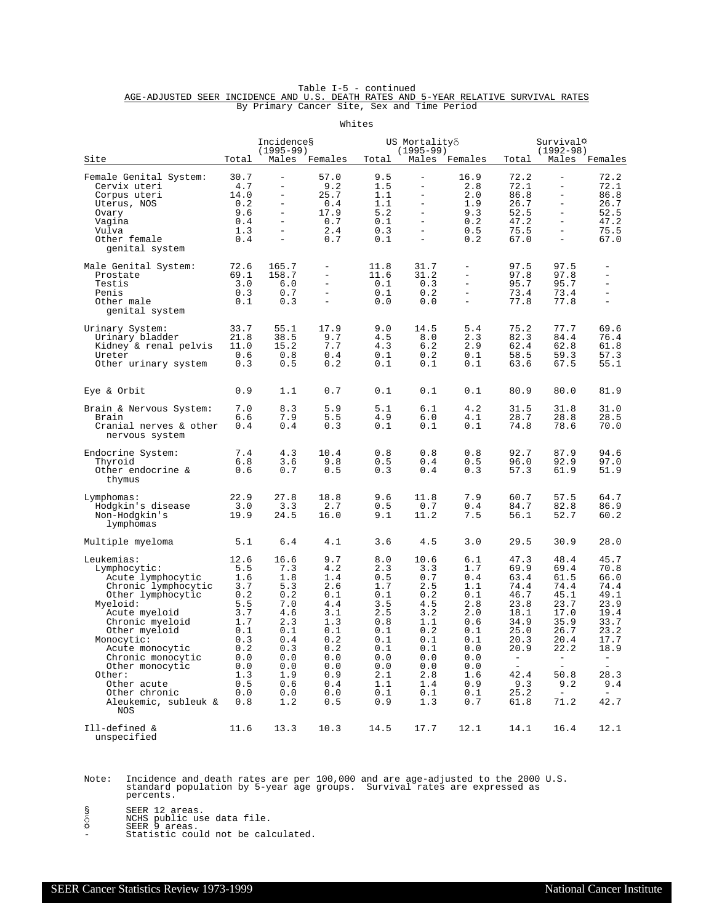|                                                   |              |                                            | Whites                                               |                                                          |                               |                                      |                                                      |                               |                                       |
|---------------------------------------------------|--------------|--------------------------------------------|------------------------------------------------------|----------------------------------------------------------|-------------------------------|--------------------------------------|------------------------------------------------------|-------------------------------|---------------------------------------|
| Site                                              | Total        | Incidences<br>$(1995 - 99)$                |                                                      | US Mortalityo<br>$(1995 - 99)$<br>Males Females<br>Total |                               | Males Females                        | Survival¤<br>$(1992 - 98)$<br>Total<br>Males Females |                               |                                       |
|                                                   |              |                                            |                                                      |                                                          |                               |                                      |                                                      |                               |                                       |
| Female Genital System:<br>Cervix uteri            | 30.7<br>4.7  | $\overline{\phantom{a}}$<br>$\overline{a}$ | 57.0<br>9.2                                          | 9.5<br>1.5                                               | $\qquad \qquad -$<br>$\equiv$ | 16.9<br>2.8                          | 72.2<br>72.1                                         | $\qquad \qquad -$<br>$\equiv$ | 72.2<br>72.1                          |
| Corpus uteri                                      | 14.0         | $\qquad \qquad -$                          | 25.7                                                 | 1.1                                                      |                               | 2.0                                  | 86.8                                                 | $\overline{\phantom{0}}$      | 86.8                                  |
| Uterus, NOS                                       | 0.2          | $\overline{\phantom{a}}$                   | 0.4                                                  | 1.1                                                      | $\overline{\phantom{a}}$      | 1.9                                  | 26.7                                                 | $\equiv$                      | 26.7                                  |
| Ovary                                             | 9.6          | $\equiv$                                   | 17.9                                                 | 5.2                                                      | $\overline{\phantom{a}}$      | 9.3                                  | 52.5                                                 | $\equiv$                      | 52.5                                  |
| Vagina                                            | 0.4          | $\qquad \qquad -$                          | 0.7                                                  | 0.1                                                      | $\equiv$                      | 0.2                                  | 47.2                                                 | $\equiv$                      | 47.2                                  |
| Vulva                                             | 1.3          | $\equiv$<br>$\overline{\phantom{a}}$       | 2.4                                                  | 0.3                                                      | $\overline{\phantom{a}}$      | 0.5                                  | 75.5                                                 | $\overline{\phantom{0}}$      | 75.5                                  |
| Other female<br>genital system                    | 0.4          |                                            | 0.7                                                  | 0.1                                                      | $\equiv$                      | 0.2                                  | 67.0                                                 | $\overline{\phantom{a}}$      | 67.0                                  |
| Male Genital System:                              | 72.6         | 165.7                                      | $\overline{\phantom{a}}$                             | 11.8                                                     | 31.7                          | $\overline{\phantom{a}}$             | 97.5                                                 | 97.5                          | $\overline{\phantom{m}}$              |
| Prostate                                          | 69.1         | 158.7                                      | $\overline{\phantom{a}}$                             | 11.6                                                     | 31.2                          | $\qquad \qquad -$                    | 97.8                                                 | 97.8                          | $\qquad \qquad -$                     |
| Testis<br>Penis                                   | 3.0<br>0.3   | 6.0<br>0.7                                 | $\overline{\phantom{a}}$<br>$\overline{\phantom{a}}$ | 0.1<br>0.1                                               | 0.3<br>0.2                    | $\equiv$<br>$\overline{\phantom{a}}$ | 95.7<br>73.4                                         | 95.7<br>73.4                  | $\overline{\phantom{a}}$<br>$\bar{ }$ |
| Other male<br>genital system                      | 0.1          | 0.3                                        | $\overline{\phantom{a}}$                             | 0.0                                                      | 0.0                           | $\overline{\phantom{a}}$             | 77.8                                                 | 77.8                          | $\overline{\phantom{a}}$              |
| Urinary System:                                   | 33.7         | 55.1                                       | 17.9                                                 | 9.0                                                      | 14.5                          | 5.4                                  | 75.2                                                 | 77.7                          | 69.6                                  |
| Urinary bladder<br>Kidney & renal pelvis          | 21.8<br>11.0 | 38.5<br>15.2                               | 9.7<br>7.7                                           | 4.5<br>4.3                                               | 8.0<br>6.2                    | 2.3<br>2.9                           | 82.3<br>62.4                                         | 84.4<br>62.8                  | 76.4<br>61.8                          |
| Ureter                                            | 0.6          | 0.8                                        | 0.4                                                  | 0.1                                                      | 0.2                           | 0.1                                  | 58.5                                                 | 59.3                          | 57.3                                  |
| Other urinary system                              | 0.3          | 0.5                                        | 0.2                                                  | 0.1                                                      | 0.1                           | 0.1                                  | 63.6                                                 | 67.5                          | 55.1                                  |
| Eye & Orbit                                       | 0.9          | 1.1                                        | 0.7                                                  | 0.1                                                      | 0.1                           | 0.1                                  | 80.9                                                 | 80.0                          | 81.9                                  |
| Brain & Nervous System:                           | 7.0          | 8.3                                        | 5.9                                                  | 5.1                                                      | 6.1                           | 4.2                                  | 31.5                                                 | 31.8                          | 31.0                                  |
| Brain<br>Cranial nerves & other<br>nervous system | 6.6<br>0.4   | 7.9<br>0.4                                 | 5.5<br>0.3                                           | 4.9<br>0.1                                               | 6.0<br>0.1                    | 4.1<br>0.1                           | 28.7<br>74.8                                         | 28.8<br>78.6                  | 28.5<br>70.0                          |
| Endocrine System:                                 | 7.4          | 4.3                                        | 10.4                                                 | 0.8                                                      | 0.8                           | 0.8                                  | 92.7                                                 | 87.9                          | 94.6                                  |
| Thyroid<br>Other endocrine &                      | 6.8<br>0.6   | 3.6<br>0.7                                 | 9.8<br>0.5                                           | 0.5<br>0.3                                               | 0.4<br>0.4                    | 0.5<br>0.3                           | 96.0<br>57.3                                         | 92.9<br>61.9                  | 97.0<br>51.9                          |
| thymus                                            |              |                                            |                                                      |                                                          |                               |                                      |                                                      |                               |                                       |
| Lymphomas:<br>Hodgkin's disease                   | 22.9<br>3.0  | 27.8<br>3.3                                | 18.8<br>2.7                                          | 9.6<br>0.5                                               | 11.8<br>0.7                   | 7.9<br>0.4                           | 60.7<br>84.7                                         | 57.5<br>82.8                  | 64.7<br>86.9                          |
| Non-Hodgkin's                                     | 19.9         | 24.5                                       | 16.0                                                 | 9.1                                                      | 11.2                          | 7.5                                  | 56.1                                                 | 52.7                          | 60.2                                  |
| lymphomas                                         |              |                                            |                                                      |                                                          |                               |                                      |                                                      |                               |                                       |
| Multiple myeloma                                  | 5.1          | 6.4                                        | 4.1                                                  | 3.6                                                      | 4.5                           | 3.0                                  | 29.5                                                 | 30.9                          | 28.0                                  |
| Leukemias:<br>Lymphocytic:                        | 12.6<br>5.5  | 16.6<br>7.3                                | 9.7<br>4.2                                           | 8.0<br>2.3                                               | 10.6<br>3.3                   | 6.1<br>1.7                           | 47.3<br>69.9                                         | 48.4<br>69.4                  | 45.7<br>70.8                          |
| Acute lymphocytic                                 | 1.6          | 1.8                                        | 1.4                                                  | 0.5                                                      | 0.7                           | 0.4                                  | 63.4                                                 | 61.5                          | 66.0                                  |
| Chronic lymphocytic                               | 3.7          | 5.3                                        | 2.6                                                  | 1.7                                                      | 2.5                           | 1.1                                  | 74.4                                                 | 74.4                          | 74.4                                  |
| Other lymphocytic                                 | 0.2          | 0.2                                        | 0.1                                                  | 0.1                                                      | 0.2                           | 0.1                                  | 46.7                                                 | 45.1                          | 49.1                                  |
| Myeloid:                                          | 5.5          | 7.0                                        | 4.4                                                  | 3.5                                                      | 4.5                           | 2.8                                  | 23.8                                                 | 23.7                          | 23.9                                  |
| Acute myeloid                                     | 3.7          | 4.6                                        | 3.1                                                  | 2.5                                                      | 3.2                           | 2.0                                  | 18.1                                                 | 17.0                          | 19.4                                  |
| Chronic myeloid                                   | 1.7          | 2.3                                        | 1.3<br>0.1                                           | 0.8                                                      | 1.1                           | 0.6                                  | 34.9                                                 | 35.9                          | 33.7<br>23.2                          |
| Other myeloid<br>Monocytic:                       | 0.1<br>0.3   | 0.1<br>0.4                                 | 0.2                                                  | 0.1<br>0.1                                               | 0.2<br>0.1                    | 0.1<br>0.1                           | 25.0<br>20.3                                         | 26.7<br>20.4                  | 17.7                                  |
| Acute monocytic                                   | $0.2$        | 0.3                                        | 0.2                                                  | 0.1                                                      | $0.1$                         | ${\bf 0}$ . ${\bf 0}$                | 20.9                                                 | 22.2                          | 18.9                                  |
| Chronic monocytic                                 | 0.0          | 0.0                                        | 0.0                                                  | 0.0                                                      | 0.0                           | 0.0                                  | $\sim$                                               | $\sim$                        | $\sim$ $^{-1}$                        |
| Other monocytic                                   | 0.0          | 0.0                                        | 0.0                                                  | 0.0                                                      | 0.0                           | 0.0                                  | $\sim$                                               | $\sim$ .                      | $\overline{\phantom{0}}$              |
| Other:                                            | 1.3          | 1.9                                        | 0.9                                                  | 2.1                                                      | 2.8                           | 1.6                                  | 42.4                                                 | 50.8                          | 28.3                                  |
| Other acute                                       | 0.5          | 0.6                                        | 0.4                                                  | 1.1                                                      | 1.4                           | 0.9                                  | 9.3                                                  | 9.2                           | 9.4                                   |
| Other chronic<br>Aleukemic, subleuk &<br>NOS      | 0.0<br>0.8   | 0.0<br>1.2                                 | 0.0<br>0.5                                           | 0.1<br>0.9                                               | 0.1<br>1.3                    | 0.1<br>0.7                           | 25.2<br>61.8                                         | $\sim$<br>71.2                | $\sim$<br>42.7                        |
| Ill-defined &<br>unspecified                      | 11.6         | 13.3                                       | 10.3                                                 | 14.5                                                     | 17.7                          | 12.1                                 | 14.1                                                 | 16.4                          | 12.1                                  |

Table I-5 - continued<br>AGE-ADJUSTED SEER INCIDENCE AND U.S. DEATH RATES AND 5-YEAR RELATIVE SURVIVAL RATES By Primary Cancer Site, Sex and Time Period

Note: Incidence and death rates are per 100,000 and are age-adjusted to the 2000 U.S. standard population by 5-year age groups. Survival rates are expressed as percents.

§ SEER 12 areas. NCHS public use data file. ' SEER 9 areas. - Statistic could not be calculated.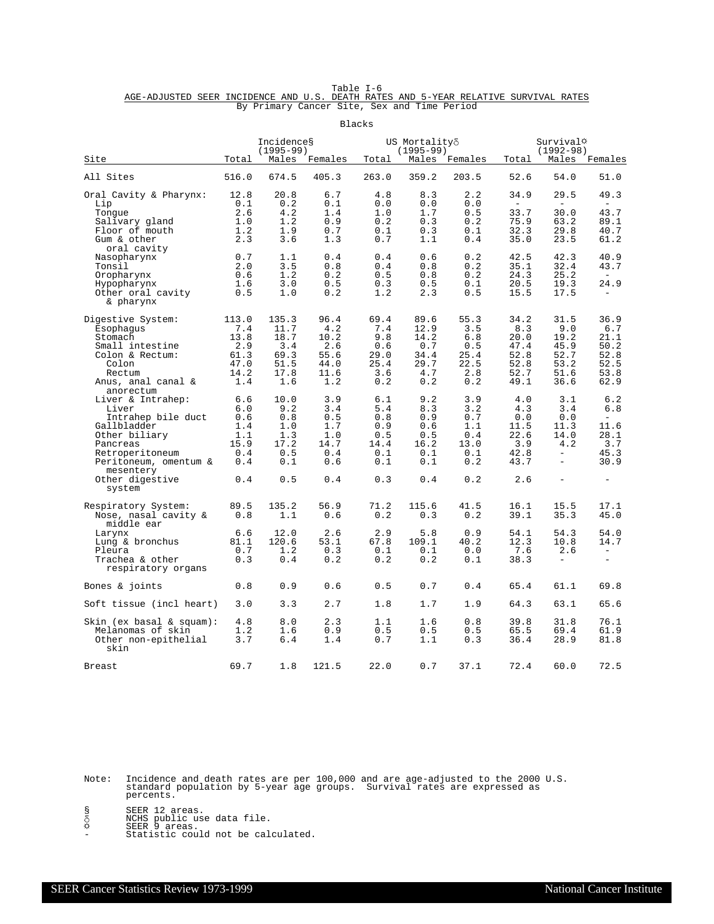| -11.1.1 |  |
|---------|--|
|---------|--|

Table I-6<br>AGE-ADJUSTED SEER INCIDENCE AND U.S. DEATH RATES AND 5-YEAR RELATIVE SURVIVAL RATES By Primary Cancer Site, Sex and Time Period

|                                                                                                                                                                    |                                                            |                                                             |                                                           | Blacks                                                  |                                                           |                                                         |                                                             |                                                                                                  |                                                             |
|--------------------------------------------------------------------------------------------------------------------------------------------------------------------|------------------------------------------------------------|-------------------------------------------------------------|-----------------------------------------------------------|---------------------------------------------------------|-----------------------------------------------------------|---------------------------------------------------------|-------------------------------------------------------------|--------------------------------------------------------------------------------------------------|-------------------------------------------------------------|
|                                                                                                                                                                    | Total                                                      | Incidences<br>$(1995 - 99)$                                 | Males Females                                             | Total                                                   | US Mortalityo<br>$(1995 - 99)$                            | Males Females                                           | Total                                                       | Survival <sup>o</sup><br>$(1992 - 98)$<br>Males Females                                          |                                                             |
| Site                                                                                                                                                               |                                                            |                                                             |                                                           |                                                         |                                                           |                                                         |                                                             |                                                                                                  |                                                             |
| All Sites                                                                                                                                                          | 516.0                                                      | 674.5                                                       | 405.3                                                     | 263.0                                                   | 359.2                                                     | 203.5                                                   | 52.6                                                        | 54.0                                                                                             | 51.0                                                        |
| Oral Cavity & Pharynx:<br>Lip<br>Tongue<br>Salivary gland<br>Floor of mouth                                                                                        | 12.8<br>0.1<br>2.6<br>1.0<br>1.2                           | 20.8<br>0.2<br>4.2<br>1.2<br>1.9                            | 6.7<br>0.1<br>1.4<br>0.9<br>0.7                           | 4.8<br>0.0<br>1.0<br>0.2<br>0.1                         | 8.3<br>0.0<br>1.7<br>0.3<br>0.3                           | 2.2<br>0.0<br>0.5<br>0.2<br>0.1                         | 34.9<br>$\overline{\phantom{a}}$<br>33.7<br>75.9<br>32.3    | 29.5<br>$\overline{\phantom{a}}$<br>30.0<br>63.2<br>29.8                                         | 49.3<br>$\equiv$<br>43.7<br>89.1<br>40.7                    |
| Gum & other<br>oral cavity                                                                                                                                         | 2.3                                                        | 3.6                                                         | 1.3                                                       | 0.7                                                     | 1.1                                                       | 0.4                                                     | 35.0                                                        | 23.5                                                                                             | 61.2                                                        |
| Nasopharynx<br>Tonsil<br>Oropharynx<br>Hypopharynx<br>Other oral cavity<br>& pharynx                                                                               | 0.7<br>2.0<br>0.6<br>1.6<br>0.5                            | 1.1<br>3.5<br>1.2<br>3.0<br>1.0                             | 0.4<br>0.8<br>0.2<br>0.5<br>0.2                           | 0.4<br>0.4<br>0.5<br>0.3<br>1.2                         | 0.6<br>0.8<br>0.8<br>0.5<br>2.3                           | 0.2<br>0.2<br>0.2<br>0.1<br>0.5                         | 42.5<br>35.1<br>24.3<br>20.5<br>15.5                        | 42.3<br>32.4<br>25.2<br>19.3<br>17.5                                                             | 40.9<br>43.7<br>$\sim$<br>24.9<br>$\overline{\phantom{a}}$  |
| Digestive System:<br>Esophagus<br>Stomach<br>Small intestine<br>Colon & Rectum:<br>Colon<br>Rectum<br>Anus, anal canal &                                           | 113.0<br>7.4<br>13.8<br>2.9<br>61.3<br>47.0<br>14.2<br>1.4 | 135.3<br>11.7<br>18.7<br>3.4<br>69.3<br>51.5<br>17.8<br>1.6 | 96.4<br>4.2<br>10.2<br>2.6<br>55.6<br>44.0<br>11.6<br>1.2 | 69.4<br>7.4<br>9.8<br>0.6<br>29.0<br>25.4<br>3.6<br>0.2 | 89.6<br>12.9<br>14.2<br>0.7<br>34.4<br>29.7<br>4.7<br>0.2 | 55.3<br>3.5<br>6.8<br>0.5<br>25.4<br>22.5<br>2.8<br>0.2 | 34.2<br>8.3<br>20.0<br>47.4<br>52.8<br>52.8<br>52.7<br>49.1 | 31.5<br>9.0<br>19.2<br>45.9<br>52.7<br>53.2<br>51.6<br>36.6                                      | 36.9<br>6.7<br>21.1<br>50.2<br>52.8<br>52.5<br>53.8<br>62.9 |
| anorectum<br>Liver & Intrahep:<br>Liver<br>Intrahep bile duct<br>Gallbladder<br>Other biliary<br>Pancreas<br>Retroperitoneum<br>Peritoneum, omentum &<br>mesentery | 6.6<br>6.0<br>0.6<br>1.4<br>1.1<br>15.9<br>0.4<br>0.4      | 10.0<br>9.2<br>0.8<br>1.0<br>1.3<br>17.2<br>0.5<br>0.1      | 3.9<br>3.4<br>0.5<br>1.7<br>1.0<br>14.7<br>0.4<br>0.6     | 6.1<br>5.4<br>0.8<br>0.9<br>0.5<br>14.4<br>0.1<br>0.1   | 9.2<br>8.3<br>0.9<br>0.6<br>0.5<br>16.2<br>0.1<br>0.1     | 3.9<br>3.2<br>0.7<br>1.1<br>0.4<br>13.0<br>0.1<br>0.2   | 4.0<br>4.3<br>0.0<br>11.5<br>22.6<br>3.9<br>42.8<br>43.7    | 3.1<br>3.4<br>0.0<br>11.3<br>14.0<br>4.2<br>$\overline{\phantom{a}}$<br>$\overline{\phantom{a}}$ | 6.2<br>6.8<br>$\sim$<br>11.6<br>28.1<br>3.7<br>45.3<br>30.9 |
| Other digestive<br>system                                                                                                                                          | 0.4                                                        | 0.5                                                         | 0.4                                                       | 0.3                                                     | 0.4                                                       | 0.2                                                     | 2.6                                                         |                                                                                                  |                                                             |
| Respiratory System:<br>Nose, nasal cavity &<br>middle ear                                                                                                          | 89.5<br>0.8                                                | 135.2<br>1.1                                                | 56.9<br>0.6                                               | 71.2<br>0.2                                             | 115.6<br>0.3                                              | 41.5<br>0.2                                             | 16.1<br>39.1                                                | 15.5<br>35.3                                                                                     | 17.1<br>45.0                                                |
| Larynx<br>Lung & bronchus<br>Pleura<br>Trachea & other<br>respiratory organs                                                                                       | 6.6<br>81.1<br>0.7<br>0.3                                  | 12.0<br>120.6<br>1.2<br>0.4                                 | 2.6<br>53.1<br>0.3<br>0.2                                 | 2.9<br>67.8<br>0.1<br>0.2                               | 5.8<br>109.1<br>0.1<br>0.2                                | 0.9<br>40.2<br>0.0<br>0.1                               | 54.1<br>12.3<br>7.6<br>38.3                                 | 54.3<br>10.8<br>2.6                                                                              | 54.0<br>14.7<br>$\overline{\phantom{m}}$<br>$\equiv$        |
| Bones & joints                                                                                                                                                     | 0.8                                                        | 0.9                                                         | 0.6                                                       | 0.5                                                     | 0.7                                                       | 0.4                                                     | 65.4                                                        | 61.1                                                                                             | 69.8                                                        |
| Soft tissue (incl heart)                                                                                                                                           | 3.0                                                        | 3.3                                                         | 2.7                                                       | 1.8                                                     | 1.7                                                       | 1.9                                                     | 64.3                                                        | 63.1                                                                                             | 65.6                                                        |
| Skin (ex basal & squam):<br>Melanomas of skin<br>Other non-epithelial<br>skin                                                                                      | 4.8<br>1.2<br>3.7                                          | 8.0<br>1.6<br>6.4                                           | 2.3<br>0.9<br>1.4                                         | 1.1<br>0.5<br>0.7                                       | 1.6<br>0.5<br>1.1                                         | 0.8<br>0.5<br>0.3                                       | 39.8<br>65.5<br>36.4                                        | 31.8<br>69.4<br>28.9                                                                             | 76.1<br>61.9<br>81.8                                        |
| <b>Breast</b>                                                                                                                                                      | 69.7                                                       | 1.8                                                         | 121.5                                                     | 22.0                                                    | 0.7                                                       | 37.1                                                    | 72.4                                                        | 60.0                                                                                             | 72.5                                                        |

Note: Incidence and death rates are per 100,000 and are age-adjusted to the 2000 U.S. standard population by 5-year age groups. Survival rates are expressed as percents.

- 
- 
- § SEER 12 areas. NCHS public use data file. ' SEER 9 areas. Statistic could not be calculated.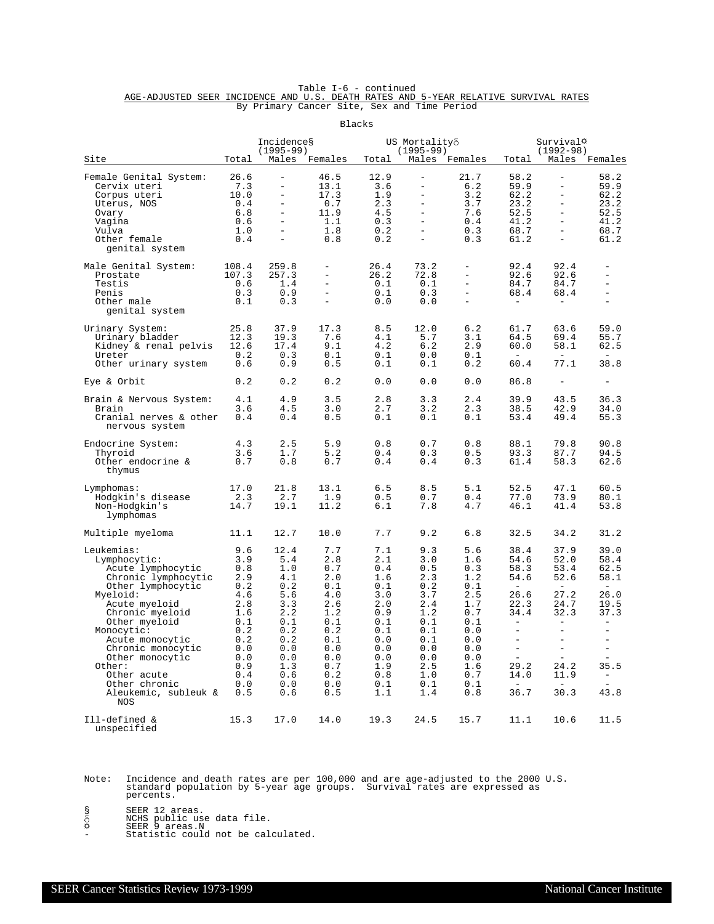| Site                                                                                                                                                                                                                                                                                                                       | Total                                                                                           | Incidences<br>$(1995 - 99)$                                                                                                                                        | Males Females                                                                                                       | Total                                                                                                               | US Mortalityo<br>$(1995 - 99)$                                                                                               | Males Females                                                                                                       | Total                                                                                                                                                                                      | Survival <sup>o</sup><br>$(1992 - 98)$                                                                                                                                                  | Males Females                                                                                                                                                                                                                            |
|----------------------------------------------------------------------------------------------------------------------------------------------------------------------------------------------------------------------------------------------------------------------------------------------------------------------------|-------------------------------------------------------------------------------------------------|--------------------------------------------------------------------------------------------------------------------------------------------------------------------|---------------------------------------------------------------------------------------------------------------------|---------------------------------------------------------------------------------------------------------------------|------------------------------------------------------------------------------------------------------------------------------|---------------------------------------------------------------------------------------------------------------------|--------------------------------------------------------------------------------------------------------------------------------------------------------------------------------------------|-----------------------------------------------------------------------------------------------------------------------------------------------------------------------------------------|------------------------------------------------------------------------------------------------------------------------------------------------------------------------------------------------------------------------------------------|
| Female Genital System: 26.6<br>Cervix uteri<br>Corpus uteri<br>Uterus, NOS<br>Ovary<br>Vagina<br>Vulva<br>Other female<br>genital system                                                                                                                                                                                   | 7.3<br>10.0<br>0.4<br>6.8<br>0.6<br>1.0<br>0.4                                                  | $\overline{\phantom{m}}$<br>$\overline{\phantom{a}}$<br>$\equiv$<br>$\overline{\phantom{a}}$<br>$\equiv$<br>$\equiv$<br>$\overline{a}$<br>$\overline{\phantom{a}}$ | 46.5<br>13.1<br>17.3<br>0.7<br>11.9<br>1.1<br>1.8<br>0.8                                                            | 12.9<br>3.6<br>1.9<br>2.3<br>4.5<br>0.3<br>0.2<br>0.2                                                               | $\overline{\phantom{a}}$<br>$\overline{\phantom{a}}$<br>$\equiv$<br>$\equiv$<br>$\equiv$<br>$\equiv$<br>$\equiv$<br>$\equiv$ | 21.7<br>6.2<br>3.2<br>3.7<br>7.6<br>0.4<br>0.3<br>0.3                                                               | 58.2<br>59.9<br>62.2<br>23.2<br>52.5<br>41.2<br>68.7<br>61.2                                                                                                                               | $\overline{\phantom{a}}$<br>$\overline{a}$<br>$\overline{a}$<br>$\overline{a}$<br>$\sim$<br>$\overline{\phantom{a}}$<br>$\overline{a}$<br>$\bar{a}$                                     | 58.2<br>59.9<br>62.2<br>23.2<br>52.5<br>41.2<br>68.7<br>61.2                                                                                                                                                                             |
| Male Genital System:<br>Prostate<br>Testis<br>Penis<br>Other male<br>genital system                                                                                                                                                                                                                                        | 108.4<br>107.3<br>0.6<br>0.3<br>0.1                                                             | 259.8<br>257.3<br>1.4<br>0.9<br>0.3                                                                                                                                | $\overline{\phantom{0}}$<br>$\overline{\phantom{a}}$<br>$\overline{\phantom{0}}$<br>$\equiv$                        | 26.4<br>26.2<br>0.1<br>0.1<br>0.0                                                                                   | 73.2<br>72.8<br>0.1<br>0.3<br>0.0                                                                                            | $\overline{\phantom{a}}$<br>$\overline{\phantom{a}}$<br>$\equiv$<br>$\equiv$                                        | 92.4<br>92.6<br>84.7<br>68.4                                                                                                                                                               | 92.4<br>92.6<br>84.7<br>68.4                                                                                                                                                            | —<br>$\qquad \qquad -$<br>$\overline{a}$                                                                                                                                                                                                 |
| Urinary System:<br>Urinary bladder<br>Kidney & renal pelvis<br>Ureter<br>Other urinary system                                                                                                                                                                                                                              | 25.8<br>12.3<br>12.6<br>0.2<br>0.6                                                              | 37.9<br>19.3<br>17.4<br>0.3<br>0.9                                                                                                                                 | 17.3<br>7.6<br>9.1<br>0.1<br>0.5                                                                                    | 8.5<br>4.1<br>4.2<br>0.1<br>0.1                                                                                     | 12.0<br>5.7<br>6.2<br>0.0<br>0.1                                                                                             | 6.2<br>3.1<br>2.9<br>0.1<br>0.2                                                                                     | 61.7<br>64.5<br>60.0<br><b>Contract Contract Street</b><br>60.4                                                                                                                            | 63.6<br>69.4<br>58.1<br><b>Contract Contract Street</b><br>77.1                                                                                                                         | 59.0<br>55.7<br>62.5<br>$\sim$<br>38.8                                                                                                                                                                                                   |
| Eye & Orbit                                                                                                                                                                                                                                                                                                                | 0.2                                                                                             | 0.2                                                                                                                                                                | 0.2                                                                                                                 | 0.0                                                                                                                 | 0.0                                                                                                                          | 0.0                                                                                                                 | 86.8                                                                                                                                                                                       | $\overline{\phantom{a}}$                                                                                                                                                                | $\overline{a}$                                                                                                                                                                                                                           |
| Brain & Nervous System:<br>Brain<br>Cranial nerves & other<br>nervous system                                                                                                                                                                                                                                               | 4.1<br>3.6<br>0.4                                                                               | 4.9<br>4.5<br>0.4                                                                                                                                                  | 3.5<br>3.0<br>0.5                                                                                                   | 2.8<br>2.7<br>0.1                                                                                                   | 3.3<br>3.2<br>0.1                                                                                                            | 2.4<br>2.3<br>0.1                                                                                                   | 39.9<br>38.5<br>53.4                                                                                                                                                                       | 43.5<br>42.9<br>49.4                                                                                                                                                                    | 36.3<br>34.0<br>55.3                                                                                                                                                                                                                     |
| Endocrine System:<br>Thyroid<br>Other endocrine &<br>thymus                                                                                                                                                                                                                                                                | 4.3<br>3.6<br>0.7                                                                               | 2.5<br>1.7<br>0.8                                                                                                                                                  | 5.9<br>5.2<br>0.7                                                                                                   | 0.8<br>0.4<br>0.4                                                                                                   | 0.7<br>0.3<br>0.4                                                                                                            | 0.8<br>0.5<br>0.3                                                                                                   | 88.1<br>93.3<br>61.4                                                                                                                                                                       | 79.8<br>87.7<br>58.3                                                                                                                                                                    | 90.8<br>94.5<br>62.6                                                                                                                                                                                                                     |
| Lymphomas:<br>Hodgkin's disease<br>Non-Hodgkin's<br>lymphomas                                                                                                                                                                                                                                                              | 17.0<br>2.3<br>14.7                                                                             | 21.8<br>2.7<br>19.1                                                                                                                                                | 13.1<br>1.9<br>11.2                                                                                                 | 6.5<br>0.5<br>6.1                                                                                                   | 8.5<br>0.7<br>7.8                                                                                                            | 5.1<br>0.4<br>4.7                                                                                                   | 52.5<br>77.0<br>46.1                                                                                                                                                                       | 47.1<br>73.9<br>41.4                                                                                                                                                                    | 60.5<br>80.1<br>53.8                                                                                                                                                                                                                     |
| Multiple myeloma                                                                                                                                                                                                                                                                                                           | 11.1                                                                                            | 12.7                                                                                                                                                               | 10.0                                                                                                                | 7.7                                                                                                                 | 9.2                                                                                                                          | 6.8                                                                                                                 | 32.5                                                                                                                                                                                       | 34.2                                                                                                                                                                                    | 31.2                                                                                                                                                                                                                                     |
| Leukemias:<br>Lymphocytic:<br>Acute lymphocytic 0.8<br>Chronic lymphocytic 2.9<br>Other lymphocytic<br>Myeloid:<br>Acute myeloid<br>Chronic myeloid<br>Other myeloid<br>Monocytic:<br>Acute monocytic<br>Chronic monocytic<br>Other monocytic<br>Other:<br>Other acute<br>Other chronic<br>Aleukemic, subleuk & 0.5<br>NOS | 9.6<br>3.9<br>0.2<br>4.6<br>$2.8$<br>$1.6$<br>$0.1$<br>0.2<br>$0.2$<br>0.0<br>0.9<br>0.4<br>0.0 | 12.4<br>5.4<br>1.0<br>4.1<br>0.2<br>5.6<br>3.3<br>2.2<br>0.1<br>0.2<br>0.2<br>0.0<br>0.0<br>1.3<br>0.6<br>0.0<br>0.6                                               | 7.7<br>2.8<br>0.7<br>2.0<br>0.1<br>4.0<br>2.6<br>1.2<br>0.1<br>0.2<br>0.1<br>0.0<br>0.0<br>0.7<br>0.2<br>0.0<br>0.5 | 7.1<br>2.1<br>0.4<br>1.6<br>0.1<br>3.0<br>2.0<br>0.9<br>0.1<br>0.1<br>0.0<br>0.0<br>0.0<br>1.9<br>0.8<br>0.1<br>1.1 | 9.3<br>3.0<br>0.5<br>2.3<br>0.2<br>3.7<br>2.4<br>1.2<br>0.1<br>0.1<br>0.1<br>0.0<br>0.0<br>2.5<br>1.0<br>0.1<br>1.4          | 5.6<br>1.6<br>0.3<br>1.2<br>0.1<br>2.5<br>1.7<br>0.7<br>0.1<br>0.0<br>0.0<br>0.0<br>0.0<br>1.6<br>0.7<br>0.1<br>0.8 | 38.4<br>54.6<br>58.3<br>54.6<br>$\sim$ $\sim$<br>26.6<br>22.3<br>34.4<br>$\sim$<br>$\overline{\phantom{a}}$<br>$\overline{\phantom{a}}$<br>$-$<br>$\sim$<br>29.2<br>14.0<br>$\sim$<br>36.7 | 37.9<br>52.0<br>53.4<br>52.6<br><b>Contract Contract</b><br>27.2<br>24.7<br>32.3<br>$\sim$<br>$\qquad \qquad -$<br>$\overline{\phantom{a}}$<br>$\sim$<br>$\sim$<br>24.2<br>11.9<br>30.3 | 39.0<br>58.4<br>62.5<br>58.1<br>$\sim$<br>26.0<br>19.5<br>37.3<br>$\overline{\phantom{0}}$<br>$\overline{\phantom{0}}$<br>$\overline{\phantom{a}}$<br>$\equiv$<br>$\equiv$<br>35.5<br>$\overline{\phantom{a}}$<br>$\overline{a}$<br>43.8 |
| Ill-defined &                                                                                                                                                                                                                                                                                                              | 15.3                                                                                            | 17.0                                                                                                                                                               | 14.0                                                                                                                | 19.3                                                                                                                | 24.5                                                                                                                         | 15.7                                                                                                                | 11.1                                                                                                                                                                                       | 10.6                                                                                                                                                                                    | 11.5                                                                                                                                                                                                                                     |

Table I-6 - continued<br>AGE-ADJUSTED SEER INCIDENCE AND U.S. DEATH RATES AND 5-YEAR RELATIVE SURVIVAL RATES By Primary Cancer Site, Sex and Time Period Blacks

Note: Incidence and death rates are per 100,000 and are age-adjusted to the 2000 U.S. standard population by 5-year age groups. Survival rates are expressed as percents.

unspecified

§ SEER 12 areas. NCHS public use data file. ' SEER 9 areas.N - Statistic could not be calculated.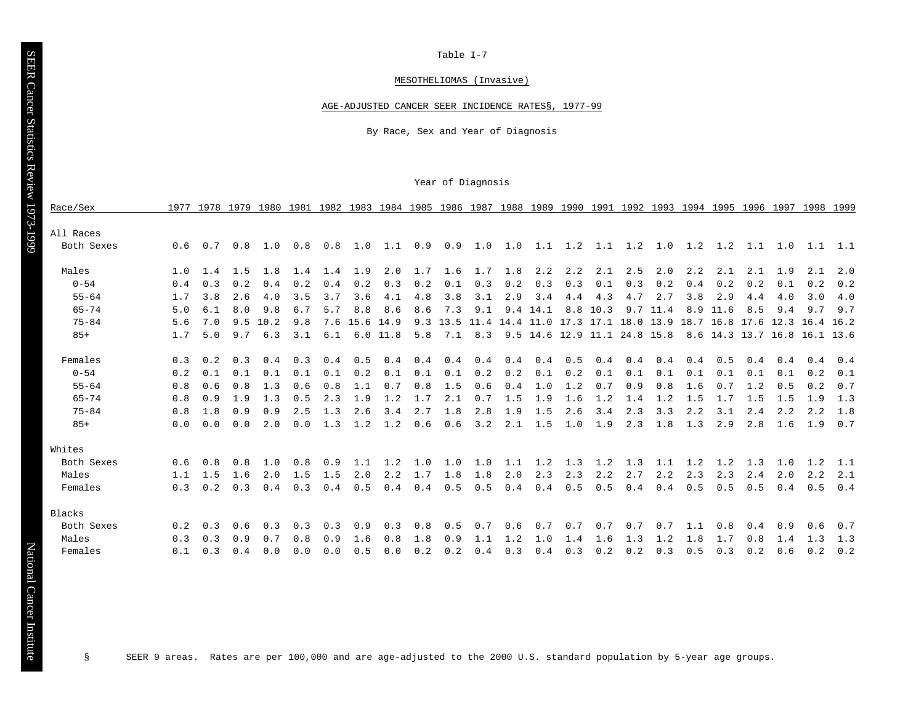Table I-7

#### MESOTHELIOMAS (Invasive)

#### AGE-ADJUSTED CANCER SEER INCIDENCE RATES§, 1977-99

By Race, Sex and Year of Diagnosis

#### Year of Diagnosis

| Race/Sex   |     | 1977 1978 1979 |     | 1980 | 1981 |     | 1982 1983 1984 |      |     | 1985 1986 1987 |      |      | 1988 1989  | 1990            | 1991                |     | 1992 1993       |      | 1994 1995 1996 1997 |      |      | 1998 1999                |      |
|------------|-----|----------------|-----|------|------|-----|----------------|------|-----|----------------|------|------|------------|-----------------|---------------------|-----|-----------------|------|---------------------|------|------|--------------------------|------|
|            |     |                |     |      |      |     |                |      |     |                |      |      |            |                 |                     |     |                 |      |                     |      |      |                          |      |
| All Races  |     |                |     |      |      |     |                |      |     |                |      |      |            |                 |                     |     |                 |      |                     |      |      |                          |      |
| Both Sexes | 0.6 | 0.7            | 0.8 | 1.0  | 0.8  | 0.8 | 1.0            | 1.1  | 0.9 | 0.9            | 1.0  | 1.0  |            | $1.1 \quad 1.2$ | 1.1                 | 1.2 | 1.0             | 1.2  | 1.2                 | 1.1  | 1.0  | 1.1                      | 1.1  |
| Males      | 1.0 | 1.4            | 1.5 | 1.8  | 1.4  | 1.4 | 1.9            | 2.0  | 1.7 | 1.6            | 1.7  | 1.8  | 2.2        | 2.2             | 2.1                 | 2.5 | 2.0             | 2.2  | 2.1                 | 2.1  | 1.9  | 2.1                      | 2.0  |
| $0 - 54$   | 0.4 | 0.3            | 0.2 | 0.4  | 0.2  | 0.4 | 0.2            | 0.3  | 0.2 | 0.1            | 0.3  | 0.2  | 0.3        | 0.3             | 0.1                 | 0.3 | 0.2             | 0.4  | 0.2                 | 0.2  | 0.1  | 0.2                      | 0.2  |
| $55 - 64$  | 1.7 | 3.8            | 2.6 | 4.0  | 3.5  | 3.7 | 3.6            | 4.1  | 4.8 | 3.8            | 3.1  | 2.9  | 3.4        | 4.4             | 4.3                 | 4.7 | 2.7             | 3.8  | 2.9                 | 4.4  | 4.0  | 3.0                      | 4.0  |
| $65 - 74$  | 5.0 | 6.1            | 8.0 | 9.8  | 6.7  | 5.7 | 8.8            | 8.6  | 8.6 | 7.3            | 9.1  | 9.4  | 14.1       | 8.8             | 10.3                | 9.7 | 11<br>$\cdot$ 4 | 8.9  | 11.6                | 8.5  | 9.4  | 9.7                      | 9.7  |
| $75 - 84$  | 5.6 | 7.0            | 9.5 | 10.2 | 9.8  | 7.6 | 15.6           | 14.9 | 9.3 | 13.5           | 11.4 | 14.4 | 11.0       | 17.3            | 17.1 18.0 13.9      |     |                 | 18.7 | 16.8                | 17.6 | 12.3 | 16.4                     | 16.2 |
| $85+$      | 1.7 | 5.0            | 9.7 | 6.3  | 3.1  | 6.1 | 6.0            | 11.8 | 5.8 | 7.1            | 8.3  |      | $9.5$ 14.6 |                 | 12.9 11.1 24.8 15.8 |     |                 | 8.6  |                     |      |      | 14.3 13.7 16.8 16.1 13.6 |      |
|            |     |                |     |      |      |     |                |      |     |                |      |      |            |                 |                     |     |                 |      |                     |      |      |                          |      |
| Females    | 0.3 | 0.2            | 0.3 | 0.4  | 0.3  | 0.4 | 0.5            | 0.4  | 0.4 | 0.4            | 0.4  | 0.4  | 0.4        | 0.5             | 0.4                 | 0.4 | 0.4             | 0.4  | 0.5                 | 0.4  | 0.4  | 0.4                      | 0.4  |
| $0 - 54$   | 0.2 | 0.1            | 0.1 | 0.1  | 0.1  | 0.1 | 0.2            | 0.1  | 0.1 | 0.1            | 0.2  | 0.2  | 0.1        | 0.2             | 0.1                 | 0.1 | 0.1             | 0.1  | 0.1                 | 0.1  | 0.1  | 0.2                      | 0.1  |
| $55 - 64$  | 0.8 | 0.6            | 0.8 | 1.3  | 0.6  | 0.8 | 1.1            | 0.7  | 0.8 | 1.5            | 0.6  | 0.4  | 1.0        | 1.2             | 0.7                 | 0.9 | 0.8             | 1.6  | 0.7                 | 1.2  | 0.5  | 0.2                      | 0.7  |
| $65 - 74$  | 0.8 | 0.9            | 1.9 | 1.3  | 0.5  | 2.3 | 1.9            | 1.2  | 1.7 | 2.1            | 0.7  | 1.5  | 1.9        | 1.6             | 1.2                 | 1.4 | 1.2             | 1.5  | 1.7                 | 1.5  | 1.5  | 1.9                      | 1.3  |
| $75 - 84$  | 0.8 | 1.8            | 0.9 | 0.9  | 2.5  | 1.3 | 2.6            | 3.4  | 2.7 | 1.8            | 2.8  | 1.9  | 1.5        | 2.6             | 3.4                 | 2.3 | 3.3             | 2.2  | 3.1                 | 2.4  | 2.2  | 2.2                      | 1.8  |
| $85+$      | 0.0 | 0.0            | 0.0 | 2.0  | 0.0  | 1.3 | 1.2            | 1.2  | 0.6 | 0.6            | 3.2  | 2.1  | 1.5        | 1.0             | 1.9                 | 2.3 | 1.8             | 1.3  | 2.9                 | 2.8  | 1.6  | 1.9                      | 0.7  |
| Whites     |     |                |     |      |      |     |                |      |     |                |      |      |            |                 |                     |     |                 |      |                     |      |      |                          |      |
| Both Sexes | 0.6 | 0.8            | 0.8 | 1.0  | 0.8  | 0.9 | 1.1            | 1.2  | 1.0 | 1.0            | 1.0  | 1.1  | 1.2        | 1.3             | 1.2                 | 1.3 | 1.1             | 1.2  | 1.2                 | 1.3  | 1.0  | 1.2                      | 1.1  |
| Males      | 1.1 | 1.5            | 1.6 | 2.0  | 1.5  | 1.5 | 2.0            | 2.2  | 1.7 | 1.8            | 1.8  | 2.0  | 2.3        | 2.3             | 2.2                 | 2.7 | 2.2             | 2.3  | 2.3                 | 2.4  | 2.0  | 2.2                      | 2.1  |
| Females    | 0.3 | 0.2            | 0.3 | 0.4  | 0.3  | 0.4 | 0.5            | 0.4  | 0.4 | 0.5            | 0.5  | 0.4  | 0.4        | 0.5             | 0.5                 | 0.4 | 0.4             | 0.5  | 0.5                 | 0.5  | 0.4  | 0.5                      | 0.4  |
|            |     |                |     |      |      |     |                |      |     |                |      |      |            |                 |                     |     |                 |      |                     |      |      |                          |      |
| Blacks     |     |                |     |      |      |     |                |      |     |                |      |      |            |                 |                     |     |                 |      |                     |      |      |                          |      |
| Both Sexes | 0.2 | 0.3            | 0.6 | 0.3  | 0.3  | 0.3 | 0.9            | 0.3  | 0.8 | 0.5            | 0.7  | 0.6  | 0.7        | 0.7             | 0.7                 | 0.7 | 0.7             | 1.1  | 0.8                 | 0.4  | 0.9  | 0.6                      | 0.7  |
| Males      | 0.3 | 0.3            | 0.9 | 0.7  | 0.8  | 0.9 | 1.6            | 0.8  | 1.8 | 0.9            | 1.1  | 1.2  | 1.0        | 1.4             | 1.6                 | 1.3 | 1.2             | 1.8  | 1.7                 | 0.8  | 1.4  | 1.3                      | 1.3  |
| Females    | 0.1 | 0.3            | 0.4 | 0.0  | 0.0  | 0.0 | 0.5            | 0.0  | 0.2 | 0.2            | 0.4  | 0.3  | 0.4        | 0.3             | 0.2                 | 0.2 | 0.3             | 0.5  | 0.3                 | 0.2  | 0.6  | 0.2                      | 0.2  |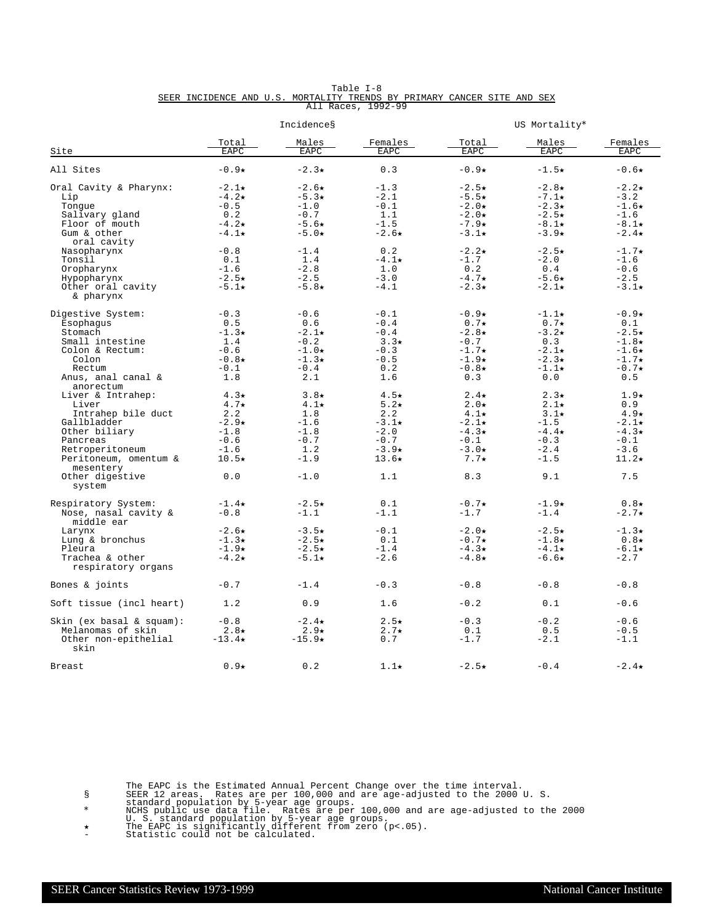| Table I-8 |  |  |                                                                         |  |  |  |  |  |  |  |  |
|-----------|--|--|-------------------------------------------------------------------------|--|--|--|--|--|--|--|--|
|           |  |  | SEER INCIDENCE AND U.S. MORTALITY TRENDS BY PRIMARY CANCER SITE AND SEX |  |  |  |  |  |  |  |  |
|           |  |  | All Races, 1992-99                                                      |  |  |  |  |  |  |  |  |

|                                       |               | Incidences    |                 | US Mortality*        |               |                        |  |  |  |
|---------------------------------------|---------------|---------------|-----------------|----------------------|---------------|------------------------|--|--|--|
| Site                                  | Total<br>EAPC | Males<br>EAPC | Females<br>EAPC | Total<br><b>EAPC</b> | Males<br>EAPC | Females<br><b>EAPC</b> |  |  |  |
| All Sites                             | $-0.9*$       | $-2.3\star$   | 0.3             | $-0.9*$              | $-1.5\star$   | $-0.6*$                |  |  |  |
| Oral Cavity & Pharynx:                | $-2.1\star$   | $-2.6\star$   | $-1.3$          | $-2.5\star$          | $-2.8*$       | $-2.2\star$            |  |  |  |
| Lip                                   | $-4.2\star$   | $-5.3*$       | $-2.1$          | $-5.5+$              | $-7.1\star$   | $-3.2$                 |  |  |  |
| Tonque                                | $-0.5$        | $-1.0$        | $-0.1$          | $-2.0*$              | $-2.3\star$   | $-1.6\star$            |  |  |  |
| Salivary gland                        | 0.2           | $-0.7$        | 1.1             | $-2.0*$              | $-2.5\star$   | $-1.6$                 |  |  |  |
| Floor of mouth                        | $-4.2\star$   | $-5.6\star$   | $-1.5$          | $-7.9*$              | $-8.1\star$   | $-8.1\star$            |  |  |  |
| Gum & other                           | $-4.1\star$   | $-5.0*$       | $-2.6\star$     | $-3.1\star$          | $-3.9+$       | $-2.4\star$            |  |  |  |
| oral cavity                           |               |               |                 |                      |               |                        |  |  |  |
| Nasopharynx                           | $-0.8$        | $-1.4$        | 0.2             | $-2.2\star$          | $-2.5\star$   | $-1.7*$                |  |  |  |
| Tonsil                                | 0.1           | 1.4           | $-4.1\star$     | $-1.7$               | $-2.0$        | $-1.6$                 |  |  |  |
| Oropharynx                            | $-1.6$        | $-2.8$        | 1.0             | 0.2                  | 0.4           | $-0.6$                 |  |  |  |
| Hypopharynx                           | $-2.5\star$   | $-2.5$        | $-3.0$          | $-4.7\star$          | $-5.6*$       | $-2.5$                 |  |  |  |
| Other oral cavity                     | $-5.1\star$   | $-5.8\star$   | $-4.1$          | $-2.3\star$          | $-2.1\star$   | $-3.1\star$            |  |  |  |
| & pharynx                             |               |               |                 |                      |               |                        |  |  |  |
| Digestive System:                     | $-0.3$        | $-0.6$        | $-0.1$          | $-0.9*$              | $-1.1\star$   | $-0.9*$                |  |  |  |
| Esophaqus                             | 0.5           | 0.6           | $-0.4$          | $0.7\star$           | $0.7\star$    | 0.1                    |  |  |  |
| Stomach                               | $-1.3*$       | $-2.1\star$   | $-0.4$          | $-2.8+$              | $-3.2+$       | $-2.5\star$            |  |  |  |
| Small intestine                       | 1.4           | $-0.2$        | $3.3*$          | $-0.7$               | 0.3           | $-1.8\star$            |  |  |  |
| Colon & Rectum:                       | $-0.6$        | $-1.0+$       | $-0.3$          | $-1.7\star$          | $-2.1\star$   | $-1.6\star$            |  |  |  |
| Colon                                 | $-0.8*$       | $-1.3*$       | $-0.5$          | $-1.9*$              | $-2.3*$       | $-1.7\star$            |  |  |  |
| Rectum                                | $-0.1$        | $-0.4$        | 0.2             | $-0.8*$              | $-1.1\star$   | $-0.7\star$            |  |  |  |
|                                       | 1.8           | 2.1           | 1.6             | 0.3                  | 0.0           | 0.5                    |  |  |  |
| Anus, anal canal &<br>anorectum       |               |               |                 |                      |               |                        |  |  |  |
| Liver & Intrahep:                     | $4.3\star$    | $3.8+$        | $4.5\star$      | $2.4\star$           | $2.3\star$    | $1.9\star$             |  |  |  |
| Liver                                 | $4.7\star$    | $4.1\star$    | $5.2\star$      | $2.0\star$           | $2.1\star$    | 0.9                    |  |  |  |
| Intrahep bile duct                    | 2.2           | 1.8           | 2.2             | $4.1\star$           | $3.1\star$    | $4.9*$                 |  |  |  |
| Gallbladder                           | $-2.9*$       | $-1.6$        | $-3.1\star$     | $-2.1\star$          | $-1.5$        | $-2.1\star$            |  |  |  |
| Other biliary                         | $-1.8$        | $-1.8$        | $-2.0$          | $-4.3\star$          | $-4.4\star$   | $-4.3\star$            |  |  |  |
| Pancreas                              | $-0.6$        | $-0.7$        | $-0.7$          | $-0.1$               | $-0.3$        | $-0.1$                 |  |  |  |
| Retroperitoneum                       | $-1.6$        | 1.2           | $-3.9*$         | $-3.0*$              | $-2.4$        | $-3.6$                 |  |  |  |
| Peritoneum, omentum &<br>mesentery    | $10.5\star$   | $-1.9$        | $13.6*$         | $7.7\star$           | $-1.5$        | $11.2*$                |  |  |  |
| Other digestive                       | 0.0           | $-1.0$        | 1.1             | 8.3                  | 9.1           | 7.5                    |  |  |  |
| system                                |               |               |                 |                      |               |                        |  |  |  |
| Respiratory System:                   | $-1.4\star$   | $-2.5\star$   | 0.1             | $-0.7\star$          | $-1.9*$       | $0.8\star$             |  |  |  |
| Nose, nasal cavity &<br>middle ear    | $-0.8$        | $-1.1$        | $-1.1$          | $-1.7$               | $-1.4$        | $-2.7\star$            |  |  |  |
| Larynx                                | $-2.6\star$   | $-3.5+$       | $-0.1$          | $-2.0*$              | $-2.5\star$   | $-1.3\star$            |  |  |  |
| Lung & bronchus                       | $-1.3\star$   | $-2.5+$       | 0.1             | $-0.7\star$          | $-1.8+$       | $0.8\star$             |  |  |  |
| Pleura                                | $-1.9*$       | $-2.5\star$   | $-1.4$          | $-4.3\star$          | $-4.1\star$   | $-6.1\star$            |  |  |  |
|                                       |               |               |                 |                      |               |                        |  |  |  |
| Trachea & other<br>respiratory organs | $-4.2\star$   | $-5.1\star$   | $-2.6$          | $-4.8*$              | $-6.6*$       | $-2.7$                 |  |  |  |
| Bones & joints                        | $-0.7$        | $-1.4$        | $-0.3$          | $-0.8$               | $-0.8$        | $-0.8$                 |  |  |  |
| Soft tissue (incl heart)              | 1.2           | 0.9           | 1.6             | $-0.2$               | 0.1           | $-0.6$                 |  |  |  |
| Skin (ex basal & squam):              | $-0.8$        | $-2.4\star$   | $2.5\star$      | $-0.3$               | $-0.2$        | $-0.6$                 |  |  |  |
| Melanomas of skin                     | $2.8\star$    | $2.9\star$    | $2.7\star$      | 0.1                  | 0.5           | $-0.5$                 |  |  |  |
| Other non-epithelial<br>skin          | $-13.4*$      | $-15.9*$      | 0.7             | $-1.7$               | $-2.1$        | $-1.1$                 |  |  |  |
| Breast                                | $0.9*$        | 0.2           | $1.1\star$      | $-2.5\star$          | $-0.4$        | $-2.4\star$            |  |  |  |
|                                       |               |               |                 |                      |               |                        |  |  |  |

- 
- 
-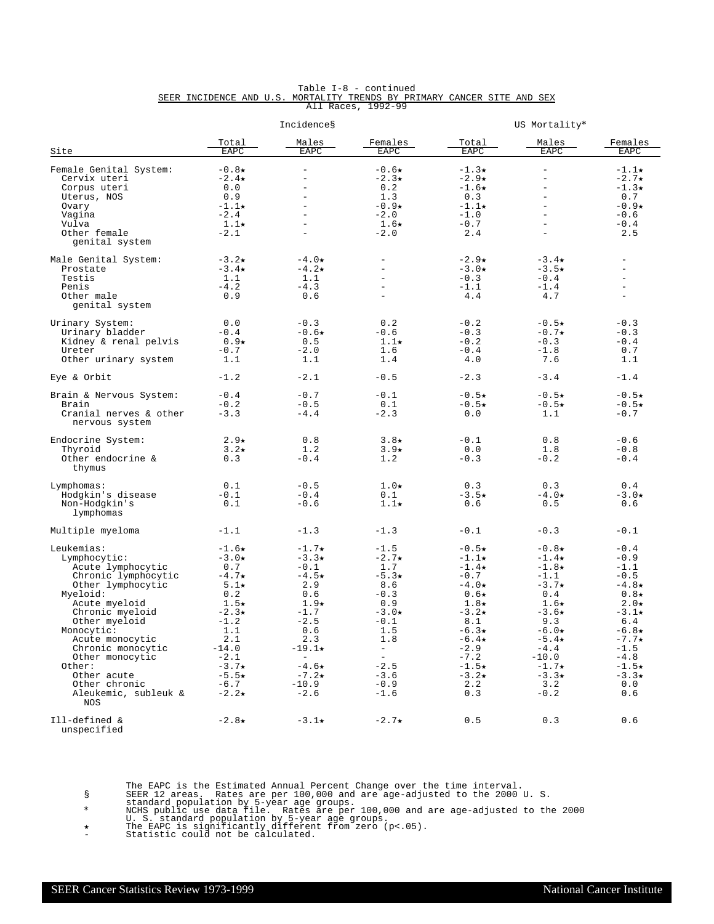| Table I-8 - continued |  |  |  |                                                                         |  |  |  |  |  |  |  |  |
|-----------------------|--|--|--|-------------------------------------------------------------------------|--|--|--|--|--|--|--|--|
|                       |  |  |  | SEER INCIDENCE AND U.S. MORTALITY TRENDS BY PRIMARY CANCER SITE AND SEX |  |  |  |  |  |  |  |  |
| All Races, 1992-99    |  |  |  |                                                                         |  |  |  |  |  |  |  |  |

|                                          |                      | Incidences               |                          | US Mortality* |                          |                          |  |  |
|------------------------------------------|----------------------|--------------------------|--------------------------|---------------|--------------------------|--------------------------|--|--|
|                                          | Total                | Males                    | Females                  | Total         | Males                    | Females                  |  |  |
| Site                                     | EAPC                 | EAPC                     | EAPC                     | EAPC          | <b>EAPC</b>              | EAPC                     |  |  |
| Female Genital System:                   | $-0.8*$              | $\overline{\phantom{0}}$ | $-0.6*$                  | $-1.3\star$   | $\overline{\phantom{0}}$ | $-1.1\star$              |  |  |
| Cervix uteri                             | $-2.4\star$          | $\overline{\phantom{0}}$ | $-2.3*$                  | $-2.9*$       | $\overline{\phantom{0}}$ | $-2.7\star$              |  |  |
| Corpus uteri                             | 0.0                  | $\equiv$                 | 0.2                      | $-1.6\star$   | $\equiv$                 | $-1.3\star$              |  |  |
| Uterus, NOS                              | 0.9                  | $\equiv$                 | 1.3                      | 0.3           | $\equiv$                 | 0.7                      |  |  |
| Ovary                                    | $-1.1\star$          | $\equiv$                 | $-0.9*$                  | $-1.1\star$   | $\sim$                   | $-0.9*$                  |  |  |
| Vagina                                   | $-2.4$               | $\overline{\phantom{0}}$ | $-2.0$                   | $-1.0$        | $\equiv$                 | $-0.6$                   |  |  |
| Vulva<br>Other female<br>genital system  | $1.1\star$<br>$-2.1$ | $\equiv$<br>$\equiv$     | $1.6\star$<br>$-2.0$     | $-0.7$<br>2.4 | $\equiv$<br>$\equiv$     | $-0.4$<br>2.5            |  |  |
| Male Genital System:                     | $-3.2\star$          | $-4.0\star$              | $\qquad \qquad -$        | $-2.9*$       | $-3.4\star$              | $\overline{\phantom{m}}$ |  |  |
| Prostate                                 | $-3.4\star$          | $-4.2\star$              | $\qquad \qquad -$        | $-3.0*$       | $-3.5+$                  | $\overline{\phantom{a}}$ |  |  |
| Testis                                   | 1.1                  | 1.1                      | $\overline{\phantom{0}}$ | $-0.3$        | $-0.4$                   |                          |  |  |
| Penis                                    | $-4.2$               | $-4.3$                   | $\overline{\phantom{0}}$ | $-1.1$        | $-1.4$                   |                          |  |  |
| Other male<br>genital system             | 0.9                  | 0.6                      | $\equiv$                 | 4.4           | 4.7                      | $\equiv$                 |  |  |
| Urinary System:                          | 0.0                  | $-0.3$                   | 0.2                      | $-0.2$        | $-0.5*$                  | $-0.3$                   |  |  |
| Urinary bladder                          | $-0.4$               | $-0.6*$                  | $-0.6$                   | $-0.3$        | $-0.7*$                  | $-0.3$                   |  |  |
| Kidney & renal pelvis                    | $0.9\star$           | 0.5                      | $1.1\star$               | $-0.2$        | $-0.3$                   | $-0.4$                   |  |  |
| Ureter                                   | $-0.7$               | $-2.0$                   | 1.6                      | $-0.4$        | $-1.8$                   | 0.7                      |  |  |
| Other urinary system                     | 1.1                  | 1.1                      | 1.4                      | 4.0           | 7.6                      | 1.1                      |  |  |
| Eye & Orbit                              | $-1.2$               | $-2.1$                   | $-0.5$                   | $-2.3$        | $-3.4$                   | $-1.4$                   |  |  |
| Brain & Nervous System:                  | $-0.4$               | $-0.7$                   | $-0.1$                   | $-0.5*$       | $-0.5\star$              | $-0.5\star$              |  |  |
| Brain                                    | $-0.2$               | $-0.5$                   | 0.1                      | $-0.5\star$   | $-0.5\star$              | $-0.5\star$              |  |  |
| Cranial nerves & other<br>nervous system | $-3.3$               | $-4.4$                   | $-2.3$                   | 0.0           | 1.1                      | $-0.7$                   |  |  |
| Endocrine System:                        | $2.9*$               | 0.8                      | $3.8\star$               | $-0.1$        | 0.8                      | $-0.6$                   |  |  |
| Thyroid                                  | $3.2\star$           | 1.2                      | $3.9*$                   | 0.0           | 1.8                      | $-0.8$                   |  |  |
| Other endocrine &<br>thymus              | 0.3                  | $-0.4$                   | 1.2                      | $-0.3$        | $-0.2$                   | $-0.4$                   |  |  |
| Lymphomas:                               | 0.1                  | $-0.5$                   | $1.0\star$               | 0.3           | 0.3                      | 0.4                      |  |  |
| Hodgkin's disease                        | $-0.1$               | $-0.4$                   | 0.1                      | $-3.5\star$   | $-4.0*$                  | $-3.0*$                  |  |  |
| Non-Hodgkin's<br>lymphomas               | 0.1                  | $-0.6$                   | $1.1\star$               | 0.6           | 0.5                      | 0.6                      |  |  |
| Multiple myeloma                         | $-1.1$               | $-1.3$                   | $-1.3$                   | $-0.1$        | $-0.3$                   | $-0.1$                   |  |  |
| Leukemias:                               | $-1.6\star$          | $-1.7\star$              | $-1.5$                   | $-0.5\star$   | $-0.8*$                  | $-0.4$                   |  |  |
| Lymphocytic:                             | $-3.0*$              | $-3.3+$                  | $-2.7\star$              | $-1.1\star$   | $-1.4\star$              | $-0.9$                   |  |  |
| Acute lymphocytic                        | 0.7                  | $-0.1$                   | 1.7                      | $-1.4\star$   | $-1.8\star$              | $-1.1$                   |  |  |
| Chronic lymphocytic                      | $-4.7\star$          | $-4.5\star$              | $-5.3*$                  | $-0.7$        | $-1.1$                   | $-0.5$                   |  |  |
| Other lymphocytic                        | $5.1\star$           | 2.9                      | 8.6                      | $-4.0\star$   | $-3.7\star$              | $-4.8\star$              |  |  |
| Myeloid:                                 | 0.2                  | 0.6                      | $-0.3$                   | $0.6\star$    | 0.4                      | $0.8\star$               |  |  |
| Acute myeloid                            | $1.5\star$           | $1.9\star$               | 0.9                      | $1.8\star$    | $1.6\star$               | $2.0\star$               |  |  |
| Chronic myeloid                          | $-2.3*$              | $-1.7$                   | $-3.0*$                  | $-3.2\star$   | $-3.6\star$              | $-3.1*$                  |  |  |
| Other myeloid                            | $-1.2$               | $-2.5$                   | $-0.1$                   | 8.1           | 9.3                      | 6.4                      |  |  |
| Monocytic:                               | 1.1                  | 0.6                      | 1.5                      | $-6.3*$       | $-6.0*$                  | $-6.8*$                  |  |  |
| Acute monocytic                          | 2.1                  | 2.3                      | 1.8                      | $-6.4\star$   | $-5.4\star$              | $-7.7\star$              |  |  |
| Chronic monocytic                        | $-14.0$              | $-19.1*$                 |                          | $-2.9$        | $-4.4$                   | $-1.5$                   |  |  |
| Other monocytic                          | $-2.1$               | $\sim$                   | $\frac{\pi}{2}$          | $-7.2$        | $-10.0$                  | $-4.8$                   |  |  |
| Other:                                   | $-3.7\star$          | $-4.6\star$              | $-2.5$                   | $-1.5\star$   | $-1.7\star$              | $-1.5\star$              |  |  |
| Other acute                              | $-5.5\star$          | $-7.2\star$              | $-3.6$                   | $-3.2\star$   | $-3.3*$                  | $-3.3\star$              |  |  |
| Other chronic                            | $-6.7$               | $-10.9$                  | $-0.9$                   | 2.2           | 3.2                      | 0.0                      |  |  |
| Aleukemic, subleuk &<br>NOS              | $-2.2\star$          | $-2.6$                   | $-1.6$                   | 0.3           | $-0.2$                   | 0.6                      |  |  |
| Ill-defined &<br>unspecified             | $-2.8\star$          | $-3.1\star$              | $-2.7\star$              | 0.5           | 0.3                      | 0.6                      |  |  |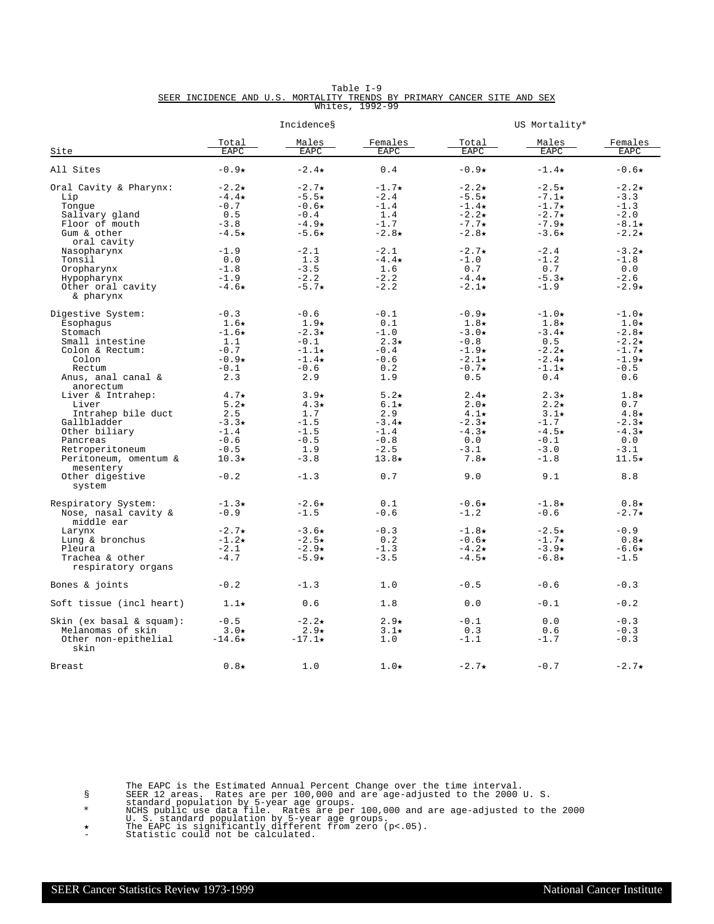| Table I-9 |  |  |  |                                                                         |                 |  |  |  |  |  |  |
|-----------|--|--|--|-------------------------------------------------------------------------|-----------------|--|--|--|--|--|--|
|           |  |  |  | SEER INCIDENCE AND U.S. MORTALITY TRENDS BY PRIMARY CANCER SITE AND SEX |                 |  |  |  |  |  |  |
|           |  |  |  |                                                                         | Whites, 1992-99 |  |  |  |  |  |  |

|                                    |               | Incidences    |                 | US Mortality*        |               |                 |  |  |
|------------------------------------|---------------|---------------|-----------------|----------------------|---------------|-----------------|--|--|
| Site                               | Total<br>EAPC | Males<br>EAPC | Females<br>EAPC | Total<br><b>EAPC</b> | Males<br>EAPC | Females<br>EAPC |  |  |
| All Sites                          | $-0.9*$       | $-2.4\star$   | 0.4             | $-0.9*$              | $-1.4\star$   | $-0.6*$         |  |  |
| Oral Cavity & Pharynx:             | $-2.2\star$   | $-2.7\star$   | $-1.7\star$     | $-2.2\star$          | $-2.5\star$   | $-2.2\star$     |  |  |
| Lip                                | $-4.4 \star$  | $-5.5*$       | $-2.4$          | $-5.5+$              | $-7.1\star$   | $-3.3$          |  |  |
| Tongue                             | $-0.7$        | $-0.6*$       | $-1.4$          | $-1.4\star$          | $-1.7\star$   | $-1.3$          |  |  |
| Salivary gland                     | 0.5           | $-0.4$        | 1.4             | $-2.2*$              | $-2.7\star$   | $-2.0$          |  |  |
| Floor of mouth                     | $-3.8$        | $-4.9*$       | $-1.7$          | $-7.7\star$          | $-7.9*$       | $-8.1\star$     |  |  |
|                                    |               |               |                 |                      |               |                 |  |  |
| Gum & other<br>oral cavity         | $-4.5\star$   | $-5.6\star$   | $-2.8*$         | $-2.8*$              | $-3.6\star$   | $-2.2\star$     |  |  |
| Nasopharynx                        | $-1.9$        | $-2.1$        | $-2.1$          | $-2.7\star$          | $-2.4$        | $-3.2+$         |  |  |
| Tonsil                             | 0.0           | 1.3           | $-4.4\star$     | $-1.0$               | $-1.2$        | $-1.8$          |  |  |
| Oropharynx                         | $-1.8$        | $-3.5$        | 1.6             | 0.7                  | 0.7           | 0.0             |  |  |
| Hypopharynx                        | $-1.9$        | $-2.2$        | $-2.2$          | $-4.4\star$          | $-5.3*$       | $-2.6$          |  |  |
| Other oral cavity<br>& pharynx     | $-4.6\star$   | $-5.7\star$   | $-2.2$          | $-2.1\star$          | $-1.9$        | $-2.9*$         |  |  |
| Digestive System:                  | $-0.3$        | $-0.6$        | $-0.1$          | $-0.9*$              | $-1.0*$       | $-1.0*$         |  |  |
| Esophaqus                          | $1.6\star$    | $1.9\star$    | 0.1             | $1.8\star$           | $1.8\star$    | $1.0\star$      |  |  |
| Stomach                            | $-1.6\star$   | $-2.3\star$   | $-1.0$          | $-3.0*$              | $-3.4\star$   | $-2.8\star$     |  |  |
| Small intestine                    | 1.1           | $-0.1$        | $2.3*$          | $-0.8$               | 0.5           | $-2.2+$         |  |  |
| Colon & Rectum:                    | $-0.7$        | $-1.1\star$   | $-0.4$          | $-1.9*$              | $-2.2\star$   | $-1.7\star$     |  |  |
| Colon                              | $-0.9*$       | $-1.4\star$   | $-0.6$          | $-2.1\star$          | $-2.4\star$   | $-1.9\star$     |  |  |
| Rectum                             | $-0.1$        | $-0.6$        | 0.2             | $-0.7\star$          | $-1.1\star$   | $-0.5$          |  |  |
|                                    |               |               |                 |                      |               |                 |  |  |
| Anus, anal canal &<br>anorectum    | 2.3           | 2.9           | 1.9             | 0.5                  | 0.4           | 0.6             |  |  |
| Liver & Intrahep:                  | $4.7*$        | $3.9*$        | $5.2*$          | $2.4*$               | $2.3*$        | $1.8\star$      |  |  |
| Liver                              | $5.2\star$    | $4.3\star$    | $6.1\star$      | $2.0\star$           | $2.2\star$    | 0.7             |  |  |
| Intrahep bile duct                 | 2.5           | 1.7           | 2.9             | $4.1\star$           | $3.1\star$    | $4.8*$          |  |  |
| Gallbladder                        | $-3.3*$       | $-1.5$        | $-3.4\star$     | $-2.3\star$          | $-1.7$        | $-2.3\star$     |  |  |
| Other biliary                      | $-1.4$        | $-1.5$        | $-1.4$          | $-4.3*$              | $-4.5\star$   | $-4.3*$         |  |  |
| Pancreas                           | $-0.6$        | $-0.5$        | $-0.8$          | 0.0                  | $-0.1$        | 0.0             |  |  |
| Retroperitoneum                    | $-0.5$        | 1.9           | $-2.5$          | $-3.1$               | $-3.0$        | $-3.1$          |  |  |
| Peritoneum, omentum &<br>mesentery | $10.3\star$   | $-3.8$        | $13.8*$         | $7.8\star$           | $-1.8$        | $11.5*$         |  |  |
| Other digestive                    | $-0.2$        | $-1.3$        | 0.7             | 9.0                  | 9.1           | 8.8             |  |  |
| system                             |               |               |                 |                      |               |                 |  |  |
| Respiratory System:                | $-1.3\star$   | $-2.6\star$   | 0.1             | $-0.6*$              | $-1.8\star$   | $0.8\star$      |  |  |
| Nose, nasal cavity &<br>middle ear | $-0.9$        | $-1.5$        | $-0.6$          | $-1.2$               | $-0.6$        | $-2.7\star$     |  |  |
| Larynx                             | $-2.7\star$   | $-3.6\star$   | $-0.3$          | $-1.8\star$          | $-2.5\star$   | $-0.9$          |  |  |
| Lung & bronchus                    | $-1.2\star$   | $-2.5+$       | 0.2             | $-0.6*$              | $-1.7\star$   | $0.8\star$      |  |  |
| Pleura                             | $-2.1$        | $-2.9*$       | $-1.3$          | $-4.2\star$          | $-3.9+$       | $-6.6*$         |  |  |
| Trachea & other                    | $-4.7$        | $-5.9*$       | $-3.5$          | $-4.5\star$          | $-6.8*$       | $-1.5$          |  |  |
| respiratory organs                 |               |               |                 |                      |               |                 |  |  |
| Bones & joints                     | $-0.2$        | $-1.3$        | 1.0             | $-0.5$               | $-0.6$        | $-0.3$          |  |  |
| Soft tissue (incl heart)           | $1.1\star$    | 0.6           | 1.8             | 0.0                  | $-0.1$        | $-0.2$          |  |  |
| Skin (ex basal & squam):           | $-0.5$        | $-2.2\star$   | $2.9*$          | $-0.1$               | 0.0           | $-0.3$          |  |  |
| Melanomas of skin                  | $3.0*$        | $2.9\star$    | $3.1\star$      | 0.3                  | 0.6           | $-0.3$          |  |  |
| Other non-epithelial<br>skin       | $-14.6*$      | $-17.1\star$  | 1.0             | $-1.1$               | $-1.7$        | $-0.3$          |  |  |
| Breast                             | $0.8\star$    | 1.0           | $1.0\star$      | $-2.7\star$          | $-0.7$        | $-2.7\star$     |  |  |

- 
-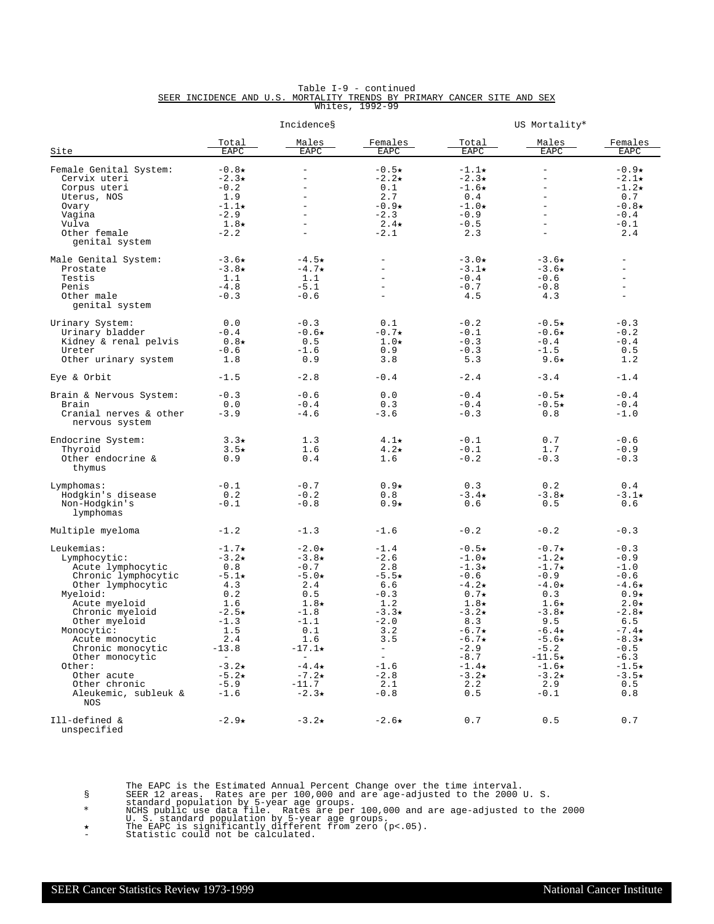| Table I-9 - continued |                 |  |  |                                                                         |  |  |  |  |  |  |  |
|-----------------------|-----------------|--|--|-------------------------------------------------------------------------|--|--|--|--|--|--|--|
|                       |                 |  |  | SEER INCIDENCE AND U.S. MORTALITY TRENDS BY PRIMARY CANCER SITE AND SEX |  |  |  |  |  |  |  |
|                       | Whites, 1992-99 |  |  |                                                                         |  |  |  |  |  |  |  |

|                                                                                                                                                                                                                                                                                                                       |                                                                                                                                                                           | Incidences                                                                                                                                                                              |                                                                                                                                                         |                                                                                                                                                                                                            | US Mortality*                                                                                                                                                                                                    |                                                                                                                                                                                                 |
|-----------------------------------------------------------------------------------------------------------------------------------------------------------------------------------------------------------------------------------------------------------------------------------------------------------------------|---------------------------------------------------------------------------------------------------------------------------------------------------------------------------|-----------------------------------------------------------------------------------------------------------------------------------------------------------------------------------------|---------------------------------------------------------------------------------------------------------------------------------------------------------|------------------------------------------------------------------------------------------------------------------------------------------------------------------------------------------------------------|------------------------------------------------------------------------------------------------------------------------------------------------------------------------------------------------------------------|-------------------------------------------------------------------------------------------------------------------------------------------------------------------------------------------------|
|                                                                                                                                                                                                                                                                                                                       | Total                                                                                                                                                                     | Males                                                                                                                                                                                   | Females                                                                                                                                                 | Total                                                                                                                                                                                                      | Males                                                                                                                                                                                                            | Females                                                                                                                                                                                         |
| Site                                                                                                                                                                                                                                                                                                                  | EAPC                                                                                                                                                                      | EAPC                                                                                                                                                                                    | EAPC                                                                                                                                                    | <b>EAPC</b>                                                                                                                                                                                                | <b>EAPC</b>                                                                                                                                                                                                      | EAPC                                                                                                                                                                                            |
| Female Genital System:<br>Cervix uteri<br>Corpus uteri<br>Uterus, NOS<br>Ovary<br>Vagina<br>Vulva                                                                                                                                                                                                                     | $-0.8*$<br>$-2.3*$<br>$-0.2$<br>1.9<br>$-1.1\star$<br>$-2.9$<br>$1.8\star$                                                                                                | $\overline{\phantom{0}}$<br>$\overline{\phantom{0}}$<br>$\equiv$<br>$\equiv$<br>$\overline{\phantom{0}}$<br>$\overline{\phantom{0}}$<br>$\equiv$                                        | $-0.5\star$<br>$-2.2\star$<br>0.1<br>2.7<br>$-0.9*$<br>$-2.3$<br>$2.4\star$                                                                             | $-1.1\star$<br>$-2.3\star$<br>$-1.6\star$<br>0.4<br>$-1.0\star$<br>$-0.9$<br>$-0.5$<br>2.3                                                                                                                 | $\equiv$<br>$\equiv$<br>$=$<br>$\equiv$                                                                                                                                                                          | $-0.9*$<br>$-2.1\star$<br>$-1.2\star$<br>0.7<br>$-0.8*$<br>$-0.4$<br>$-0.1$                                                                                                                     |
| Other female<br>genital system                                                                                                                                                                                                                                                                                        | $-2.2$                                                                                                                                                                    |                                                                                                                                                                                         | $-2.1$                                                                                                                                                  |                                                                                                                                                                                                            |                                                                                                                                                                                                                  | 2.4                                                                                                                                                                                             |
| Male Genital System:<br>Prostate<br>Testis<br>Penis<br>Other male<br>genital system                                                                                                                                                                                                                                   | $-3.6\star$<br>$-3.8+$<br>1.1<br>$-4.8$<br>$-0.3$                                                                                                                         | $-4.5\star$<br>$-4.7\star$<br>1.1<br>$-5.1$<br>$-0.6$                                                                                                                                   | $\overline{\phantom{m}}$<br>$\overline{\phantom{a}}$<br>$\overline{\phantom{0}}$<br>$\frac{1}{2}$<br>$\sim$                                             | $-3.0*$<br>$-3.1\star$<br>$-0.4$<br>$-0.7$<br>4.5                                                                                                                                                          | $-3.6\star$<br>$-3.6*$<br>$-0.6$<br>$-0.8$<br>4.3                                                                                                                                                                | $\overline{\phantom{m}}$<br>$\overline{\phantom{a}}$<br>$\equiv$<br>$\equiv$<br>$\sim$                                                                                                          |
| Urinary System:<br>Urinary bladder<br>Kidney & renal pelvis<br>Ureter<br>Other urinary system                                                                                                                                                                                                                         | 0.0<br>$-0.4$<br>$0.8\star$<br>$-0.6$<br>1.8                                                                                                                              | $-0.3$<br>$-0.6*$<br>0.5<br>$-1.6$<br>0.9                                                                                                                                               | 0.1<br>$-0.7*$<br>$1.0\star$<br>0.9<br>3.8                                                                                                              | $-0.2$<br>$-0.1$<br>$-0.3$<br>$-0.3$<br>5.3                                                                                                                                                                | $-0.5\star$<br>$-0.6*$<br>$-0.4$<br>$-1.5$<br>$9.6\star$                                                                                                                                                         | $-0.3$<br>$-0.2$<br>$-0.4$<br>0.5<br>1.2                                                                                                                                                        |
| Eye & Orbit                                                                                                                                                                                                                                                                                                           | $-1.5$                                                                                                                                                                    | $-2.8$                                                                                                                                                                                  | $-0.4$                                                                                                                                                  | $-2.4$                                                                                                                                                                                                     | $-3.4$                                                                                                                                                                                                           | $-1.4$                                                                                                                                                                                          |
| Brain & Nervous System:<br>Brain<br>Cranial nerves & other<br>nervous system                                                                                                                                                                                                                                          | $-0.3$<br>0.0<br>$-3.9$                                                                                                                                                   | $-0.6$<br>$-0.4$<br>$-4.6$                                                                                                                                                              | 0.0<br>0.3<br>$-3.6$                                                                                                                                    | $-0.4$<br>$-0.4$<br>$-0.3$                                                                                                                                                                                 | $-0.5*$<br>$-0.5\star$<br>0.8                                                                                                                                                                                    | $-0.4$<br>$-0.4$<br>$-1.0$                                                                                                                                                                      |
| Endocrine System:<br>Thyroid<br>Other endocrine &<br>thymus                                                                                                                                                                                                                                                           | $3.3*$<br>$3.5\star$<br>0.9                                                                                                                                               | 1.3<br>1.6<br>0.4                                                                                                                                                                       | $4.1\star$<br>$4.2\star$<br>1.6                                                                                                                         | $-0.1$<br>$-0.1$<br>$-0.2$                                                                                                                                                                                 | 0.7<br>1.7<br>$-0.3$                                                                                                                                                                                             | $-0.6$<br>$-0.9$<br>$-0.3$                                                                                                                                                                      |
| Lymphomas:<br>Hodgkin's disease<br>Non-Hodgkin's<br>lymphomas                                                                                                                                                                                                                                                         | $-0.1$<br>0.2<br>$-0.1$                                                                                                                                                   | $-0.7$<br>$-0.2$<br>$-0.8$                                                                                                                                                              | $0.9*$<br>0.8<br>$0.9*$                                                                                                                                 | 0.3<br>$-3.4\star$<br>0.6                                                                                                                                                                                  | 0.2<br>$-3.8+$<br>0.5                                                                                                                                                                                            | 0.4<br>$-3.1\star$<br>0.6                                                                                                                                                                       |
| Multiple myeloma                                                                                                                                                                                                                                                                                                      | $-1.2$                                                                                                                                                                    | $-1.3$                                                                                                                                                                                  | $-1.6$                                                                                                                                                  | $-0.2$                                                                                                                                                                                                     | $-0.2$                                                                                                                                                                                                           | $-0.3$                                                                                                                                                                                          |
| Leukemias:<br>Lymphocytic:<br>Acute lymphocytic<br>Chronic lymphocytic<br>Other lymphocytic<br>Myeloid:<br>Acute myeloid<br>Chronic myeloid<br>Other myeloid<br>Monocytic:<br>Acute monocytic<br>Chronic monocytic<br>Other monocytic<br>Other:<br>Other acute<br>Other chronic<br>Aleukemic, subleuk &<br><b>NOS</b> | $-1.7\star$<br>$-3.2\star$<br>0.8<br>$-5.1\star$<br>4.3<br>0.2<br>1.6<br>$-2.5\star$<br>$-1.3$<br>1.5<br>2.4<br>$-13.8$<br>$-3.2\star$<br>$-5.2\star$<br>$-5.9$<br>$-1.6$ | $-2.0*$<br>$-3.8+$<br>$-0.7$<br>$-5.0*$<br>2.4<br>0.5<br>$1.8\star$<br>$-1.8$<br>$-1.1$<br>0.1<br>1.6<br>$-17.1\star$<br>$\sim$<br>$-4.4\star$<br>$-7.2\star$<br>$-11.7$<br>$-2.3\star$ | $-1.4$<br>$-2.6$<br>2.8<br>$-5.5+$<br>6.6<br>$-0.3$<br>1.2<br>$-3.3*$<br>$-2.0$<br>3.2<br>3.5<br>$\frac{1}{\pi}$ .<br>$-1.6$<br>$-2.8$<br>2.1<br>$-0.8$ | $-0.5\star$<br>$-1.0*$<br>$-1.3\star$<br>$-0.6$<br>$-4.2\star$<br>$0.7\star$<br>$1.8\star$<br>$-3.2+$<br>8.3<br>$-6.7\star$<br>$-6.7\star$<br>$-2.9$<br>$-8.7$<br>$-1.4\star$<br>$-3.2\star$<br>2.2<br>0.5 | $-0.7\star$<br>$-1.2\star$<br>$-1.7\star$<br>$-0.9$<br>$-4.0\star$<br>0.3<br>$1.6\star$<br>$-3.8+$<br>9.5<br>$-6.4\star$<br>$-5.6\star$<br>$-5.2$<br>$-11.5\star$<br>$-1.6\star$<br>$-3.2\star$<br>2.9<br>$-0.1$ | $-0.3$<br>$-0.9$<br>$-1.0$<br>$-0.6$<br>$-4.6\star$<br>$0.9*$<br>$2.0\star$<br>$-2.8\star$<br>6.5<br>$-7.4\star$<br>$-8.3\star$<br>$-0.5$<br>$-6.3$<br>$-1.5\star$<br>$-3.5\star$<br>0.5<br>0.8 |
| Ill-defined &<br>unspecified                                                                                                                                                                                                                                                                                          | $-2.9*$                                                                                                                                                                   | $-3.2\star$                                                                                                                                                                             | $-2.6\star$                                                                                                                                             | 0.7                                                                                                                                                                                                        | 0.5                                                                                                                                                                                                              | 0.7                                                                                                                                                                                             |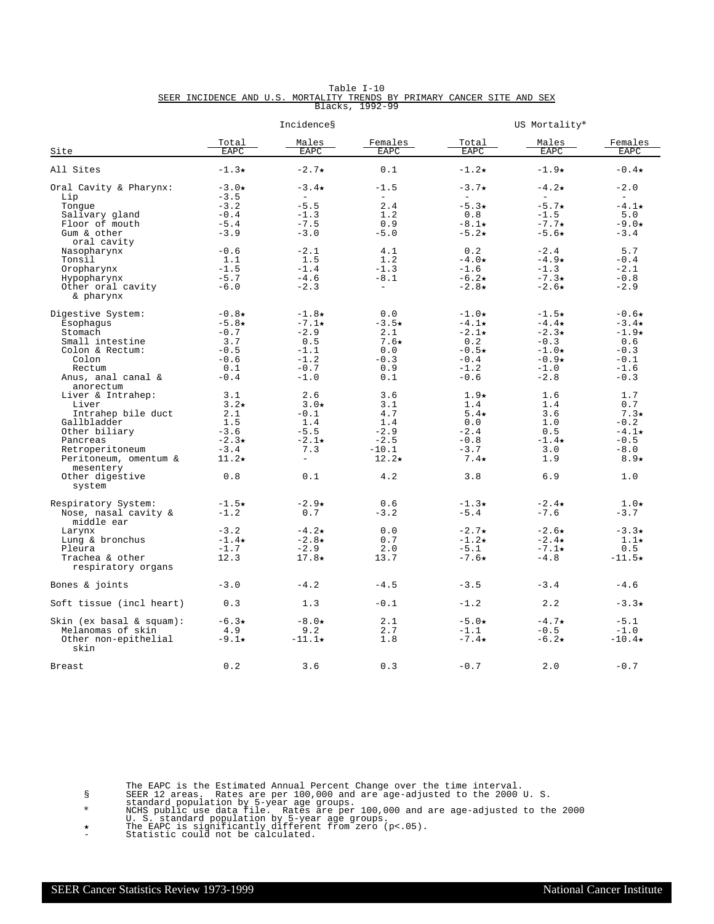| Table I-10      |  |  |  |                                                                         |  |  |  |  |  |  |  |  |
|-----------------|--|--|--|-------------------------------------------------------------------------|--|--|--|--|--|--|--|--|
|                 |  |  |  | SEER INCIDENCE AND U.S. MORTALITY TRENDS BY PRIMARY CANCER SITE AND SEX |  |  |  |  |  |  |  |  |
| Blacks, 1992–99 |  |  |  |                                                                         |  |  |  |  |  |  |  |  |

|                                    |               | Incidences               |                 |               | US Mortality* |                 |
|------------------------------------|---------------|--------------------------|-----------------|---------------|---------------|-----------------|
| Site                               | Total<br>EAPC | Males<br>EAPC            | Females<br>EAPC | Total<br>EAPC | Males<br>EAPC | Females<br>EAPC |
| All Sites                          | $-1.3\star$   | $-2.7\star$              | 0.1             | $-1.2\star$   | $-1.9*$       | $-0.4\star$     |
| Oral Cavity & Pharynx:             | $-3.0*$       | $-3.4\star$              | $-1.5$          | $-3.7\star$   | $-4.2\star$   | $-2.0$          |
| Lip                                | $-3.5$        | $\sim$                   | $\sim$          | $\sim$        | $\sim$        | $\equiv$        |
| Tonque                             | $-3.2$        | $-5.5$                   | 2.4             | $-5.3*$       | $-5.7*$       | $-4.1\star$     |
| Salivary gland                     | $-0.4$        | $-1.3$                   | 1.2             | 0.8           | $-1.5$        | 5.0             |
| Floor of mouth                     | $-5.4$        | $-7.5$                   | 0.9             | $-8.1\star$   | $-7.7\star$   | $-9.0*$         |
| Gum & other<br>oral cavity         | $-3.9$        | $-3.0$                   | $-5.0$          | $-5.2\star$   | $-5.6*$       | $-3.4$          |
|                                    | $-0.6$        | $-2.1$                   | 4.1             | 0.2           | $-2.4$        | 5.7             |
| Nasopharynx                        |               | 1.5                      | 1.2             | $-4.0*$       |               |                 |
| Tonsil                             | 1.1           |                          |                 |               | $-4.9*$       | $-0.4$          |
| Oropharynx                         | $-1.5$        | $-1.4$                   | $-1.3$          | $-1.6$        | $-1.3$        | $-2.1$          |
| Hypopharynx                        | $-5.7$        | $-4.6$                   | $-8.1$          | $-6.2\star$   | $-7.3*$       | $-0.8$          |
| Other oral cavity<br>& pharynx     | $-6.0$        | $-2.3$                   | $\sim$          | $-2.8\star$   | $-2.6\star$   | $-2.9$          |
| Digestive System:                  | $-0.8*$       | $-1.8\star$              | 0.0             | $-1.0\star$   | $-1.5\star$   | $-0.6*$         |
| Esophaqus                          | $-5.8*$       | $-7.1\star$              | $-3.5\star$     | $-4.1\star$   | $-4.4\star$   | $-3.4\star$     |
| Stomach                            | $-0.7$        | $-2.9$                   | 2.1             | $-2.1\star$   | $-2.3*$       | $-1.9\star$     |
| Small intestine                    | 3.7           | 0.5                      | $7.6\star$      | 0.2           | $-0.3$        | 0.6             |
| Colon & Rectum:                    | $-0.5$        | $-1.1$                   | 0.0             | $-0.5*$       | $-1.0\star$   | $-0.3$          |
| Colon                              | $-0.6$        | $-1.2$                   | $-0.3$          | $-0.4$        | $-0.9*$       | $-0.1$          |
| Rectum                             | 0.1           | $-0.7$                   | 0.9             | $-1.2$        | $-1.0$        | $-1.6$          |
|                                    |               |                          |                 |               |               |                 |
| Anus, anal canal &<br>anorectum    | $-0.4$        | $-1.0$                   | 0.1             | $-0.6$        | $-2.8$        | $-0.3$          |
| Liver & Intrahep:                  | 3.1           | 2.6                      | 3.6             | $1.9\star$    | 1.6           | 1.7             |
| Liver                              | $3.2\star$    | $3.0*$                   | 3.1             | 1.4           | 1.4           | 0.7             |
| Intrahep bile duct                 | 2.1           | $-0.1$                   | 4.7             | $5.4\star$    | 3.6           | $7.3\star$      |
| Gallbladder                        | 1.5           | 1.4                      | 1.4             | 0.0           | 1.0           | $-0.2$          |
| Other biliary                      | $-3.6$        | $-5.5$                   | $-2.9$          | $-2.4$        | 0.5           | $-4.1\star$     |
| Pancreas                           | $-2.3*$       | $-2.1\star$              | $-2.5$          | $-0.8$        | $-1.4\star$   | $-0.5$          |
| Retroperitoneum                    | $-3.4$        | 7.3                      | $-10.1$         | $-3.7$        | 3.0           | $-8.0$          |
| Peritoneum, omentum &<br>mesentery | $11.2\star$   | $\overline{\phantom{a}}$ | $12.2*$         | $7.4\star$    | 1.9           | $8.9\star$      |
| Other digestive                    | 0.8           | 0.1                      | 4.2             | 3.8           | 6.9           | 1.0             |
| system                             |               |                          |                 |               |               |                 |
| Respiratory System:                | $-1.5\star$   | $-2.9*$                  | 0.6             | $-1.3\star$   | $-2.4\star$   | $1.0\star$      |
| Nose, nasal cavity &<br>middle ear | $-1.2$        | 0.7                      | $-3.2$          | $-5.4$        | $-7.6$        | $-3.7$          |
| Larynx                             | $-3.2$        | $-4.2\star$              | 0.0             | $-2.7\star$   | $-2.6\star$   | $-3.3*$         |
| Lung & bronchus                    | $-1.4\star$   | $-2.8*$                  | 0.7             | $-1.2\star$   | $-2.4\star$   | $1.1\star$      |
| Pleura                             | $-1.7$        | $-2.9$                   | 2.0             | $-5.1$        | $-7.1\star$   | 0.5             |
| Trachea & other                    | 12.3          | $17.8*$                  | 13.7            | $-7.6\star$   | $-4.8$        | $-11.5*$        |
| respiratory organs                 |               |                          |                 |               |               |                 |
| Bones & joints                     | $-3.0$        | $-4.2$                   | $-4.5$          | $-3.5$        | $-3.4$        | $-4.6$          |
| Soft tissue (incl heart)           | 0.3           | 1.3                      | $-0.1$          | $-1.2$        | 2.2           | $-3.3*$         |
| Skin (ex basal & squam):           | $-6.3*$       | $-8.0*$                  | 2.1             | $-5.0*$       | $-4.7\star$   | $-5.1$          |
| Melanomas of skin                  | 4.9           | 9.2                      | 2.7             | $-1.1$        | $-0.5$        | $-1.0$          |
| Other non-epithelial<br>skin       | $-9.1\star$   | $-11.1\star$             | 1.8             | $-7.4\star$   | $-6.2*$       | $-10.4*$        |
| Breast                             | 0.2           | 3.6                      | 0.3             | $-0.7$        | 2.0           | $-0.7$          |

- 
- 
-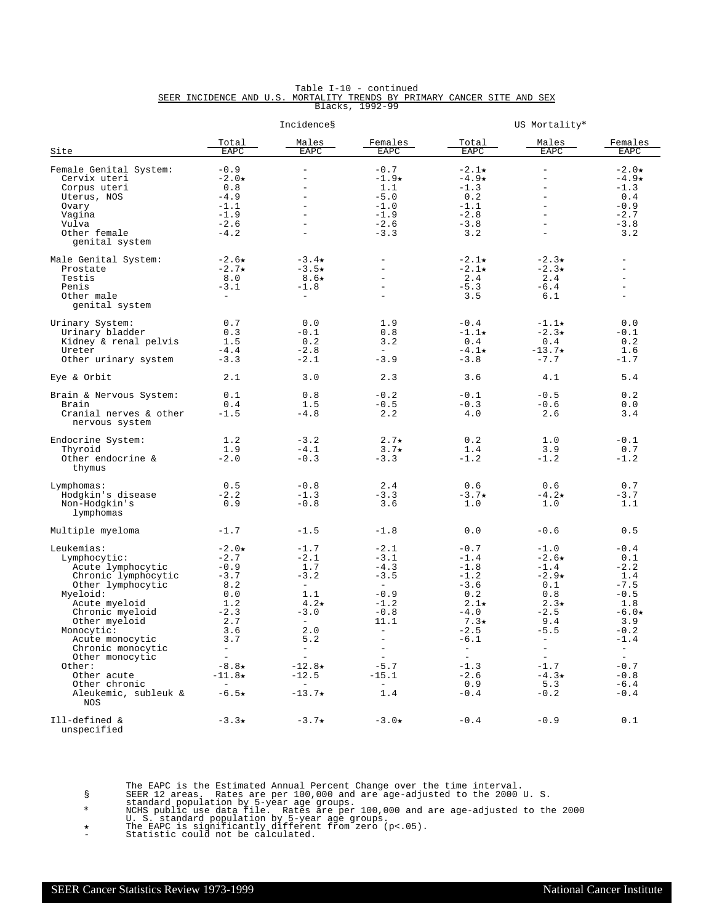| Table I-10 - continued |  |  |  |                                                                         |  |  |  |  |  |  |  |  |
|------------------------|--|--|--|-------------------------------------------------------------------------|--|--|--|--|--|--|--|--|
|                        |  |  |  | SEER INCIDENCE AND U.S. MORTALITY TRENDS BY PRIMARY CANCER SITE AND SEX |  |  |  |  |  |  |  |  |
| Blacks, 1992-99        |  |  |  |                                                                         |  |  |  |  |  |  |  |  |

|                                                                                                                                                                                                                                                                |                                                                                                                                              | Incidences                                                                                                                                                     |                                                                                                                                                           |                                                                                                                                                       | US Mortality*                                                                                                                                                  |                                                                                                                                             |
|----------------------------------------------------------------------------------------------------------------------------------------------------------------------------------------------------------------------------------------------------------------|----------------------------------------------------------------------------------------------------------------------------------------------|----------------------------------------------------------------------------------------------------------------------------------------------------------------|-----------------------------------------------------------------------------------------------------------------------------------------------------------|-------------------------------------------------------------------------------------------------------------------------------------------------------|----------------------------------------------------------------------------------------------------------------------------------------------------------------|---------------------------------------------------------------------------------------------------------------------------------------------|
|                                                                                                                                                                                                                                                                | Total                                                                                                                                        | Males                                                                                                                                                          | Females                                                                                                                                                   | Total                                                                                                                                                 | Males                                                                                                                                                          | Females                                                                                                                                     |
| Site                                                                                                                                                                                                                                                           | EAPC                                                                                                                                         | EAPC                                                                                                                                                           | EAPC                                                                                                                                                      | EAPC                                                                                                                                                  | <b>EAPC</b>                                                                                                                                                    | EAPC                                                                                                                                        |
| Female Genital System:<br>Cervix uteri<br>Corpus uteri<br>Uterus, NOS                                                                                                                                                                                          | $-0.9$<br>$-2.0*$<br>0.8<br>$-4.9$                                                                                                           | $\overline{\phantom{0}}$<br>$\equiv$                                                                                                                           | $-0.7$<br>$-1.9\star$<br>1.1<br>$-5.0$                                                                                                                    | $-2.1\star$<br>$-4.9*$<br>$-1.3$<br>0.2                                                                                                               | $\equiv$                                                                                                                                                       | $-2.0*$<br>$-4.9*$<br>$-1.3$<br>0.4                                                                                                         |
| Ovary<br>Vagina<br>Vulva<br>Other female<br>genital system                                                                                                                                                                                                     | $-1.1$<br>$-1.9$<br>$-2.6$<br>$-4.2$                                                                                                         | $\equiv$<br>$\equiv$                                                                                                                                           | $-1.0$<br>$-1.9$<br>$-2.6$<br>$-3.3$                                                                                                                      | $-1.1$<br>$-2.8$<br>$-3.8$<br>3.2                                                                                                                     | $\equiv$<br>$\equiv$                                                                                                                                           | $-0.9$<br>$-2.7$<br>$-3.8$<br>3.2                                                                                                           |
| Male Genital System:<br>Prostate<br>Testis<br>Penis<br>Other male<br>genital system                                                                                                                                                                            | $-2.6\star$<br>$-2.7\star$<br>8.0<br>$-3.1$<br>$\sim$                                                                                        | $-3.4\star$<br>$-3.5*$<br>$8.6\star$<br>$-1.8$<br>$\overline{\phantom{a}}$                                                                                     | $\overline{\phantom{m}}$<br>$\sim$<br>$\overline{\phantom{a}}$                                                                                            | $-2.1\star$<br>$-2.1\star$<br>2.4<br>$-5.3$<br>3.5                                                                                                    | $-2.3\star$<br>$-2.3*$<br>2.4<br>$-6.4$<br>6.1                                                                                                                 | $\equiv$<br>$\equiv$<br>$\equiv$<br>$\equiv$<br>$\overline{\phantom{a}}$                                                                    |
| Urinary System:<br>Urinary bladder<br>Kidney & renal pelvis<br>Ureter<br>Other urinary system                                                                                                                                                                  | 0.7<br>0.3<br>1.5<br>$-4.4$<br>$-3.3$                                                                                                        | 0.0<br>$-0.1$<br>0.2<br>$-2.8$<br>$-2.1$                                                                                                                       | 1.9<br>0.8<br>3.2<br>-3.9                                                                                                                                 | $-0.4$<br>$-1.1\star$<br>0.4<br>$-4.1\star$<br>$-3.8$                                                                                                 | $-1.1\star$<br>$-2.3*$<br>0.4<br>$-13.7*$<br>$-7.7$                                                                                                            | 0.0<br>$-0.1$<br>0.2<br>1.6<br>$-1.7$                                                                                                       |
| Eye & Orbit                                                                                                                                                                                                                                                    | 2.1                                                                                                                                          | 3.0                                                                                                                                                            | 2.3                                                                                                                                                       | 3.6                                                                                                                                                   | 4.1                                                                                                                                                            | 5.4                                                                                                                                         |
| Brain & Nervous System:<br>Brain<br>Cranial nerves & other<br>nervous system                                                                                                                                                                                   | 0.1<br>0.4<br>$-1.5$                                                                                                                         | 0.8<br>1.5<br>$-4.8$                                                                                                                                           | $-0.2$<br>$-0.5$<br>2.2                                                                                                                                   | $-0.1$<br>$-0.3$<br>4.0                                                                                                                               | $-0.5$<br>$-0.6$<br>2.6                                                                                                                                        | 0.2<br>0.0<br>3.4                                                                                                                           |
| Endocrine System:<br>Thyroid<br>Other endocrine &<br>thymus                                                                                                                                                                                                    | 1.2<br>1.9<br>$-2.0$                                                                                                                         | $-3.2$<br>$-4.1$<br>$-0.3$                                                                                                                                     | $2.7\star$<br>$3.7\star$<br>$-3.3$                                                                                                                        | 0.2<br>1.4<br>$-1.2$                                                                                                                                  | 1.0<br>3.9<br>$-1.2$                                                                                                                                           | $-0.1$<br>0.7<br>$-1.2$                                                                                                                     |
| Lymphomas:<br>Hodgkin's disease<br>Non-Hodgkin's<br>lymphomas                                                                                                                                                                                                  | 0.5<br>$-2.2$<br>0.9                                                                                                                         | $-0.8$<br>$-1.3$<br>$-0.8$                                                                                                                                     | 2.4<br>$-3.3$<br>3.6                                                                                                                                      | 0.6<br>$-3.7\star$<br>1.0                                                                                                                             | 0.6<br>$-4.2\star$<br>1.0                                                                                                                                      | 0.7<br>$-3.7$<br>1.1                                                                                                                        |
| Multiple myeloma                                                                                                                                                                                                                                               | $-1.7$                                                                                                                                       | $-1.5$                                                                                                                                                         | $-1.8$                                                                                                                                                    | 0.0                                                                                                                                                   | $-0.6$                                                                                                                                                         | 0.5                                                                                                                                         |
| Leukemias:<br>Lymphocytic:<br>Acute lymphocytic<br>Chronic lymphocytic<br>Other lymphocytic<br>Myeloid:<br>Acute myeloid<br>Chronic myeloid<br>Other myeloid<br>Monocytic:<br>Acute monocytic<br>Chronic monocytic<br>Other monocytic<br>Other:<br>Other acute | $-2.0*$<br>$-2.7$<br>$-0.9$<br>$-3.7$<br>8.2<br>0.0<br>1.2<br>$-2.3$<br>2.7<br>3.6<br>3.7<br>$\equiv$<br>$\equiv$<br>$-8.8*$<br>$-11.8\star$ | $-1.7$<br>$-2.1$<br>1.7<br>$-3.2$<br>$\sim$<br>1.1<br>$4.2\star$<br>$-3.0$<br>$\overline{\phantom{a}}$<br>2.0<br>5.2<br>$\frac{\pi}{2}$<br>$-12.8*$<br>$-12.5$ | $-2.1$<br>$-3.1$<br>$-4.3$<br>$-3.5$<br>$\sim$<br>$-0.9$<br>$-1.2$<br>$-0.8$<br>11.1<br>$\equiv$<br>$\equiv$<br>$\equiv$<br>$\equiv$<br>$-5.7$<br>$-15.1$ | $-0.7$<br>$-1.4$<br>$-1.8$<br>$-1.2$<br>$-3.6$<br>0.2<br>$2.1\star$<br>$-4.0$<br>$7.3\star$<br>$-2.5$<br>$-6.1$<br>$\mathbb{Z}^+$<br>$-1.3$<br>$-2.6$ | $-1.0$<br>$-2.6\star$<br>$-1.4$<br>$-2.9*$<br>0.1<br>0.8<br>$2.3\star$<br>$-2.5$<br>9.4<br>$-5.5$<br>$\equiv$<br>$\equiv$<br>$\equiv$<br>$-1.7$<br>$-4.3\star$ | $-0.4$<br>0.1<br>$-2.2$<br>1.4<br>$-7.5$<br>$-0.5$<br>1.8<br>$-6.0*$<br>3.9<br>$-0.2$<br>$-1.4$<br>$\equiv$<br>$\equiv$<br>$-0.7$<br>$-0.8$ |
| Other chronic<br>Aleukemic, subleuk &<br>NOS                                                                                                                                                                                                                   | $\sim$<br>$-6.5\star$                                                                                                                        | $\alpha \rightarrow \alpha$<br>$-13.7*$                                                                                                                        | $\sim$ $-$<br>1.4                                                                                                                                         | 0.9<br>$-0.4$                                                                                                                                         | 5.3<br>$-0.2$                                                                                                                                                  | $-6.4$<br>$-0.4$                                                                                                                            |
| Ill-defined &<br>unspecified                                                                                                                                                                                                                                   | $-3.3*$                                                                                                                                      | $-3.7\star$                                                                                                                                                    | $-3.0*$                                                                                                                                                   | $-0.4$                                                                                                                                                | $-0.9$                                                                                                                                                         | 0.1                                                                                                                                         |

- 
-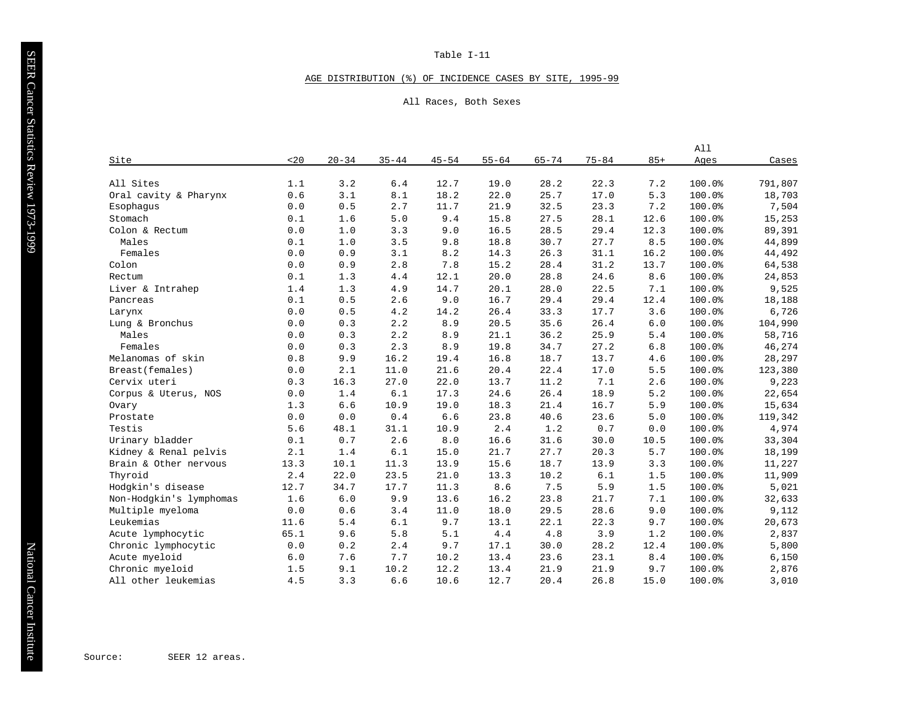#### Table I-11

#### AGE DISTRIBUTION (%) OF INCIDENCE CASES BY SITE, 1995-99

#### All Races, Both Sexes

|                         |       |           |           |           |           |           |           |       | All    |         |
|-------------------------|-------|-----------|-----------|-----------|-----------|-----------|-----------|-------|--------|---------|
| Site                    | < 20  | $20 - 34$ | $35 - 44$ | $45 - 54$ | $55 - 64$ | $65 - 74$ | $75 - 84$ | $85+$ | Ages   | Cases   |
|                         |       |           |           |           |           |           |           |       |        |         |
| All Sites               | 1.1   | 3.2       | 6.4       | 12.7      | 19.0      | 28.2      | 22.3      | 7.2   | 100.0% | 791,807 |
| Oral cavity & Pharynx   | 0.6   | 3.1       | 8.1       | 18.2      | 22.0      | 25.7      | 17.0      | 5.3   | 100.0% | 18,703  |
| Esophagus               | 0.0   | 0.5       | 2.7       | 11.7      | 21.9      | 32.5      | 23.3      | 7.2   | 100.0% | 7,504   |
| Stomach                 | 0.1   | 1.6       | 5.0       | 9.4       | 15.8      | 27.5      | 28.1      | 12.6  | 100.0% | 15,253  |
| Colon & Rectum          | 0.0   | 1.0       | 3.3       | 9.0       | 16.5      | 28.5      | 29.4      | 12.3  | 100.0% | 89,391  |
| Males                   | 0.1   | 1.0       | 3.5       | 9.8       | 18.8      | 30.7      | 27.7      | 8.5   | 100.0% | 44,899  |
| Females                 | $0.0$ | 0.9       | 3.1       | 8.2       | 14.3      | 26.3      | 31.1      | 16.2  | 100.0% | 44,492  |
| Colon                   | 0.0   | 0.9       | 2.8       | 7.8       | 15.2      | 28.4      | 31.2      | 13.7  | 100.0% | 64,538  |
| Rectum                  | 0.1   | 1.3       | 4.4       | 12.1      | 20.0      | 28.8      | 24.6      | 8.6   | 100.0% | 24,853  |
| Liver & Intrahep        | 1.4   | 1.3       | 4.9       | 14.7      | 20.1      | 28.0      | 22.5      | 7.1   | 100.0% | 9,525   |
| Pancreas                | 0.1   | 0.5       | 2.6       | 9.0       | 16.7      | 29.4      | 29.4      | 12.4  | 100.0% | 18,188  |
| Larynx                  | $0.0$ | 0.5       | 4.2       | 14.2      | 26.4      | 33.3      | 17.7      | 3.6   | 100.0% | 6,726   |
| Lung & Bronchus         | 0.0   | 0.3       | 2.2       | 8.9       | 20.5      | 35.6      | 26.4      | 6.0   | 100.0% | 104,990 |
| Males                   | 0.0   | 0.3       | 2.2       | 8.9       | 21.1      | 36.2      | 25.9      | 5.4   | 100.0% | 58,716  |
| Females                 | 0.0   | 0.3       | 2.3       | 8.9       | 19.8      | 34.7      | 27.2      | 6.8   | 100.0% | 46,274  |
| Melanomas of skin       | 0.8   | 9.9       | 16.2      | 19.4      | 16.8      | 18.7      | 13.7      | 4.6   | 100.0% | 28,297  |
| Breast (females)        | $0.0$ | 2.1       | 11.0      | 21.6      | 20.4      | 22.4      | 17.0      | 5.5   | 100.0% | 123,380 |
| Cervix uteri            | 0.3   | 16.3      | 27.0      | 22.0      | 13.7      | 11.2      | 7.1       | 2.6   | 100.0% | 9,223   |
| Corpus & Uterus, NOS    | 0.0   | 1.4       | 6.1       | 17.3      | 24.6      | 26.4      | 18.9      | 5.2   | 100.0% | 22,654  |
| Ovary                   | 1.3   | 6.6       | 10.9      | 19.0      | 18.3      | 21.4      | 16.7      | 5.9   | 100.0% | 15,634  |
| Prostate                | $0.0$ | 0.0       | 0.4       | 6.6       | 23.8      | 40.6      | 23.6      | 5.0   | 100.0% | 119,342 |
| Testis                  | 5.6   | 48.1      | 31.1      | 10.9      | 2.4       | 1.2       | 0.7       | 0.0   | 100.0% | 4,974   |
| Urinary bladder         | 0.1   | 0.7       | 2.6       | 8.0       | 16.6      | 31.6      | 30.0      | 10.5  | 100.0% | 33,304  |
| Kidney & Renal pelvis   | 2.1   | 1.4       | 6.1       | 15.0      | 21.7      | 27.7      | 20.3      | 5.7   | 100.0% | 18,199  |
| Brain & Other nervous   | 13.3  | 10.1      | 11.3      | 13.9      | 15.6      | 18.7      | 13.9      | 3.3   | 100.0% | 11,227  |
| Thyroid                 | 2.4   | 22.0      | 23.5      | 21.0      | 13.3      | 10.2      | $6.1$     | 1.5   | 100.0% | 11,909  |
| Hodgkin's disease       | 12.7  | 34.7      | 17.7      | 11.3      | 8.6       | 7.5       | 5.9       | 1.5   | 100.0% | 5,021   |
| Non-Hodgkin's lymphomas | 1.6   | 6.0       | 9.9       | 13.6      | 16.2      | 23.8      | 21.7      | 7.1   | 100.0% | 32,633  |
| Multiple myeloma        | 0.0   | 0.6       | 3.4       | 11.0      | 18.0      | 29.5      | 28.6      | 9.0   | 100.0% | 9,112   |
| Leukemias               | 11.6  | 5.4       | 6.1       | 9.7       | 13.1      | 22.1      | 22.3      | 9.7   | 100.0% | 20,673  |
| Acute lymphocytic       | 65.1  | 9.6       | 5.8       | 5.1       | 4.4       | 4.8       | 3.9       | 1.2   | 100.0% | 2,837   |
| Chronic lymphocytic     | 0.0   | 0.2       | 2.4       | 9.7       | 17.1      | 30.0      | 28.2      | 12.4  | 100.0% | 5,800   |
| Acute myeloid           | $6.0$ | 7.6       | 7.7       | 10.2      | 13.4      | 23.6      | 23.1      | 8.4   | 100.0% | 6,150   |
| Chronic myeloid         | 1.5   | 9.1       | 10.2      | 12.2      | 13.4      | 21.9      | 21.9      | 9.7   | 100.0% | 2,876   |
| All other leukemias     | 4.5   | 3.3       | 6.6       | 10.6      | 12.7      | 20.4      | 26.8      | 15.0  | 100.0% | 3,010   |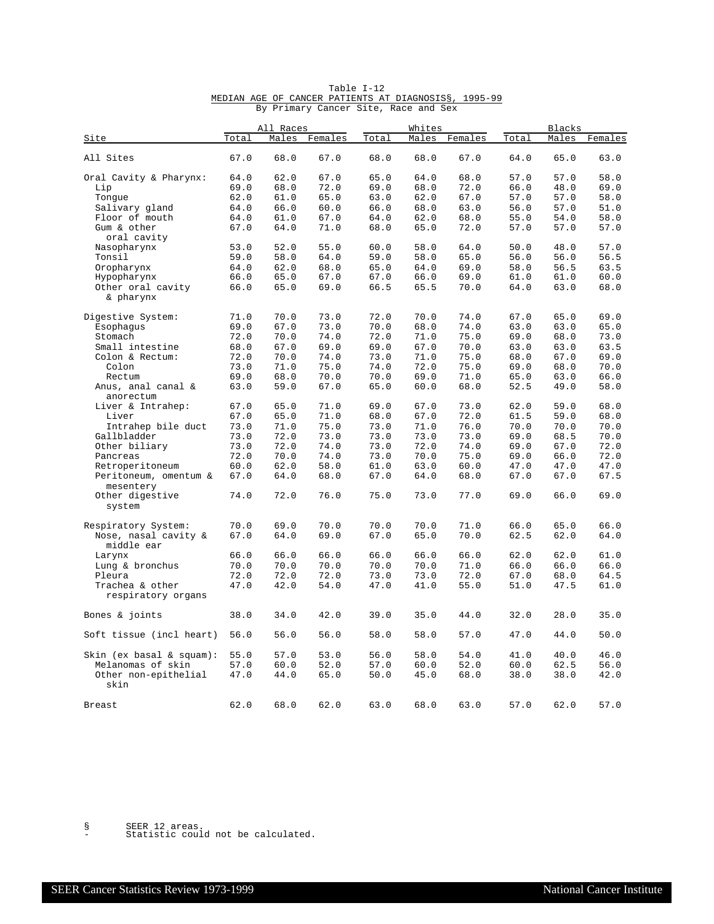|                                    |       | All Races |         |       | Whites |         |       | Blacks |         |
|------------------------------------|-------|-----------|---------|-------|--------|---------|-------|--------|---------|
| Site                               | Total | Males     | Females | Total | Males  | Females | Total | Males  | Females |
| All Sites                          | 67.0  | 68.0      | 67.0    | 68.0  | 68.0   | 67.0    | 64.0  | 65.0   | 63.0    |
| Oral Cavity & Pharynx:             | 64.0  | 62.0      | 67.0    | 65.0  | 64.0   | 68.0    | 57.0  | 57.0   | 58.0    |
| Lip                                | 69.0  | 68.0      | 72.0    | 69.0  | 68.0   | 72.0    | 66.0  | 48.0   | 69.0    |
| Tongue                             | 62.0  | 61.0      | 65.0    | 63.0  | 62.0   | 67.0    | 57.0  | 57.0   | 58.0    |
| Salivary gland                     | 64.0  | 66.0      | 60.0    | 66.0  | 68.0   | 63.0    | 56.0  | 57.0   | 51.0    |
| Floor of mouth                     | 64.0  | 61.0      | 67.0    | 64.0  | 62.0   | 68.0    | 55.0  | 54.0   | 58.0    |
| Gum & other<br>oral cavity         | 67.0  | 64.0      | 71.0    | 68.0  | 65.0   | 72.0    | 57.0  | 57.0   | 57.0    |
| Nasopharynx                        | 53.0  | 52.0      | 55.0    | 60.0  | 58.0   | 64.0    | 50.0  | 48.0   | 57.0    |
| Tonsil                             | 59.0  | 58.0      | 64.0    | 59.0  | 58.0   | 65.0    | 56.0  | 56.0   | 56.5    |
| Oropharynx                         | 64.0  | 62.0      | 68.0    | 65.0  | 64.0   | 69.0    | 58.0  | 56.5   | 63.5    |
| Hypopharynx                        | 66.0  | 65.0      | 67.0    | 67.0  | 66.0   | 69.0    | 61.0  | 61.0   | 60.0    |
| Other oral cavity<br>& pharynx     | 66.0  | 65.0      | 69.0    | 66.5  | 65.5   | 70.0    | 64.0  | 63.0   | 68.0    |
| Digestive System:                  | 71.0  | 70.0      | 73.0    | 72.0  | 70.0   | 74.0    | 67.0  | 65.0   | 69.0    |
| Esophagus                          | 69.0  | 67.0      | 73.0    | 70.0  | 68.0   | 74.0    | 63.0  | 63.0   | 65.0    |
| Stomach                            | 72.0  | 70.0      | 74.0    | 72.0  | 71.0   | 75.0    | 69.0  | 68.0   | 73.0    |
| Small intestine                    | 68.0  | 67.0      | 69.0    | 69.0  | 67.0   | 70.0    | 63.0  | 63.0   | 63.5    |
| Colon & Rectum:                    | 72.0  | 70.0      | 74.0    | 73.0  | 71.0   | 75.0    | 68.0  | 67.0   | 69.0    |
| Colon                              | 73.0  | 71.0      | 75.0    | 74.0  | 72.0   | 75.0    | 69.0  | 68.0   | 70.0    |
| Rectum                             | 69.0  | 68.0      | 70.0    | 70.0  | 69.0   | 71.0    | 65.0  | 63.0   | 66.0    |
| Anus, anal canal &<br>anorectum    | 63.0  | 59.0      | 67.0    | 65.0  | 60.0   | 68.0    | 52.5  | 49.0   | 58.0    |
| Liver & Intrahep:                  | 67.0  | 65.0      | 71.0    | 69.0  | 67.0   | 73.0    | 62.0  | 59.0   | 68.0    |
| Liver                              | 67.0  | 65.0      | 71.0    | 68.0  | 67.0   | 72.0    | 61.5  | 59.0   | 68.0    |
| Intrahep bile duct                 | 73.0  | 71.0      | 75.0    | 73.0  | 71.0   | 76.0    | 70.0  | 70.0   | 70.0    |
| Gallbladder                        | 73.0  | 72.0      | 73.0    | 73.0  | 73.0   | 73.0    | 69.0  | 68.5   | 70.0    |
| Other biliary                      | 73.0  | 72.0      | 74.0    | 73.0  | 72.0   | 74.0    | 69.0  | 67.0   | 72.0    |
| Pancreas                           | 72.0  | 70.0      | 74.0    | 73.0  | 70.0   | 75.0    | 69.0  | 66.0   | 72.0    |
| Retroperitoneum                    | 60.0  | 62.0      | 58.0    | 61.0  | 63.0   | 60.0    | 47.0  | 47.0   | 47.0    |
| Peritoneum, omentum &<br>mesentery | 67.0  | 64.0      | 68.0    | 67.0  | 64.0   | 68.0    | 67.0  | 67.0   | 67.5    |
| Other digestive<br>system          | 74.0  | 72.0      | 76.0    | 75.0  | 73.0   | 77.0    | 69.0  | 66.0   | 69.0    |
| Respiratory System:                | 70.0  | 69.0      | 70.0    | 70.0  | 70.0   | 71.0    | 66.0  | 65.0   | 66.0    |
| Nose, nasal cavity &               | 67.0  | 64.0      | 69.0    | 67.0  | 65.0   | 70.0    | 62.5  | 62.0   | 64.0    |
| middle ear                         |       |           |         |       |        |         |       |        |         |
| Larynx                             | 66.0  | 66.0      | 66.0    | 66.0  | 66.0   | 66.0    | 62.0  | 62.0   | 61.0    |
| Lung & bronchus                    | 70.0  | 70.0      | 70.0    | 70.0  | 70.0   | 71.0    | 66.0  | 66.0   | 66.0    |
| Pleura                             | 72.0  | 72.0      | 72.0    | 73.0  | 73.0   | 72.0    | 67.0  | 68.0   | 64.5    |
| Trachea & other                    | 47.0  | 42.0      | 54.0    | 47.0  | 41.0   | 55.0    | 51.0  | 47.5   | 61.0    |
| respiratory organs                 |       |           |         |       |        |         |       |        |         |
| Bones & joints                     | 38.0  | 34.0      | 42.0    | 39.0  | 35.0   | 44.0    | 32.0  | 28.0   | 35.0    |
| Soft tissue (incl heart)           | 56.0  | 56.0      | 56.0    | 58.0  | 58.0   | 57.0    | 47.0  | 44.0   | 50.0    |
| Skin (ex basal & squam):           | 55.0  | 57.0      | 53.0    | 56.0  | 58.0   | 54.0    | 41.0  | 40.0   | 46.0    |
| Melanomas of skin                  | 57.0  | 60.0      | 52.0    | 57.0  | 60.0   | 52.0    | 60.0  | 62.5   | 56.0    |
| Other non-epithelial<br>skin       | 47.0  | 44.0      | 65.0    | 50.0  | 45.0   | 68.0    | 38.0  | 38.0   | 42.0    |
| Breast                             | 62.0  | 68.0      | 62.0    | 63.0  | 68.0   | 63.0    | 57.0  | 62.0   | 57.0    |

#### Table I-12 MEDIAN AGE OF CANCER PATIENTS AT DIAGNOSIS§, 1995-99 By Primary Cancer Site, Race and Sex

§ SEER 12 areas. - Statistic could not be calculated.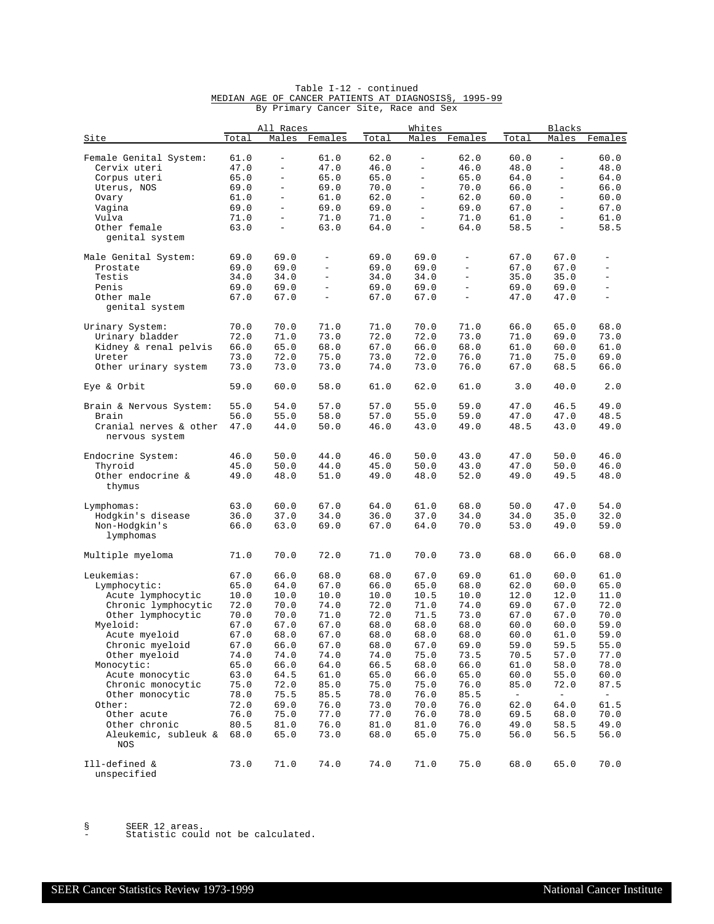| Males<br>Site<br>Total<br>Total<br>Males<br>Total<br>Males<br>Females<br>Females<br>62.0<br>60.0<br>61.0<br>61.0<br>62.0<br>Female Genital System:<br>$\overline{\phantom{0}}$<br>$\overline{\phantom{a}}$<br>$\overline{\phantom{a}}$<br>47.0<br>47.0<br>46.0<br>46.0<br>48.0<br>Cervix uteri<br>$\equiv$<br>$\bar{ }$<br>$\equiv$<br>65.0<br>65.0<br>65.0<br>$\equiv$<br>65.0<br>64.0<br>Corpus uteri<br>$\overline{\phantom{0}}$<br>$\equiv$<br>69.0<br>69.0<br>70.0<br>$\equiv$<br>70.0<br>66.0<br>Uterus, NOS<br>$\equiv$<br>$\equiv$<br>62.0<br>61.0<br>61.0<br>62.0<br>60.0<br>Ovary<br>$\overline{\phantom{a}}$<br>$\overline{\phantom{a}}$<br>$\overline{\phantom{a}}$<br>69.0<br>69.0<br>69.0<br>$\equiv$<br>69.0<br>67.0<br>Vagina<br>$\overline{\phantom{0}}$<br>$\equiv$<br>71.0<br>71.0<br>71.0<br>$\equiv$<br>71.0<br>61.0<br>Vulva<br>$\frac{1}{2}$<br>$\overline{\phantom{0}}$<br>64.0<br>64.0<br>Other female<br>63.0<br>63.0<br>$\equiv$<br>58.5<br>$\overline{\phantom{a}}$<br>$\overline{\phantom{a}}$<br>genital system<br>69.0<br>69.0<br>69.0<br>69.0<br>67.0<br>Male Genital System:<br>67.0<br>$\overline{\phantom{a}}$<br>$\overline{\phantom{a}}$<br>69.0<br>69.0<br>69.0<br>69.0<br>÷,<br>67.0<br>67.0<br>Prostate<br>$\qquad \qquad -$<br>$\bar{\phantom{a}}$<br>34.0<br>34.0<br>34.0<br>34.0<br>35.0<br>35.0<br>Testis<br>$\overline{\phantom{a}}$<br>Penis<br>69.0<br>69.0<br>69.0<br>÷,<br>69.0<br>69.0<br>69.0<br>$\equiv$<br>67.0<br>67.0<br>67.0<br>67.0<br>$\equiv$<br>47.0<br>47.0<br>Other male<br>$\overline{\phantom{a}}$<br>genital system<br>70.0<br>70.0<br>71.0<br>70.0<br>66.0<br>65.0<br>Urinary System:<br>71.0<br>71.0<br>72.0<br>71.0<br>73.0<br>72.0<br>72.0<br>73.0<br>71.0<br>69.0<br>Urinary bladder<br>65.0<br>67.0<br>66.0<br>68.0<br>61.0<br>66.0<br>68.0<br>60.0<br>Kidney & renal pelvis<br>73.0<br>72.0<br>75.0<br>73.0<br>72.0<br>76.0<br>71.0<br>75.0<br>Ureter<br>73.0<br>73.0<br>73.0<br>74.0<br>73.0<br>76.0<br>67.0<br>68.5<br>Other urinary system<br>62.0<br>59.0<br>60.0<br>58.0<br>61.0<br>61.0<br>3.0<br>40.0<br>Eye & Orbit<br>55.0<br>54.0<br>57.0<br>57.0<br>55.0<br>59.0<br>47.0<br>46.5<br>Brain & Nervous System:<br>55.0<br>57.0<br>55.0<br>59.0<br>47.0<br>Brain<br>56.0<br>58.0<br>47.0<br>47.0<br>44.0<br>50.0<br>46.0<br>43.0<br>49.0<br>48.5<br>43.0<br>Cranial nerves & other | Females<br>60.0<br>48.0  |
|-------------------------------------------------------------------------------------------------------------------------------------------------------------------------------------------------------------------------------------------------------------------------------------------------------------------------------------------------------------------------------------------------------------------------------------------------------------------------------------------------------------------------------------------------------------------------------------------------------------------------------------------------------------------------------------------------------------------------------------------------------------------------------------------------------------------------------------------------------------------------------------------------------------------------------------------------------------------------------------------------------------------------------------------------------------------------------------------------------------------------------------------------------------------------------------------------------------------------------------------------------------------------------------------------------------------------------------------------------------------------------------------------------------------------------------------------------------------------------------------------------------------------------------------------------------------------------------------------------------------------------------------------------------------------------------------------------------------------------------------------------------------------------------------------------------------------------------------------------------------------------------------------------------------------------------------------------------------------------------------------------------------------------------------------------------------------------------------------------------------------------------------------------------------------------------------------------------------------------------------------------------------------------------------------------------------------------------------------------------------|--------------------------|
|                                                                                                                                                                                                                                                                                                                                                                                                                                                                                                                                                                                                                                                                                                                                                                                                                                                                                                                                                                                                                                                                                                                                                                                                                                                                                                                                                                                                                                                                                                                                                                                                                                                                                                                                                                                                                                                                                                                                                                                                                                                                                                                                                                                                                                                                                                                                                                   |                          |
|                                                                                                                                                                                                                                                                                                                                                                                                                                                                                                                                                                                                                                                                                                                                                                                                                                                                                                                                                                                                                                                                                                                                                                                                                                                                                                                                                                                                                                                                                                                                                                                                                                                                                                                                                                                                                                                                                                                                                                                                                                                                                                                                                                                                                                                                                                                                                                   |                          |
|                                                                                                                                                                                                                                                                                                                                                                                                                                                                                                                                                                                                                                                                                                                                                                                                                                                                                                                                                                                                                                                                                                                                                                                                                                                                                                                                                                                                                                                                                                                                                                                                                                                                                                                                                                                                                                                                                                                                                                                                                                                                                                                                                                                                                                                                                                                                                                   |                          |
|                                                                                                                                                                                                                                                                                                                                                                                                                                                                                                                                                                                                                                                                                                                                                                                                                                                                                                                                                                                                                                                                                                                                                                                                                                                                                                                                                                                                                                                                                                                                                                                                                                                                                                                                                                                                                                                                                                                                                                                                                                                                                                                                                                                                                                                                                                                                                                   | 64.0                     |
|                                                                                                                                                                                                                                                                                                                                                                                                                                                                                                                                                                                                                                                                                                                                                                                                                                                                                                                                                                                                                                                                                                                                                                                                                                                                                                                                                                                                                                                                                                                                                                                                                                                                                                                                                                                                                                                                                                                                                                                                                                                                                                                                                                                                                                                                                                                                                                   | 66.0                     |
|                                                                                                                                                                                                                                                                                                                                                                                                                                                                                                                                                                                                                                                                                                                                                                                                                                                                                                                                                                                                                                                                                                                                                                                                                                                                                                                                                                                                                                                                                                                                                                                                                                                                                                                                                                                                                                                                                                                                                                                                                                                                                                                                                                                                                                                                                                                                                                   | 60.0                     |
|                                                                                                                                                                                                                                                                                                                                                                                                                                                                                                                                                                                                                                                                                                                                                                                                                                                                                                                                                                                                                                                                                                                                                                                                                                                                                                                                                                                                                                                                                                                                                                                                                                                                                                                                                                                                                                                                                                                                                                                                                                                                                                                                                                                                                                                                                                                                                                   | 67.0                     |
|                                                                                                                                                                                                                                                                                                                                                                                                                                                                                                                                                                                                                                                                                                                                                                                                                                                                                                                                                                                                                                                                                                                                                                                                                                                                                                                                                                                                                                                                                                                                                                                                                                                                                                                                                                                                                                                                                                                                                                                                                                                                                                                                                                                                                                                                                                                                                                   | 61.0                     |
|                                                                                                                                                                                                                                                                                                                                                                                                                                                                                                                                                                                                                                                                                                                                                                                                                                                                                                                                                                                                                                                                                                                                                                                                                                                                                                                                                                                                                                                                                                                                                                                                                                                                                                                                                                                                                                                                                                                                                                                                                                                                                                                                                                                                                                                                                                                                                                   | 58.5                     |
|                                                                                                                                                                                                                                                                                                                                                                                                                                                                                                                                                                                                                                                                                                                                                                                                                                                                                                                                                                                                                                                                                                                                                                                                                                                                                                                                                                                                                                                                                                                                                                                                                                                                                                                                                                                                                                                                                                                                                                                                                                                                                                                                                                                                                                                                                                                                                                   | $\qquad \qquad -$        |
|                                                                                                                                                                                                                                                                                                                                                                                                                                                                                                                                                                                                                                                                                                                                                                                                                                                                                                                                                                                                                                                                                                                                                                                                                                                                                                                                                                                                                                                                                                                                                                                                                                                                                                                                                                                                                                                                                                                                                                                                                                                                                                                                                                                                                                                                                                                                                                   | $\qquad \qquad -$        |
|                                                                                                                                                                                                                                                                                                                                                                                                                                                                                                                                                                                                                                                                                                                                                                                                                                                                                                                                                                                                                                                                                                                                                                                                                                                                                                                                                                                                                                                                                                                                                                                                                                                                                                                                                                                                                                                                                                                                                                                                                                                                                                                                                                                                                                                                                                                                                                   | $\overline{\phantom{0}}$ |
|                                                                                                                                                                                                                                                                                                                                                                                                                                                                                                                                                                                                                                                                                                                                                                                                                                                                                                                                                                                                                                                                                                                                                                                                                                                                                                                                                                                                                                                                                                                                                                                                                                                                                                                                                                                                                                                                                                                                                                                                                                                                                                                                                                                                                                                                                                                                                                   | $\equiv$                 |
|                                                                                                                                                                                                                                                                                                                                                                                                                                                                                                                                                                                                                                                                                                                                                                                                                                                                                                                                                                                                                                                                                                                                                                                                                                                                                                                                                                                                                                                                                                                                                                                                                                                                                                                                                                                                                                                                                                                                                                                                                                                                                                                                                                                                                                                                                                                                                                   | $\equiv$                 |
|                                                                                                                                                                                                                                                                                                                                                                                                                                                                                                                                                                                                                                                                                                                                                                                                                                                                                                                                                                                                                                                                                                                                                                                                                                                                                                                                                                                                                                                                                                                                                                                                                                                                                                                                                                                                                                                                                                                                                                                                                                                                                                                                                                                                                                                                                                                                                                   | 68.0                     |
|                                                                                                                                                                                                                                                                                                                                                                                                                                                                                                                                                                                                                                                                                                                                                                                                                                                                                                                                                                                                                                                                                                                                                                                                                                                                                                                                                                                                                                                                                                                                                                                                                                                                                                                                                                                                                                                                                                                                                                                                                                                                                                                                                                                                                                                                                                                                                                   | 73.0                     |
|                                                                                                                                                                                                                                                                                                                                                                                                                                                                                                                                                                                                                                                                                                                                                                                                                                                                                                                                                                                                                                                                                                                                                                                                                                                                                                                                                                                                                                                                                                                                                                                                                                                                                                                                                                                                                                                                                                                                                                                                                                                                                                                                                                                                                                                                                                                                                                   | 61.0                     |
|                                                                                                                                                                                                                                                                                                                                                                                                                                                                                                                                                                                                                                                                                                                                                                                                                                                                                                                                                                                                                                                                                                                                                                                                                                                                                                                                                                                                                                                                                                                                                                                                                                                                                                                                                                                                                                                                                                                                                                                                                                                                                                                                                                                                                                                                                                                                                                   | 69.0                     |
|                                                                                                                                                                                                                                                                                                                                                                                                                                                                                                                                                                                                                                                                                                                                                                                                                                                                                                                                                                                                                                                                                                                                                                                                                                                                                                                                                                                                                                                                                                                                                                                                                                                                                                                                                                                                                                                                                                                                                                                                                                                                                                                                                                                                                                                                                                                                                                   | 66.0                     |
|                                                                                                                                                                                                                                                                                                                                                                                                                                                                                                                                                                                                                                                                                                                                                                                                                                                                                                                                                                                                                                                                                                                                                                                                                                                                                                                                                                                                                                                                                                                                                                                                                                                                                                                                                                                                                                                                                                                                                                                                                                                                                                                                                                                                                                                                                                                                                                   | 2.0                      |
|                                                                                                                                                                                                                                                                                                                                                                                                                                                                                                                                                                                                                                                                                                                                                                                                                                                                                                                                                                                                                                                                                                                                                                                                                                                                                                                                                                                                                                                                                                                                                                                                                                                                                                                                                                                                                                                                                                                                                                                                                                                                                                                                                                                                                                                                                                                                                                   | 49.0                     |
|                                                                                                                                                                                                                                                                                                                                                                                                                                                                                                                                                                                                                                                                                                                                                                                                                                                                                                                                                                                                                                                                                                                                                                                                                                                                                                                                                                                                                                                                                                                                                                                                                                                                                                                                                                                                                                                                                                                                                                                                                                                                                                                                                                                                                                                                                                                                                                   | 48.5                     |
| nervous system                                                                                                                                                                                                                                                                                                                                                                                                                                                                                                                                                                                                                                                                                                                                                                                                                                                                                                                                                                                                                                                                                                                                                                                                                                                                                                                                                                                                                                                                                                                                                                                                                                                                                                                                                                                                                                                                                                                                                                                                                                                                                                                                                                                                                                                                                                                                                    | 49.0                     |
| 46.0<br>46.0<br>Endocrine System:<br>50.0<br>44.0<br>50.0<br>43.0<br>47.0<br>50.0                                                                                                                                                                                                                                                                                                                                                                                                                                                                                                                                                                                                                                                                                                                                                                                                                                                                                                                                                                                                                                                                                                                                                                                                                                                                                                                                                                                                                                                                                                                                                                                                                                                                                                                                                                                                                                                                                                                                                                                                                                                                                                                                                                                                                                                                                 | 46.0                     |
| Thyroid<br>45.0<br>50.0<br>44.0<br>45.0<br>50.0<br>43.0<br>47.0<br>50.0                                                                                                                                                                                                                                                                                                                                                                                                                                                                                                                                                                                                                                                                                                                                                                                                                                                                                                                                                                                                                                                                                                                                                                                                                                                                                                                                                                                                                                                                                                                                                                                                                                                                                                                                                                                                                                                                                                                                                                                                                                                                                                                                                                                                                                                                                           | 46.0                     |
| 52.0<br>Other endocrine &<br>49.0<br>48.0<br>51.0<br>49.0<br>48.0<br>49.0<br>49.5<br>thymus                                                                                                                                                                                                                                                                                                                                                                                                                                                                                                                                                                                                                                                                                                                                                                                                                                                                                                                                                                                                                                                                                                                                                                                                                                                                                                                                                                                                                                                                                                                                                                                                                                                                                                                                                                                                                                                                                                                                                                                                                                                                                                                                                                                                                                                                       | 48.0                     |
| 63.0<br>60.0<br>67.0<br>64.0<br>61.0<br>68.0<br>50.0<br>47.0<br>Lymphomas:                                                                                                                                                                                                                                                                                                                                                                                                                                                                                                                                                                                                                                                                                                                                                                                                                                                                                                                                                                                                                                                                                                                                                                                                                                                                                                                                                                                                                                                                                                                                                                                                                                                                                                                                                                                                                                                                                                                                                                                                                                                                                                                                                                                                                                                                                        | 54.0                     |
| Hodgkin's disease<br>36.0<br>37.0<br>34.0<br>36.0<br>37.0<br>34.0<br>34.0<br>35.0                                                                                                                                                                                                                                                                                                                                                                                                                                                                                                                                                                                                                                                                                                                                                                                                                                                                                                                                                                                                                                                                                                                                                                                                                                                                                                                                                                                                                                                                                                                                                                                                                                                                                                                                                                                                                                                                                                                                                                                                                                                                                                                                                                                                                                                                                 | 32.0                     |
| Non-Hodgkin's<br>66.0<br>63.0<br>69.0<br>67.0<br>64.0<br>70.0<br>53.0<br>49.0<br>lymphomas                                                                                                                                                                                                                                                                                                                                                                                                                                                                                                                                                                                                                                                                                                                                                                                                                                                                                                                                                                                                                                                                                                                                                                                                                                                                                                                                                                                                                                                                                                                                                                                                                                                                                                                                                                                                                                                                                                                                                                                                                                                                                                                                                                                                                                                                        | 59.0                     |
| Multiple myeloma<br>70.0<br>72.0<br>71.0<br>70.0<br>73.0<br>68.0<br>66.0<br>71.0                                                                                                                                                                                                                                                                                                                                                                                                                                                                                                                                                                                                                                                                                                                                                                                                                                                                                                                                                                                                                                                                                                                                                                                                                                                                                                                                                                                                                                                                                                                                                                                                                                                                                                                                                                                                                                                                                                                                                                                                                                                                                                                                                                                                                                                                                  | 68.0                     |
| Leukemias:<br>66.0<br>68.0<br>68.0<br>67.0<br>69.0<br>60.0<br>67.0<br>61.0                                                                                                                                                                                                                                                                                                                                                                                                                                                                                                                                                                                                                                                                                                                                                                                                                                                                                                                                                                                                                                                                                                                                                                                                                                                                                                                                                                                                                                                                                                                                                                                                                                                                                                                                                                                                                                                                                                                                                                                                                                                                                                                                                                                                                                                                                        | 61.0                     |
| 65.0<br>64.0<br>67.0<br>66.0<br>65.0<br>68.0<br>62.0<br>60.0<br>Lymphocytic:                                                                                                                                                                                                                                                                                                                                                                                                                                                                                                                                                                                                                                                                                                                                                                                                                                                                                                                                                                                                                                                                                                                                                                                                                                                                                                                                                                                                                                                                                                                                                                                                                                                                                                                                                                                                                                                                                                                                                                                                                                                                                                                                                                                                                                                                                      | 65.0                     |
| 10.5<br>10.0<br>12.0<br>12.0<br>Acute lymphocytic<br>10.0<br>10.0<br>10.0<br>10.0                                                                                                                                                                                                                                                                                                                                                                                                                                                                                                                                                                                                                                                                                                                                                                                                                                                                                                                                                                                                                                                                                                                                                                                                                                                                                                                                                                                                                                                                                                                                                                                                                                                                                                                                                                                                                                                                                                                                                                                                                                                                                                                                                                                                                                                                                 | 11.0                     |
| 74.0<br>Chronic lymphocytic<br>72.0<br>70.0<br>74.0<br>72.0<br>71.0<br>69.0<br>67.0                                                                                                                                                                                                                                                                                                                                                                                                                                                                                                                                                                                                                                                                                                                                                                                                                                                                                                                                                                                                                                                                                                                                                                                                                                                                                                                                                                                                                                                                                                                                                                                                                                                                                                                                                                                                                                                                                                                                                                                                                                                                                                                                                                                                                                                                               | 72.0                     |
| Other lymphocytic<br>70.0<br>70.0<br>71.0<br>72.0<br>71.5<br>73.0<br>67.0<br>67.0                                                                                                                                                                                                                                                                                                                                                                                                                                                                                                                                                                                                                                                                                                                                                                                                                                                                                                                                                                                                                                                                                                                                                                                                                                                                                                                                                                                                                                                                                                                                                                                                                                                                                                                                                                                                                                                                                                                                                                                                                                                                                                                                                                                                                                                                                 | 70.0                     |
| 68.0<br>Myeloid:<br>67.0<br>67.0<br>67.0<br>68.0<br>68.0<br>60.0<br>60.0                                                                                                                                                                                                                                                                                                                                                                                                                                                                                                                                                                                                                                                                                                                                                                                                                                                                                                                                                                                                                                                                                                                                                                                                                                                                                                                                                                                                                                                                                                                                                                                                                                                                                                                                                                                                                                                                                                                                                                                                                                                                                                                                                                                                                                                                                          | 59.0                     |
| 68.0<br>68.0<br>68.0<br>68.0<br>Acute myeloid<br>67.0<br>67.0<br>60.0<br>61.0                                                                                                                                                                                                                                                                                                                                                                                                                                                                                                                                                                                                                                                                                                                                                                                                                                                                                                                                                                                                                                                                                                                                                                                                                                                                                                                                                                                                                                                                                                                                                                                                                                                                                                                                                                                                                                                                                                                                                                                                                                                                                                                                                                                                                                                                                     | 59.0                     |
| Chronic myeloid<br>67.0<br>66.0<br>67.0<br>68.0<br>67.0<br>69.0<br>59.0<br>59.5                                                                                                                                                                                                                                                                                                                                                                                                                                                                                                                                                                                                                                                                                                                                                                                                                                                                                                                                                                                                                                                                                                                                                                                                                                                                                                                                                                                                                                                                                                                                                                                                                                                                                                                                                                                                                                                                                                                                                                                                                                                                                                                                                                                                                                                                                   | 55.0                     |
| 74.0<br>74.0<br>75.0<br>Other myeloid<br>74.0<br>74.0<br>73.5<br>70.5<br>57.0                                                                                                                                                                                                                                                                                                                                                                                                                                                                                                                                                                                                                                                                                                                                                                                                                                                                                                                                                                                                                                                                                                                                                                                                                                                                                                                                                                                                                                                                                                                                                                                                                                                                                                                                                                                                                                                                                                                                                                                                                                                                                                                                                                                                                                                                                     | 77.0                     |
| Monocytic:<br>65.0<br>66.0<br>64.0<br>66.5<br>68.0<br>66.0<br>61.0<br>58.0                                                                                                                                                                                                                                                                                                                                                                                                                                                                                                                                                                                                                                                                                                                                                                                                                                                                                                                                                                                                                                                                                                                                                                                                                                                                                                                                                                                                                                                                                                                                                                                                                                                                                                                                                                                                                                                                                                                                                                                                                                                                                                                                                                                                                                                                                        | 78.0                     |
| Acute monocytic<br>63.0<br>64.5<br>61.0<br>65.0<br>66.0<br>65.0<br>60.0<br>55.0                                                                                                                                                                                                                                                                                                                                                                                                                                                                                                                                                                                                                                                                                                                                                                                                                                                                                                                                                                                                                                                                                                                                                                                                                                                                                                                                                                                                                                                                                                                                                                                                                                                                                                                                                                                                                                                                                                                                                                                                                                                                                                                                                                                                                                                                                   | 60.0                     |
| Chronic monocytic<br>75.0<br>85.0<br>75.0<br>72.0<br>75.0<br>76.0<br>85.0<br>72.0                                                                                                                                                                                                                                                                                                                                                                                                                                                                                                                                                                                                                                                                                                                                                                                                                                                                                                                                                                                                                                                                                                                                                                                                                                                                                                                                                                                                                                                                                                                                                                                                                                                                                                                                                                                                                                                                                                                                                                                                                                                                                                                                                                                                                                                                                 | 87.5                     |
| 78.0<br>75.5<br>85.5<br>78.0<br>76.0<br>Other monocytic<br>85.5<br>$\equiv$<br>$\sim$ $-$                                                                                                                                                                                                                                                                                                                                                                                                                                                                                                                                                                                                                                                                                                                                                                                                                                                                                                                                                                                                                                                                                                                                                                                                                                                                                                                                                                                                                                                                                                                                                                                                                                                                                                                                                                                                                                                                                                                                                                                                                                                                                                                                                                                                                                                                         | $\frac{1}{2}$            |
| 72.0<br>69.0<br>76.0<br>73.0<br>70.0<br>76.0<br>62.0<br>64.0<br>Other:<br>Other acute<br>76.0<br>75.0<br>76.0<br>77.0<br>77.0<br>78.0<br>69.5<br>68.0                                                                                                                                                                                                                                                                                                                                                                                                                                                                                                                                                                                                                                                                                                                                                                                                                                                                                                                                                                                                                                                                                                                                                                                                                                                                                                                                                                                                                                                                                                                                                                                                                                                                                                                                                                                                                                                                                                                                                                                                                                                                                                                                                                                                             | 61.5<br>70.0             |
| 80.5<br>81.0<br>76.0<br>81.0<br>81.0<br>76.0<br>49.0<br>58.5<br>Other chronic                                                                                                                                                                                                                                                                                                                                                                                                                                                                                                                                                                                                                                                                                                                                                                                                                                                                                                                                                                                                                                                                                                                                                                                                                                                                                                                                                                                                                                                                                                                                                                                                                                                                                                                                                                                                                                                                                                                                                                                                                                                                                                                                                                                                                                                                                     | 49.0                     |
| Aleukemic, subleuk &<br>65.0<br>73.0<br>68.0<br>65.0<br>75.0<br>56.0<br>56.5<br>68.0                                                                                                                                                                                                                                                                                                                                                                                                                                                                                                                                                                                                                                                                                                                                                                                                                                                                                                                                                                                                                                                                                                                                                                                                                                                                                                                                                                                                                                                                                                                                                                                                                                                                                                                                                                                                                                                                                                                                                                                                                                                                                                                                                                                                                                                                              | 56.0                     |
| NOS                                                                                                                                                                                                                                                                                                                                                                                                                                                                                                                                                                                                                                                                                                                                                                                                                                                                                                                                                                                                                                                                                                                                                                                                                                                                                                                                                                                                                                                                                                                                                                                                                                                                                                                                                                                                                                                                                                                                                                                                                                                                                                                                                                                                                                                                                                                                                               |                          |
| Ill-defined &<br>73.0<br>71.0<br>74.0<br>74.0<br>71.0<br>75.0<br>68.0<br>65.0<br>unspecified                                                                                                                                                                                                                                                                                                                                                                                                                                                                                                                                                                                                                                                                                                                                                                                                                                                                                                                                                                                                                                                                                                                                                                                                                                                                                                                                                                                                                                                                                                                                                                                                                                                                                                                                                                                                                                                                                                                                                                                                                                                                                                                                                                                                                                                                      | 70.0                     |

#### Table I-12 - continued MEDIAN AGE OF CANCER PATIENTS AT DIAGNOSIS§, 1995-99 By Primary Cancer Site, Race and Sex

§ SEER 12 areas. - Statistic could not be calculated.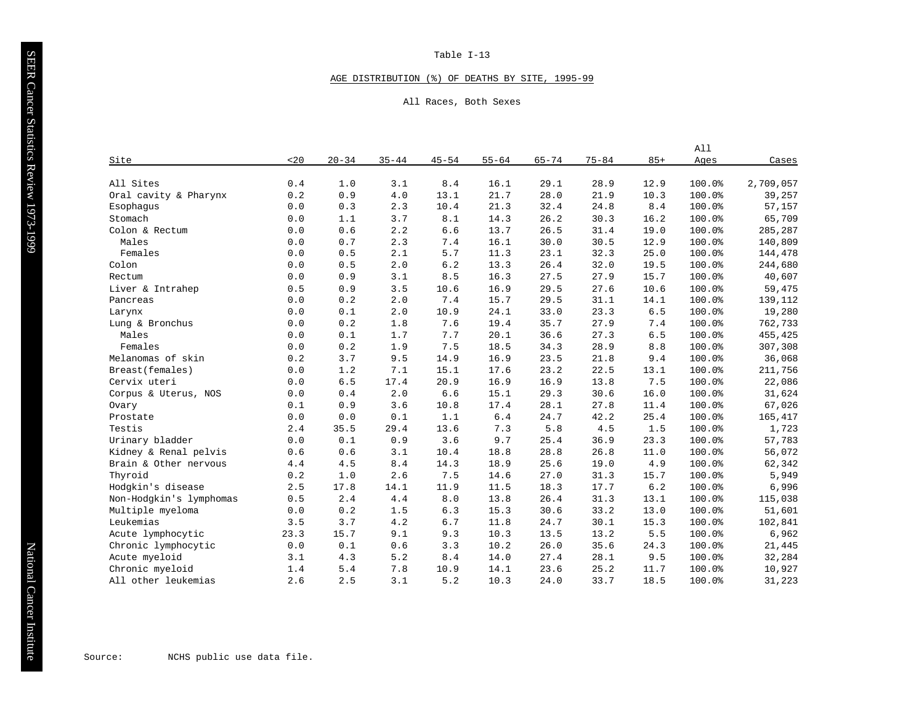Table I-13

#### AGE DISTRIBUTION (%) OF DEATHS BY SITE, 1995-99

All Races, Both Sexes

|                         |       |           |           |           |           |           |           |       | All    |           |
|-------------------------|-------|-----------|-----------|-----------|-----------|-----------|-----------|-------|--------|-----------|
| Site                    | < 20  | $20 - 34$ | $35 - 44$ | $45 - 54$ | $55 - 64$ | $65 - 74$ | $75 - 84$ | $85+$ | Ages   | Cases     |
|                         |       |           |           |           |           |           |           |       |        |           |
| All Sites               | 0.4   | 1.0       | 3.1       | 8.4       | 16.1      | 29.1      | 28.9      | 12.9  | 100.0% | 2,709,057 |
| Oral cavity & Pharynx   | 0.2   | 0.9       | 4.0       | 13.1      | 21.7      | 28.0      | 21.9      | 10.3  | 100.0% | 39,257    |
| Esophagus               | 0.0   | 0.3       | 2.3       | 10.4      | 21.3      | 32.4      | 24.8      | 8.4   | 100.0% | 57,157    |
| Stomach                 | 0.0   | 1.1       | 3.7       | 8.1       | 14.3      | 26.2      | 30.3      | 16.2  | 100.0% | 65,709    |
| Colon & Rectum          | 0.0   | 0.6       | 2.2       | 6.6       | 13.7      | 26.5      | 31.4      | 19.0  | 100.0% | 285,287   |
| Males                   | 0.0   | 0.7       | 2.3       | 7.4       | 16.1      | 30.0      | 30.5      | 12.9  | 100.0% | 140,809   |
| Females                 | 0.0   | 0.5       | 2.1       | 5.7       | 11.3      | 23.1      | 32.3      | 25.0  | 100.0% | 144,478   |
| Colon                   | 0.0   | 0.5       | 2.0       | 6.2       | 13.3      | 26.4      | 32.0      | 19.5  | 100.0% | 244,680   |
| Rectum                  | 0.0   | 0.9       | 3.1       | 8.5       | 16.3      | 27.5      | 27.9      | 15.7  | 100.0% | 40,607    |
| Liver & Intrahep        | 0.5   | 0.9       | 3.5       | 10.6      | 16.9      | 29.5      | 27.6      | 10.6  | 100.0% | 59,475    |
| Pancreas                | 0.0   | 0.2       | 2.0       | 7.4       | 15.7      | 29.5      | 31.1      | 14.1  | 100.0% | 139,112   |
| Larynx                  | $0.0$ | $0.1$     | 2.0       | 10.9      | 24.1      | 33.0      | 23.3      | $6.5$ | 100.0% | 19,280    |
| Lung & Bronchus         | 0.0   | 0.2       | 1.8       | 7.6       | 19.4      | 35.7      | 27.9      | 7.4   | 100.0% | 762,733   |
| Males                   | 0.0   | $0.1$     | 1.7       | 7.7       | 20.1      | 36.6      | 27.3      | 6.5   | 100.0% | 455,425   |
| Females                 | 0.0   | 0.2       | 1.9       | 7.5       | 18.5      | 34.3      | 28.9      | 8.8   | 100.0% | 307,308   |
| Melanomas of skin       | 0.2   | 3.7       | 9.5       | 14.9      | 16.9      | 23.5      | 21.8      | 9.4   | 100.0% | 36,068    |
| Breast (females)        | 0.0   | 1.2       | 7.1       | 15.1      | 17.6      | 23.2      | 22.5      | 13.1  | 100.0% | 211,756   |
| Cervix uteri            | 0.0   | 6.5       | 17.4      | 20.9      | 16.9      | 16.9      | 13.8      | 7.5   | 100.0% | 22,086    |
| Corpus & Uterus, NOS    | 0.0   | 0.4       | 2.0       | 6.6       | 15.1      | 29.3      | 30.6      | 16.0  | 100.0% | 31,624    |
| Ovary                   | 0.1   | 0.9       | 3.6       | 10.8      | 17.4      | 28.1      | 27.8      | 11.4  | 100.0% | 67,026    |
| Prostate                | $0.0$ | 0.0       | 0.1       | 1.1       | 6.4       | 24.7      | 42.2      | 25.4  | 100.0% | 165,417   |
| Testis                  | 2.4   | 35.5      | 29.4      | 13.6      | 7.3       | 5.8       | 4.5       | 1.5   | 100.0% | 1,723     |
| Urinary bladder         | 0.0   | 0.1       | 0.9       | 3.6       | 9.7       | 25.4      | 36.9      | 23.3  | 100.0% | 57,783    |
| Kidney & Renal pelvis   | 0.6   | 0.6       | 3.1       | 10.4      | 18.8      | 28.8      | 26.8      | 11.0  | 100.0% | 56,072    |
| Brain & Other nervous   | 4.4   | 4.5       | 8.4       | 14.3      | 18.9      | 25.6      | 19.0      | 4.9   | 100.0% | 62,342    |
| Thyroid                 | 0.2   | 1.0       | 2.6       | 7.5       | 14.6      | 27.0      | 31.3      | 15.7  | 100.0% | 5,949     |
| Hodgkin's disease       | 2.5   | 17.8      | 14.1      | 11.9      | 11.5      | 18.3      | 17.7      | 6.2   | 100.0% | 6,996     |
| Non-Hodgkin's lymphomas | $0.5$ | 2.4       | 4.4       | 8.0       | 13.8      | 26.4      | 31.3      | 13.1  | 100.0% | 115,038   |
| Multiple myeloma        | 0.0   | 0.2       | 1.5       | $6.3$     | 15.3      | 30.6      | 33.2      | 13.0  | 100.0% | 51,601    |
| Leukemias               | 3.5   | 3.7       | 4.2       | 6.7       | 11.8      | 24.7      | 30.1      | 15.3  | 100.0% | 102,841   |
| Acute lymphocytic       | 23.3  | 15.7      | 9.1       | 9.3       | 10.3      | 13.5      | 13.2      | 5.5   | 100.0% | 6,962     |
| Chronic lymphocytic     | $0.0$ | $0.1$     | 0.6       | 3.3       | 10.2      | 26.0      | 35.6      | 24.3  | 100.0% | 21,445    |
| Acute myeloid           | 3.1   | 4.3       | 5.2       | 8.4       | 14.0      | 27.4      | 28.1      | 9.5   | 100.0% | 32,284    |
| Chronic myeloid         | 1.4   | 5.4       | 7.8       | 10.9      | 14.1      | 23.6      | 25.2      | 11.7  | 100.0% | 10,927    |
| All other leukemias     | 2.6   | 2.5       | 3.1       | 5.2       | 10.3      | 24.0      | 33.7      | 18.5  | 100.0% | 31,223    |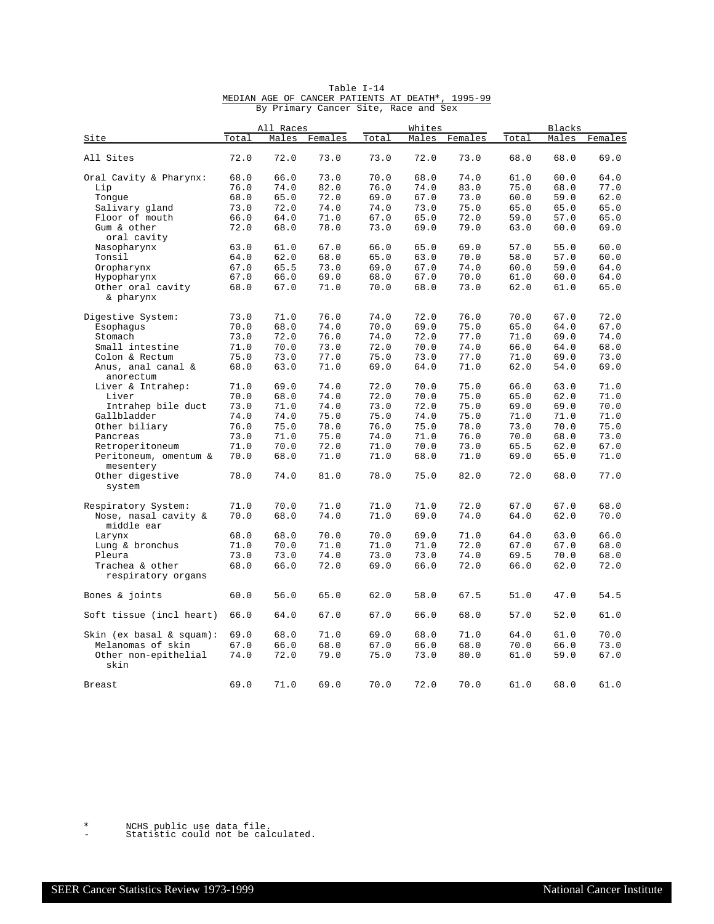|                                 |       | All Races |         |       | Whites |         |       | Blacks |         |
|---------------------------------|-------|-----------|---------|-------|--------|---------|-------|--------|---------|
| Site                            | Total | Males     | Females | Total | Males  | Females | Total | Males  | Females |
| All Sites                       | 72.0  | 72.0      | 73.0    | 73.0  | 72.0   | 73.0    | 68.0  | 68.0   | 69.0    |
| Oral Cavity & Pharynx:          | 68.0  | 66.0      | 73.0    | 70.0  | 68.0   | 74.0    | 61.0  | 60.0   | 64.0    |
| Lip                             | 76.0  | 74.0      | 82.0    | 76.0  | 74.0   | 83.0    | 75.0  | 68.0   | 77.0    |
| Tongue                          | 68.0  | 65.0      | 72.0    | 69.0  | 67.0   | 73.0    | 60.0  | 59.0   | 62.0    |
| Salivary gland                  | 73.0  | 72.0      | 74.0    | 74.0  | 73.0   | 75.0    | 65.0  | 65.0   | 65.0    |
| Floor of mouth                  | 66.0  | 64.0      | 71.0    | 67.0  | 65.0   | 72.0    | 59.0  | 57.0   | 65.0    |
| Gum & other                     | 72.0  | 68.0      | 78.0    | 73.0  | 69.0   | 79.0    | 63.0  | 60.0   | 69.0    |
| oral cavity                     |       |           |         |       |        |         |       |        |         |
|                                 |       | 61.0      |         |       |        |         |       |        |         |
| Nasopharynx                     | 63.0  |           | 67.0    | 66.0  | 65.0   | 69.0    | 57.0  | 55.0   | 60.0    |
| Tonsil                          | 64.0  | 62.0      | 68.0    | 65.0  | 63.0   | 70.0    | 58.0  | 57.0   | 60.0    |
| Oropharynx                      | 67.0  | 65.5      | 73.0    | 69.0  | 67.0   | 74.0    | 60.0  | 59.0   | 64.0    |
| Hypopharynx                     | 67.0  | 66.0      | 69.0    | 68.0  | 67.0   | 70.0    | 61.0  | 60.0   | 64.0    |
| Other oral cavity               | 68.0  | 67.0      | 71.0    | 70.0  | 68.0   | 73.0    | 62.0  | 61.0   | 65.0    |
| & pharynx                       |       |           |         |       |        |         |       |        |         |
| Digestive System:               | 73.0  | 71.0      | 76.0    | 74.0  | 72.0   | 76.0    | 70.0  | 67.0   | 72.0    |
| Esophagus                       | 70.0  | 68.0      | 74.0    | 70.0  | 69.0   | 75.0    | 65.0  | 64.0   | 67.0    |
| Stomach                         | 73.0  | 72.0      | 76.0    | 74.0  | 72.0   | 77.0    | 71.0  | 69.0   | 74.0    |
| Small intestine                 | 71.0  | 70.0      | 73.0    | 72.0  | 70.0   | 74.0    | 66.0  | 64.0   | 68.0    |
| Colon & Rectum                  | 75.0  | 73.0      | 77.0    | 75.0  | 73.0   | 77.0    | 71.0  | 69.0   | 73.0    |
|                                 | 68.0  | 63.0      | 71.0    | 69.0  | 64.0   | 71.0    | 62.0  | 54.0   | 69.0    |
| Anus, anal canal &<br>anorectum |       |           |         |       |        |         |       |        |         |
| Liver & Intrahep:               | 71.0  | 69.0      | 74.0    | 72.0  | 70.0   | 75.0    | 66.0  | 63.0   | 71.0    |
| Liver                           | 70.0  | 68.0      | 74.0    | 72.0  | 70.0   | 75.0    | 65.0  | 62.0   | 71.0    |
| Intrahep bile duct              | 73.0  | 71.0      | 74.0    | 73.0  | 72.0   | 75.0    | 69.0  | 69.0   | 70.0    |
| Gallbladder                     | 74.0  | 74.0      | 75.0    | 75.0  | 74.0   | 75.0    | 71.0  | 71.0   | 71.0    |
| Other biliary                   | 76.0  | 75.0      | 78.0    | 76.0  | 75.0   | 78.0    | 73.0  | 70.0   | 75.0    |
| Pancreas                        | 73.0  | 71.0      | 75.0    | 74.0  | 71.0   | 76.0    | 70.0  | 68.0   | 73.0    |
|                                 | 71.0  | 70.0      | 72.0    | 71.0  | 70.0   | 73.0    | 65.5  | 62.0   | 67.0    |
| Retroperitoneum                 |       |           |         |       |        |         |       |        |         |
| Peritoneum, omentum &           | 70.0  | 68.0      | 71.0    | 71.0  | 68.0   | 71.0    | 69.0  | 65.0   | 71.0    |
| mesentery                       |       |           |         |       |        |         |       |        |         |
| Other digestive<br>system       | 78.0  | 74.0      | 81.0    | 78.0  | 75.0   | 82.0    | 72.0  | 68.0   | 77.0    |
|                                 |       |           |         |       |        |         |       |        |         |
| Respiratory System:             | 71.0  | 70.0      | 71.0    | 71.0  | 71.0   | 72.0    | 67.0  | 67.0   | 68.0    |
| Nose, nasal cavity &            | 70.0  | 68.0      | 74.0    | 71.0  | 69.0   | 74.0    | 64.0  | 62.0   | 70.0    |
| middle ear                      |       |           |         |       |        |         |       |        |         |
| Larynx                          | 68.0  | 68.0      | 70.0    | 70.0  | 69.0   | 71.0    | 64.0  | 63.0   | 66.0    |
| Lung & bronchus                 | 71.0  | 70.0      | 71.0    | 71.0  | 71.0   | 72.0    | 67.0  | 67.0   | 68.0    |
| Pleura                          | 73.0  | 73.0      | 74.0    | 73.0  | 73.0   | 74.0    | 69.5  | 70.0   | 68.0    |
| Trachea & other                 | 68.0  | 66.0      | 72.0    | 69.0  | 66.0   | 72.0    | 66.0  | 62.0   | 72.0    |
| respiratory organs              |       |           |         |       |        |         |       |        |         |
|                                 |       |           |         |       |        |         |       |        |         |
| Bones & joints                  | 60.0  | 56.0      | 65.0    | 62.0  | 58.0   | 67.5    | 51.0  | 47.0   | 54.5    |
| Soft tissue (incl heart)        | 66.0  | 64.0      | 67.0    | 67.0  | 66.0   | 68.0    | 57.0  | 52.0   | 61.0    |
| Skin (ex basal & squam):        | 69.0  | 68.0      | 71.0    | 69.0  | 68.0   | 71.0    | 64.0  | 61.0   | 70.0    |
| Melanomas of skin               | 67.0  | 66.0      | 68.0    | 67.0  | 66.0   | 68.0    | 70.0  | 66.0   | 73.0    |
| Other non-epithelial            | 74.0  | 72.0      | 79.0    | 75.0  | 73.0   | 80.0    | 61.0  | 59.0   | 67.0    |
| skin                            |       |           |         |       |        |         |       |        |         |
| <b>Breast</b>                   | 69.0  | 71.0      | 69.0    | 70.0  | 72.0   | 70.0    | 61.0  | 68.0   | 61.0    |
|                                 |       |           |         |       |        |         |       |        |         |

#### Table I-14 MEDIAN AGE OF CANCER PATIENTS AT DEATH\*, 1995-99 By Primary Cancer Site, Race and Sex

\* NCHS public use data file. - Statistic could not be calculated.

SEER Cancer Statistics Review 1973-1999 National Cancer Institute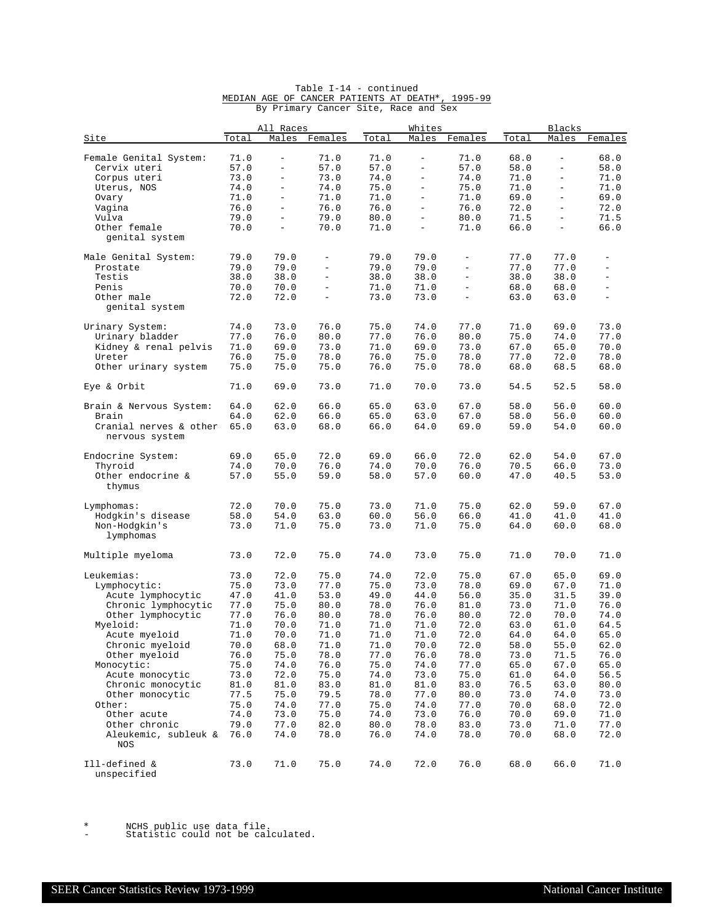|                                          |       | All Races                |                          |       | Whites                   |                          |       | Blacks                   |                          |
|------------------------------------------|-------|--------------------------|--------------------------|-------|--------------------------|--------------------------|-------|--------------------------|--------------------------|
| Site                                     | Total | Males                    | Females                  | Total | Males                    | Females                  | Total | Males                    | Females                  |
| Female Genital System:                   | 71.0  | $\overline{\phantom{a}}$ | 71.0                     | 71.0  | $\overline{\phantom{a}}$ | 71.0                     | 68.0  | $\overline{\phantom{0}}$ | 68.0                     |
| Cervix uteri                             | 57.0  | $\equiv$                 | 57.0                     | 57.0  | $\equiv$                 | 57.0                     | 58.0  | $\equiv$                 | 58.0                     |
| Corpus uteri                             | 73.0  | $\overline{\phantom{a}}$ | 73.0                     | 74.0  | $\overline{\phantom{a}}$ | 74.0                     | 71.0  | $\overline{\phantom{0}}$ | 71.0                     |
| Uterus, NOS                              | 74.0  | $\overline{\phantom{a}}$ | 74.0                     | 75.0  | $\equiv$                 | 75.0                     | 71.0  | $\overline{\phantom{a}}$ | 71.0                     |
| Ovary                                    | 71.0  | $\overline{\phantom{a}}$ | 71.0                     | 71.0  | $\overline{\phantom{a}}$ | 71.0                     | 69.0  | $\overline{\phantom{0}}$ | 69.0                     |
| Vagina                                   | 76.0  | $\overline{\phantom{0}}$ | 76.0                     | 76.0  | $\equiv$                 | 76.0                     | 72.0  | $\equiv$                 | 72.0                     |
| Vulva                                    | 79.0  | $\overline{\phantom{0}}$ | 79.0                     | 80.0  | $\equiv$                 | 80.0                     | 71.5  | $\overline{\phantom{0}}$ | 71.5                     |
| Other female<br>genital system           | 70.0  | $\overline{\phantom{0}}$ | 70.0                     | 71.0  | $\overline{\phantom{a}}$ | 71.0                     | 66.0  | $\overline{\phantom{a}}$ | 66.0                     |
| Male Genital System:                     | 79.0  | 79.0                     | $\overline{\phantom{a}}$ | 79.0  | 79.0                     | $\overline{\phantom{a}}$ | 77.0  | 77.0                     | $\qquad \qquad -$        |
| Prostate                                 | 79.0  | 79.0                     | $\qquad \qquad -$        | 79.0  | 79.0                     | $\equiv$                 | 77.0  | 77.0                     | $\qquad \qquad -$        |
| Testis                                   | 38.0  | 38.0                     | $\overline{\phantom{a}}$ | 38.0  | 38.0                     | $\bar{\phantom{a}}$      | 38.0  | 38.0                     | $\overline{\phantom{0}}$ |
| Penis                                    | 70.0  | 70.0                     | $\overline{\phantom{a}}$ | 71.0  | 71.0                     | $\overline{a}$           | 68.0  | 68.0                     | $\equiv$                 |
| Other male<br>genital system             | 72.0  | 72.0                     | $\overline{\phantom{m}}$ | 73.0  | 73.0                     | $\equiv$                 | 63.0  | 63.0                     | $\equiv$                 |
| Urinary System:                          | 74.0  | 73.0                     | 76.0                     | 75.0  | 74.0                     | 77.0                     | 71.0  | 69.0                     | 73.0                     |
| Urinary bladder                          | 77.0  | 76.0                     | 80.0                     | 77.0  | 76.0                     | 80.0                     | 75.0  | 74.0                     | 77.0                     |
| Kidney & renal pelvis                    | 71.0  | 69.0                     | 73.0                     | 71.0  | 69.0                     | 73.0                     | 67.0  | 65.0                     | 70.0                     |
| Ureter                                   | 76.0  | 75.0                     | 78.0                     | 76.0  | 75.0                     | 78.0                     | 77.0  | 72.0                     | 78.0                     |
| Other urinary system                     | 75.0  | 75.0                     | 75.0                     | 76.0  | 75.0                     | 78.0                     | 68.0  | 68.5                     | 68.0                     |
| Eye & Orbit                              | 71.0  | 69.0                     | 73.0                     | 71.0  | 70.0                     | 73.0                     | 54.5  | 52.5                     | 58.0                     |
| Brain & Nervous System:                  | 64.0  | 62.0                     | 66.0                     | 65.0  | 63.0                     | 67.0                     | 58.0  | 56.0                     | 60.0                     |
| Brain                                    | 64.0  | 62.0                     | 66.0                     | 65.0  | 63.0                     | 67.0                     | 58.0  | 56.0                     | 60.0                     |
| Cranial nerves & other<br>nervous system | 65.0  | 63.0                     | 68.0                     | 66.0  | 64.0                     | 69.0                     | 59.0  | 54.0                     | 60.0                     |
| Endocrine System:                        | 69.0  | 65.0                     | 72.0                     | 69.0  | 66.0                     | 72.0                     | 62.0  | 54.0                     | 67.0                     |
| Thyroid                                  | 74.0  | 70.0                     | 76.0                     | 74.0  | 70.0                     | 76.0                     | 70.5  | 66.0                     | 73.0                     |
| Other endocrine &<br>thymus              | 57.0  | 55.0                     | 59.0                     | 58.0  | 57.0                     | 60.0                     | 47.0  | 40.5                     | 53.0                     |
| Lymphomas:                               | 72.0  | 70.0                     | 75.0                     | 73.0  | 71.0                     | 75.0                     | 62.0  | 59.0                     | 67.0                     |
| Hodgkin's disease                        | 58.0  | 54.0                     | 63.0                     | 60.0  | 56.0                     | 66.0                     | 41.0  | 41.0                     | 41.0                     |
| Non-Hodgkin's<br>lymphomas               | 73.0  | 71.0                     | 75.0                     | 73.0  | 71.0                     | 75.0                     | 64.0  | 60.0                     | 68.0                     |
| Multiple myeloma                         | 73.0  | 72.0                     | 75.0                     | 74.0  | 73.0                     | 75.0                     | 71.0  | 70.0                     | 71.0                     |
| Leukemias:                               | 73.0  | 72.0                     | 75.0                     | 74.0  | 72.0                     | 75.0                     | 67.0  | 65.0                     | 69.0                     |
| Lymphocytic:                             | 75.0  | 73.0                     | 77.0                     | 75.0  | 73.0                     | 78.0                     | 69.0  | 67.0                     | 71.0                     |
| Acute lymphocytic                        | 47.0  | 41.0                     | 53.0                     | 49.0  | 44.0                     | 56.0                     | 35.0  | 31.5                     | 39.0                     |
| Chronic lymphocytic                      | 77.0  | 75.0                     | 80.0                     | 78.0  | 76.0                     | 81.0                     | 73.0  | 71.0                     | 76.0                     |
| Other lymphocytic                        | 77.0  | 76.0                     | 80.0                     | 78.0  | 76.0                     | 80.0                     | 72.0  | 70.0                     | 74.0                     |
| Myeloid:                                 | 71.0  | 70.0                     | 71.0                     | 71.0  | 71.0                     | 72.0                     | 63.0  | 61.0                     | 64.5                     |
| Acute myeloid                            | 71.0  | 70.0                     | 71.0                     | 71.0  | 71.0                     | 72.0                     | 64.0  | 64.0                     | 65.0                     |
| Chronic myeloid                          | 70.0  | 68.0                     | 71.0                     | 71.0  | 70.0                     | 72.0                     | 58.0  | 55.0                     | 62.0                     |
| Other myeloid                            | 76.0  | 75.0                     | 78.0                     | 77.0  | 76.0                     | 78.0                     | 73.0  | 71.5                     | 76.0                     |
| Monocytic:                               | 75.0  | 74.0                     | 76.0                     | 75.0  | 74.0                     | 77.0                     | 65.0  | 67.0                     | 65.0                     |
| Acute monocytic                          | 73.0  | 72.0                     | 75.0                     | 74.0  | 73.0                     | 75.0                     | 61.0  | 64.0                     | 56.5                     |
| Chronic monocytic                        | 81.0  | 81.0                     | 83.0                     | 81.0  | 81.0                     | 83.0                     | 76.5  | 63.0                     | 80.0                     |
| Other monocytic                          | 77.5  | 75.0                     | 79.5                     | 78.0  | 77.0                     | 80.0                     | 73.0  | 74.0                     | 73.0                     |
| Other:                                   | 75.0  | 74.0                     | 77.0                     | 75.0  | 74.0                     | 77.0                     | 70.0  | 68.0                     | 72.0                     |
| Other acute                              | 74.0  | 73.0                     | 75.0                     | 74.0  | 73.0                     | 76.0                     | 70.0  | 69.0                     | 71.0                     |
| Other chronic                            | 79.0  | 77.0                     | 82.0                     | 80.0  | 78.0                     | 83.0                     | 73.0  | 71.0                     | 77.0                     |
| Aleukemic, subleuk &<br>NOS              | 76.0  | 74.0                     | 78.0                     | 76.0  | 74.0                     | 78.0                     | 70.0  | 68.0                     | 72.0                     |
| Ill-defined &<br>unspecified             | 73.0  | 71.0                     | 75.0                     | 74.0  | 72.0                     | 76.0                     | 68.0  | 66.0                     | 71.0                     |

## Table I-14 - continued MEDIAN AGE OF CANCER PATIENTS AT DEATH\*, 1995-99 By Primary Cancer Site, Race and Sex

\* NCHS public use data file. - Statistic could not be calculated.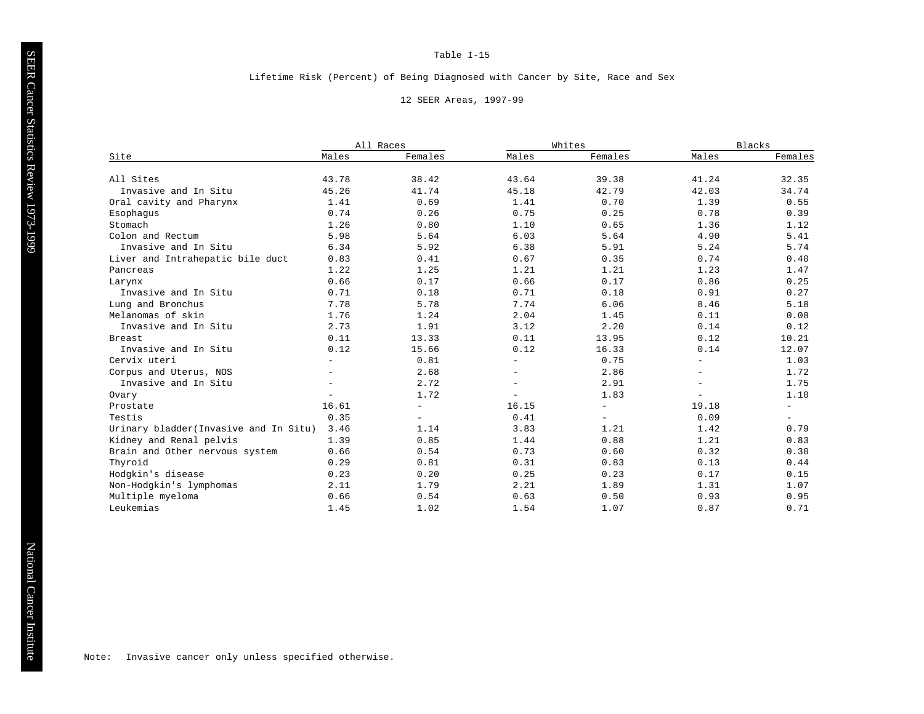#### Table I-15

#### Lifetime Risk (Percent) of Being Diagnosed with Cancer by Site, Race and Sex

#### 12 SEER Areas, 1997-99

|                                       |          | All Races                |                          | Whites                   | <b>Blacks</b>            |                          |  |
|---------------------------------------|----------|--------------------------|--------------------------|--------------------------|--------------------------|--------------------------|--|
| Site                                  | Males    | Females                  | Males                    | Females                  | Males                    | Females                  |  |
|                                       |          |                          |                          |                          |                          |                          |  |
| All Sites                             | 43.78    | 38.42                    | 43.64                    | 39.38                    | 41.24                    | 32.35                    |  |
| Invasive and In Situ                  | 45.26    | 41.74                    | 45.18                    | 42.79                    | 42.03                    | 34.74                    |  |
| Oral cavity and Pharynx               | 1.41     | 0.69                     | 1.41                     | 0.70                     | 1.39                     | 0.55                     |  |
| Esophagus                             | 0.74     | 0.26                     | 0.75                     | 0.25                     | 0.78                     | 0.39                     |  |
| Stomach                               | 1.26     | 0.80                     | 1.10                     | 0.65                     | 1.36                     | 1.12                     |  |
| Colon and Rectum                      | 5.98     | 5.64                     | 6.03                     | 5.64                     | 4.90                     | 5.41                     |  |
| Invasive and In Situ                  | 6.34     | 5.92                     | 6.38                     | 5.91                     | 5.24                     | 5.74                     |  |
| Liver and Intrahepatic bile duct      | 0.83     | 0.41                     | 0.67                     | 0.35                     | 0.74                     | 0.40                     |  |
| Pancreas                              | 1.22     | 1.25                     | 1.21                     | 1.21                     | 1.23                     | 1.47                     |  |
| Larynx                                | 0.66     | 0.17                     | 0.66                     | 0.17                     | 0.86                     | 0.25                     |  |
| Invasive and In Situ                  | 0.71     | 0.18                     | 0.71                     | 0.18                     | 0.91                     | 0.27                     |  |
| Lung and Bronchus                     | 7.78     | 5.78                     | 7.74                     | 6.06                     | 8.46                     | 5.18                     |  |
| Melanomas of skin                     | 1.76     | 1.24                     | 2.04                     | 1.45                     | 0.11                     | 0.08                     |  |
| Invasive and In Situ                  | 2.73     | 1.91                     | 3.12                     | 2.20                     | 0.14                     | 0.12                     |  |
| <b>Breast</b>                         | 0.11     | 13.33                    | 0.11                     | 13.95                    | 0.12                     | 10.21                    |  |
| Invasive and In Situ                  | 0.12     | 15.66                    | 0.12                     | 16.33                    | 0.14                     | 12.07                    |  |
| Cervix uteri                          |          | 0.81                     | $\overline{\phantom{m}}$ | 0.75                     | $\overline{\phantom{m}}$ | 1.03                     |  |
| Corpus and Uterus, NOS                | $\equiv$ | 2.68                     | $\overline{\phantom{m}}$ | 2.86                     | $\equiv$                 | 1.72                     |  |
| Invasive and In Situ                  |          | 2.72                     |                          | 2.91                     | $\equiv$                 | 1.75                     |  |
| Ovary                                 |          | 1.72                     |                          | 1.83                     |                          | 1.10                     |  |
| Prostate                              | 16.61    | $\overline{\phantom{m}}$ | 16.15                    | $\overline{\phantom{a}}$ | 19.18                    | $\overline{\phantom{a}}$ |  |
| Testis                                | 0.35     | $\overline{\phantom{m}}$ | 0.41                     | $\overline{\phantom{a}}$ | 0.09                     | $\overline{\phantom{a}}$ |  |
| Urinary bladder(Invasive and In Situ) | 3.46     | 1.14                     | 3.83                     | 1.21                     | 1.42                     | 0.79                     |  |
| Kidney and Renal pelvis               | 1.39     | 0.85                     | 1.44                     | 0.88                     | 1.21                     | 0.83                     |  |
| Brain and Other nervous system        | 0.66     | 0.54                     | 0.73                     | 0.60                     | 0.32                     | 0.30                     |  |
| Thyroid                               | 0.29     | 0.81                     | 0.31                     | 0.83                     | 0.13                     | 0.44                     |  |
| Hodgkin's disease                     | 0.23     | 0.20                     | 0.25                     | 0.23                     | 0.17                     | 0.15                     |  |
| Non-Hodgkin's lymphomas               | 2.11     | 1.79                     | 2.21                     | 1.89                     | 1.31                     | 1.07                     |  |
| Multiple myeloma                      | 0.66     | 0.54                     | 0.63                     | 0.50                     | 0.93                     | 0.95                     |  |
| Leukemias                             | 1.45     | 1.02                     | 1.54                     | 1.07                     | 0.87                     | 0.71                     |  |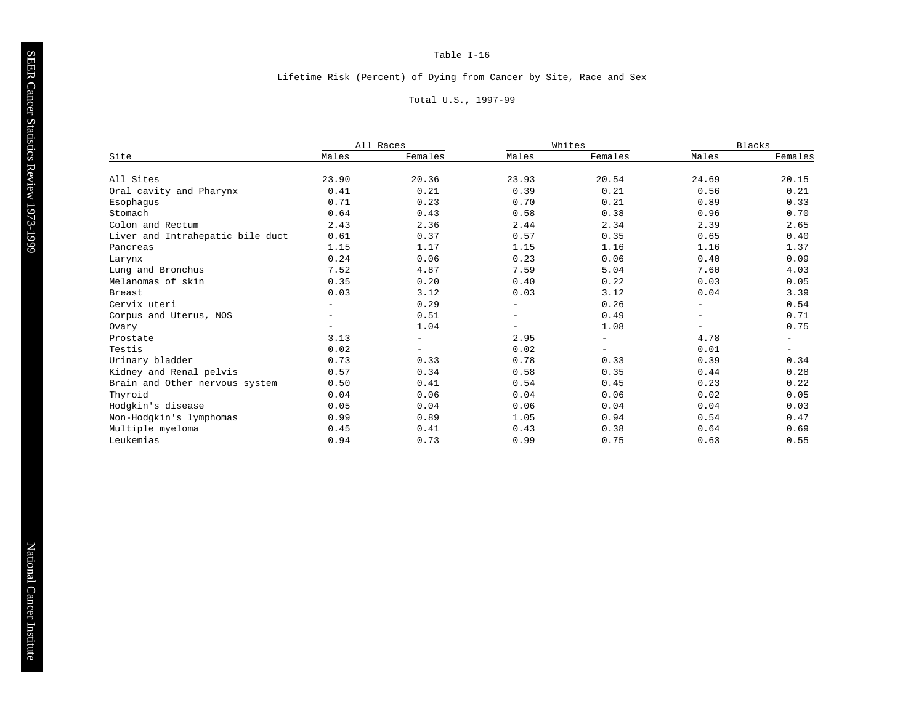#### Table I-16

#### Lifetime Risk (Percent) of Dying from Cancer by Site, Race and Sex

#### Total U.S., 1997-99

|                                  |          | All Races                |                          | Whites                   |                          | Blacks                   |
|----------------------------------|----------|--------------------------|--------------------------|--------------------------|--------------------------|--------------------------|
| Site                             | Males    | Females                  | Males                    | Females                  | Males                    | Females                  |
| All Sites                        | 23.90    | 20.36                    | 23.93                    | 20.54                    | 24.69                    | 20.15                    |
| Oral cavity and Pharynx          | 0.41     | 0.21                     | 0.39                     | 0.21                     | 0.56                     | 0.21                     |
| Esophagus                        | 0.71     | 0.23                     | 0.70                     | 0.21                     | 0.89                     | 0.33                     |
| Stomach                          | 0.64     | 0.43                     | 0.58                     | 0.38                     | 0.96                     | 0.70                     |
| Colon and Rectum                 | 2.43     | 2.36                     | 2.44                     | 2.34                     | 2.39                     | 2.65                     |
| Liver and Intrahepatic bile duct | 0.61     | 0.37                     | 0.57                     | 0.35                     | 0.65                     | 0.40                     |
| Pancreas                         | 1.15     | 1.17                     | 1.15                     | 1.16                     | 1.16                     | 1.37                     |
| Larynx                           | 0.24     | 0.06                     | 0.23                     | 0.06                     | 0.40                     | 0.09                     |
| Lung and Bronchus                | 7.52     | 4.87                     | 7.59                     | 5.04                     | 7.60                     | 4.03                     |
| Melanomas of skin                | 0.35     | 0.20                     | 0.40                     | 0.22                     | 0.03                     | 0.05                     |
| <b>Breast</b>                    | 0.03     | 3.12                     | 0.03                     | 3.12                     | 0.04                     | 3.39                     |
| Cervix uteri                     | $\equiv$ | 0.29                     | $\overline{\phantom{a}}$ | 0.26                     | $\overline{\phantom{a}}$ | 0.54                     |
| Corpus and Uterus, NOS           |          | 0.51                     | $\overline{\phantom{a}}$ | 0.49                     | $\overline{\phantom{a}}$ | 0.71                     |
| Ovary                            |          | 1.04                     | $\overline{\phantom{a}}$ | 1.08                     | $\overline{\phantom{a}}$ | 0.75                     |
| Prostate                         | 3.13     | $\overline{\phantom{0}}$ | 2.95                     | $\overline{\phantom{a}}$ | 4.78                     | $\qquad \qquad =$        |
| Testis                           | 0.02     | $\overline{\phantom{0}}$ | 0.02                     | $\overline{\phantom{a}}$ | 0.01                     | $\overline{\phantom{a}}$ |
| Urinary bladder                  | 0.73     | 0.33                     | 0.78                     | 0.33                     | 0.39                     | 0.34                     |
| Kidney and Renal pelvis          | 0.57     | 0.34                     | 0.58                     | 0.35                     | 0.44                     | 0.28                     |
| Brain and Other nervous system   | 0.50     | 0.41                     | 0.54                     | 0.45                     | 0.23                     | 0.22                     |
| Thyroid                          | 0.04     | 0.06                     | 0.04                     | 0.06                     | 0.02                     | 0.05                     |
| Hodgkin's disease                | 0.05     | 0.04                     | 0.06                     | 0.04                     | 0.04                     | 0.03                     |
| Non-Hodgkin's lymphomas          | 0.99     | 0.89                     | 1.05                     | 0.94                     | 0.54                     | 0.47                     |
| Multiple myeloma                 | 0.45     | 0.41                     | 0.43                     | 0.38                     | 0.64                     | 0.69                     |
| Leukemias                        | 0.94     | 0.73                     | 0.99                     | 0.75                     | 0.63                     | 0.55                     |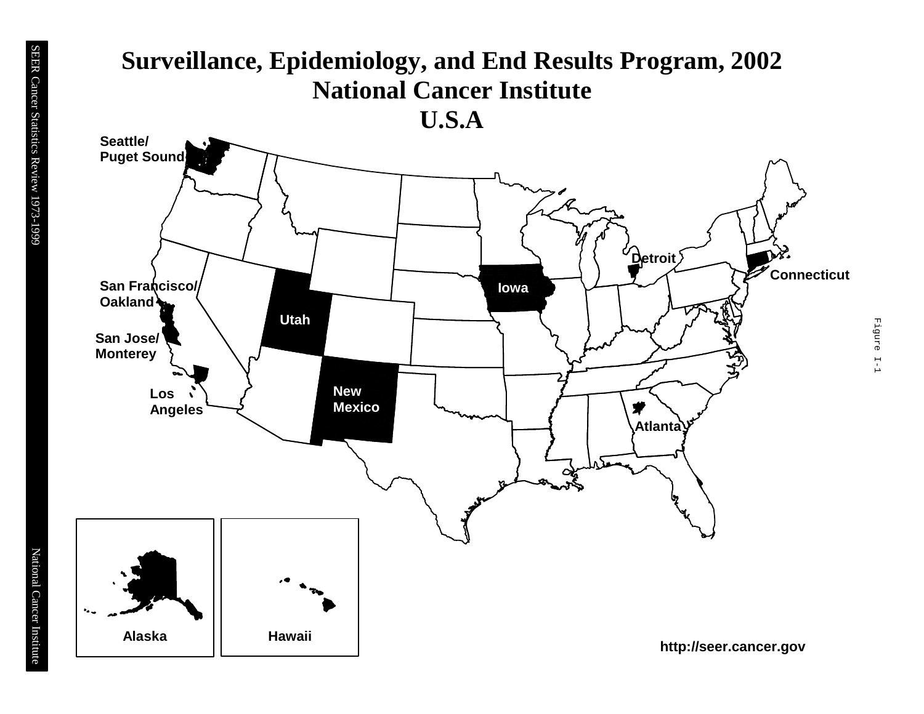

Figure Figure I-1  $\frac{1}{2}$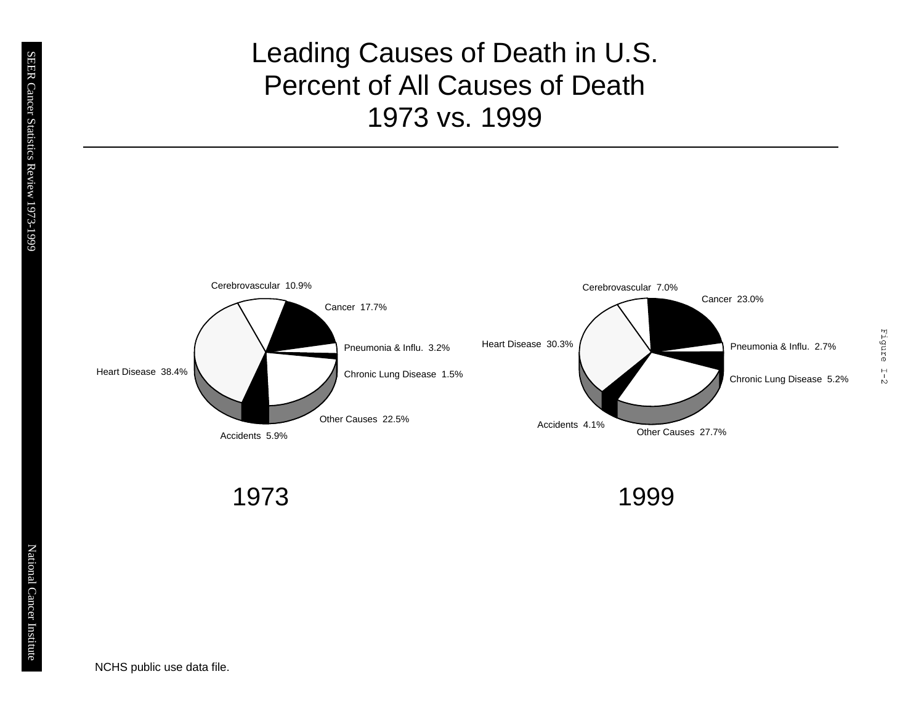# Leading Causes of Death in U.S.<br>Percent of All Causes of Death<br>1973-vs. 1999<br>Examples<br>Examples



1973 1999

NCHS public use data file.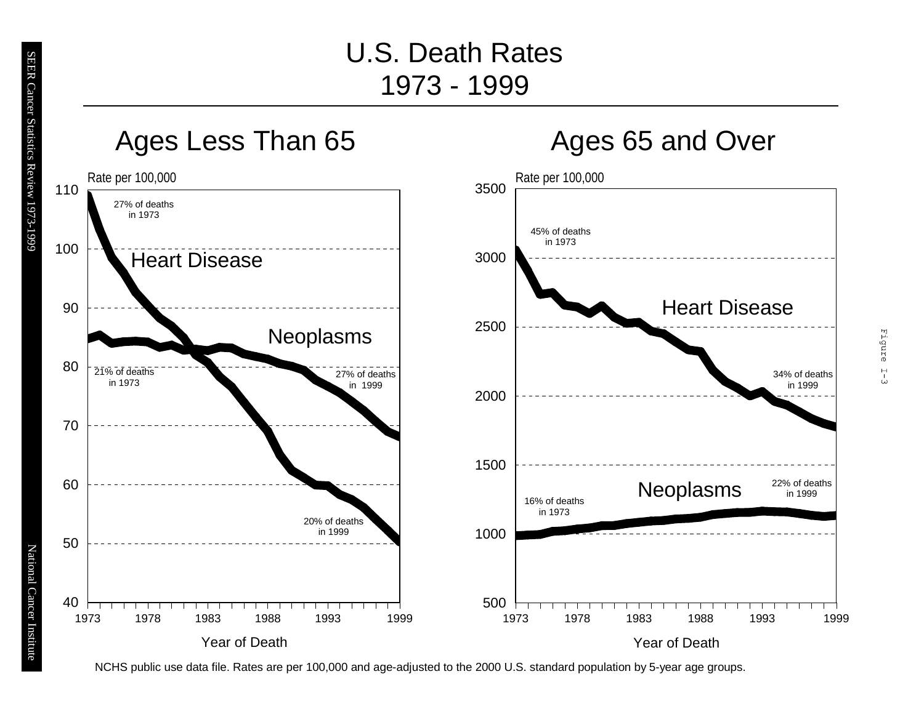$\frac{10}{2}$ <br>  $\frac{10}{2}$ <br>  $\frac{10}{2}$ <br>  $\frac{Rate per 100,000}{2}$ <br>  $\frac{Rate per 100,000}{2}$ <br>  $\frac{Rate per 100,000}{2}$ <br>  $\frac{Rate per 100,000}{2}$ <br>  $\frac{Rate per 100,000}{45% of deaths}$ 1973 1978 1983 1988 1993 1999Year of Death405060708090100110 Rate per 100,000 1973 1978 1983 1988 1993 1999Year of Death500100015002000250030003500 Rate per 100,000 27% of deathsin 1973Heart Disease 21% of deathsin 1973Neoplasms 27% of deaths in 199920% of deaths in 199945% of deathsin 1973Heart Disease34% of deaths 16% of deathsin 1973Neoplasms 22% of deaths Ages Less Than 65

NCHS public use data file. Rates are per 100,000 and age-adjusted to the 2000 U.S. standard population by 5-year age groups.

Eigure  $\frac{1}{2}$ 

in 1999

National Cancer Institute National Cancer Institute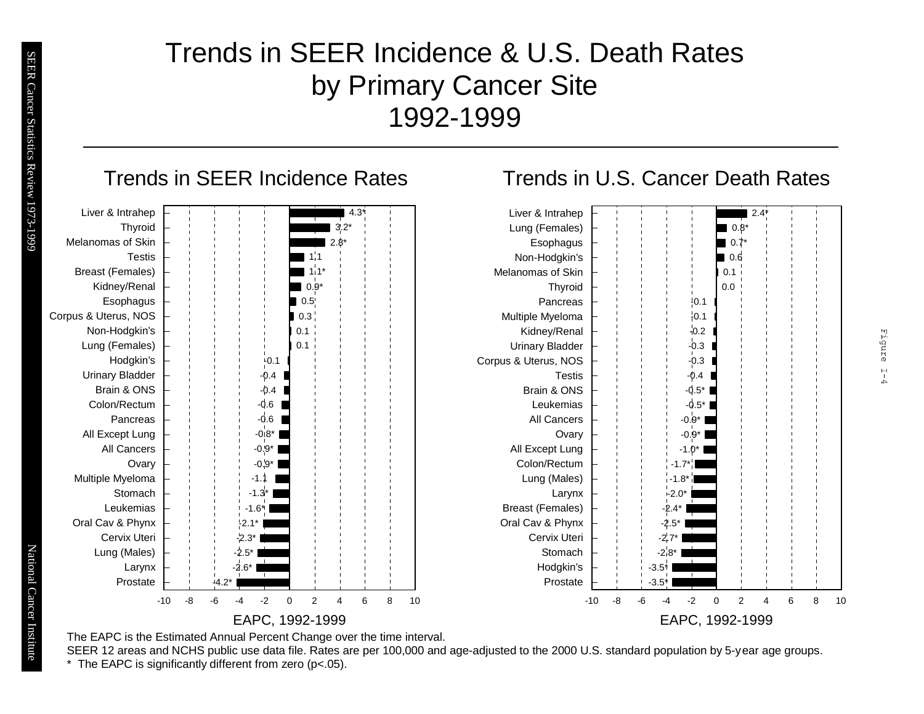

The EAPC is the Estimated Annual Percent Change over the time interval.

SEER 12 areas and NCHS public use data file. Rates are per 100,000 and age-adjusted to the 2000 U.S. standard population by 5-year age groups.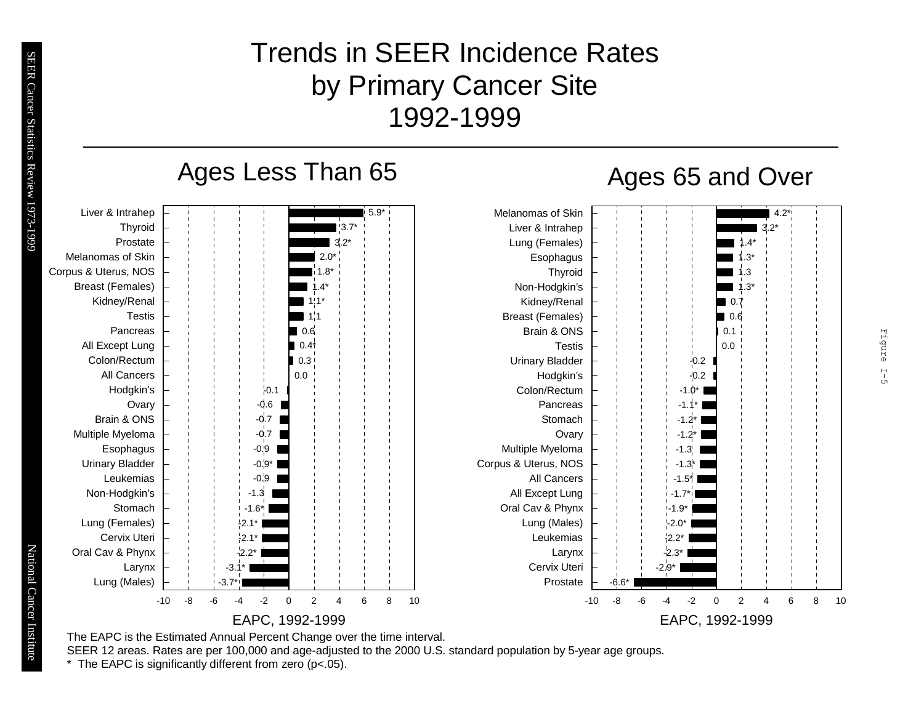

The EAPC is the Estimated Annual Percent Change over the time interval.

SEER 12 areas. Rates are per 100,000 and age-adjusted to the 2000 U.S. standard population by 5-year age groups.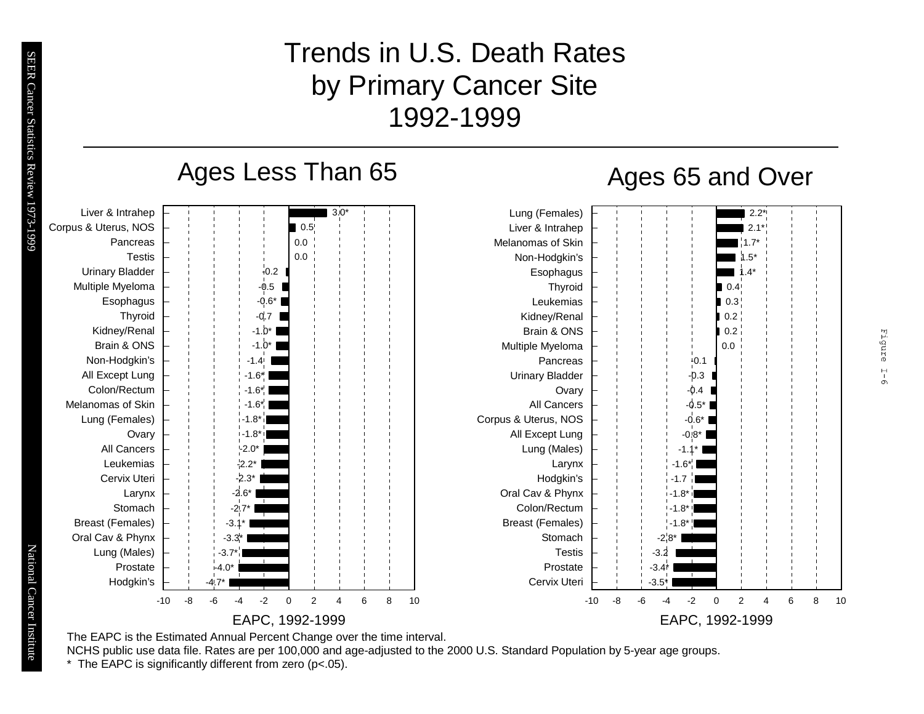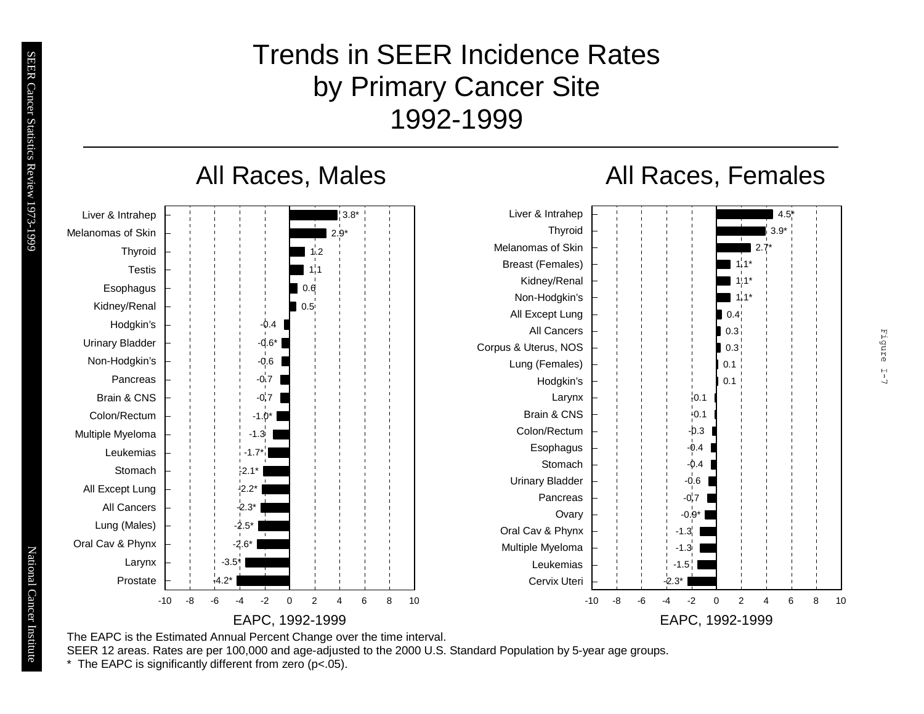

SEER 12 areas. Rates are per 100,000 and age-adjusted to the 2000 U.S. Standard Population by 5-year age groups.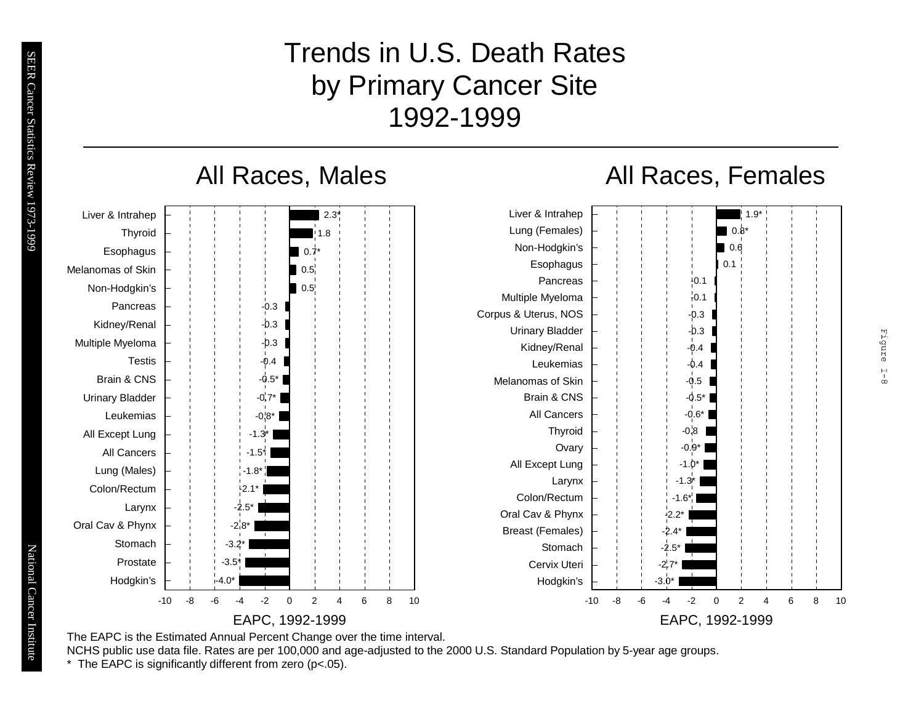

# All Races, Males **All Races**, Females

The EAPC is the Estimated Annual Percent Change over the time interval.

NCHS public use data file. Rates are per 100,000 and age-adjusted to the 2000 U.S. Standard Population by 5-year age groups.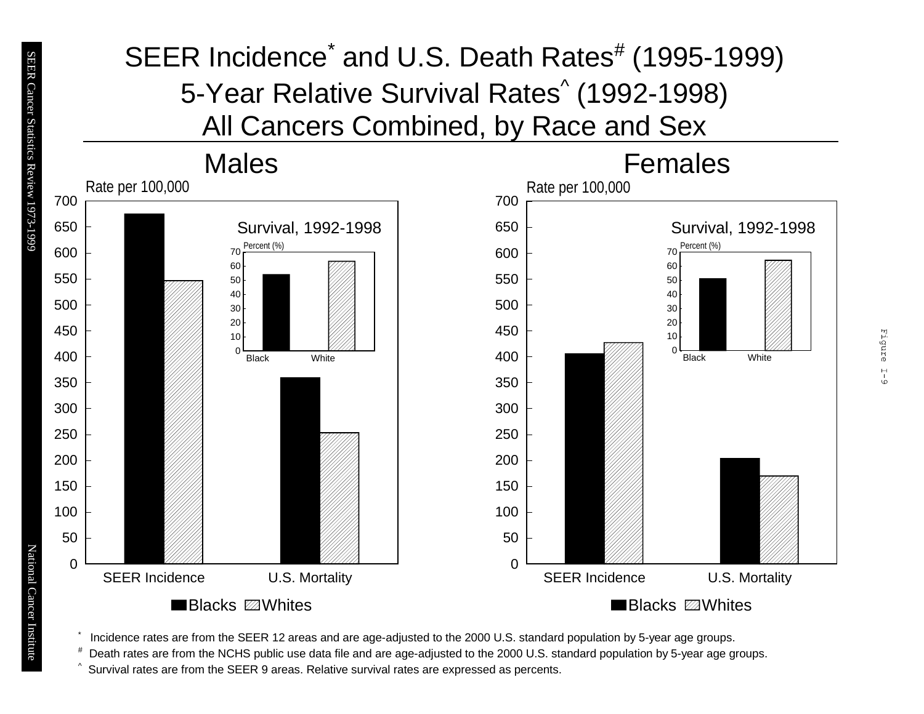

Eigure

National Cancer Institute National Cancer Institute

Incidence rates are from the SEER 12 areas and are age-adjusted to the 2000 U.S. standard population by 5-year age groups.

Death rates are from the NCHS public use data file and are age-adjusted to the 2000 U.S. standard population by 5-year age groups.

Survival rates are from the SEER 9 areas. Relative survival rates are expressed as percents.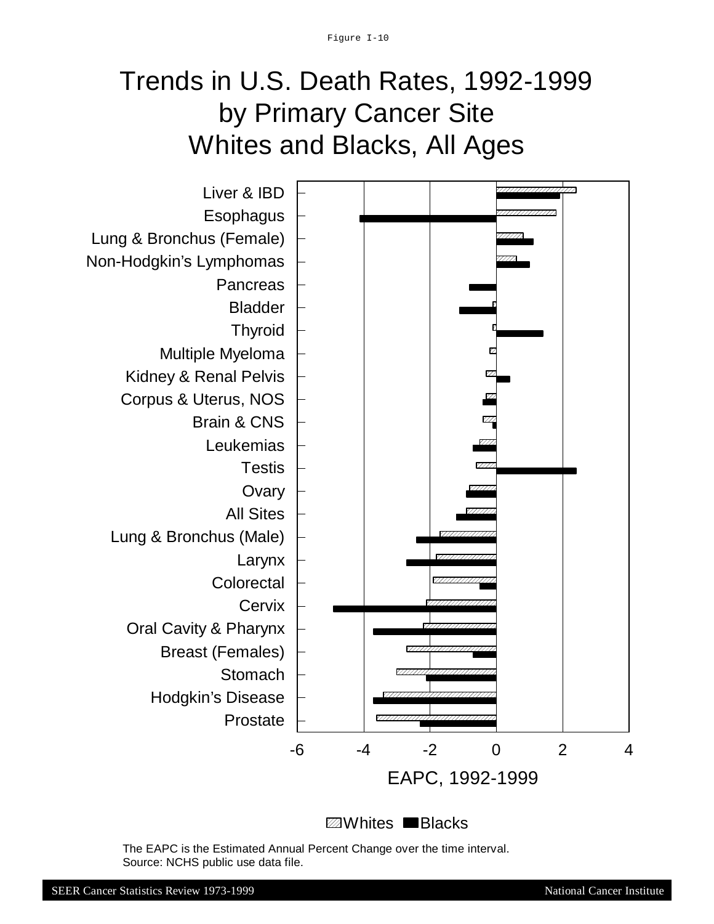# Trends in U.S. Death Rates, 1992-1999 by Primary Cancer Site Whites and Blacks, All Ages



*<del></u>* **■Blacks**</del>

The EAPC is the Estimated Annual Percent Change over the time interval. Source: NCHS public use data file.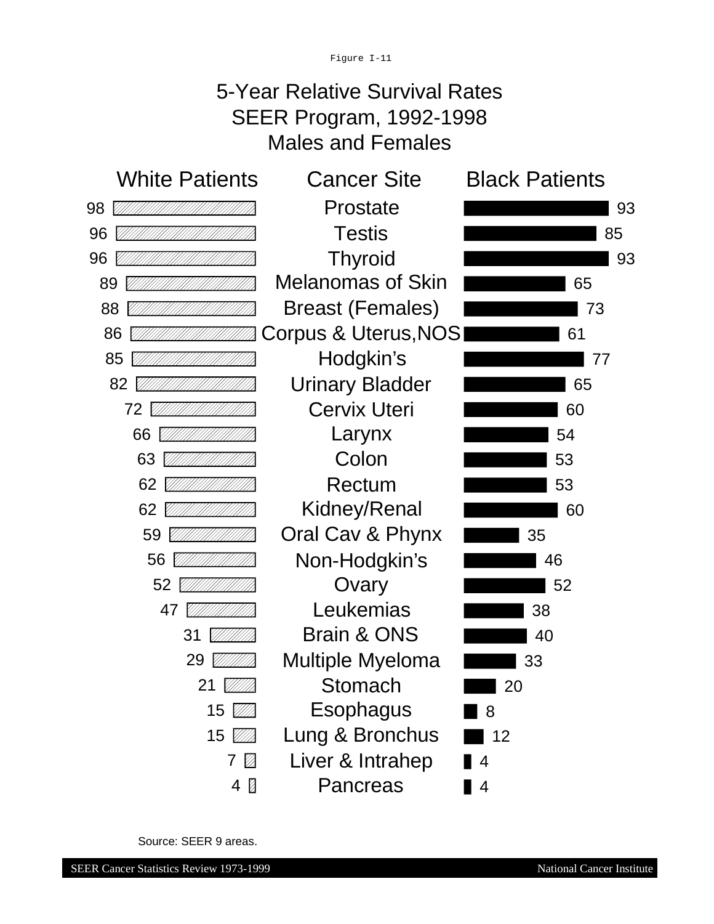Figure I-11

# 5-Year Relative Survival Rates SEER Program, 1992-1998 Males and Females



Source: SEER 9 areas.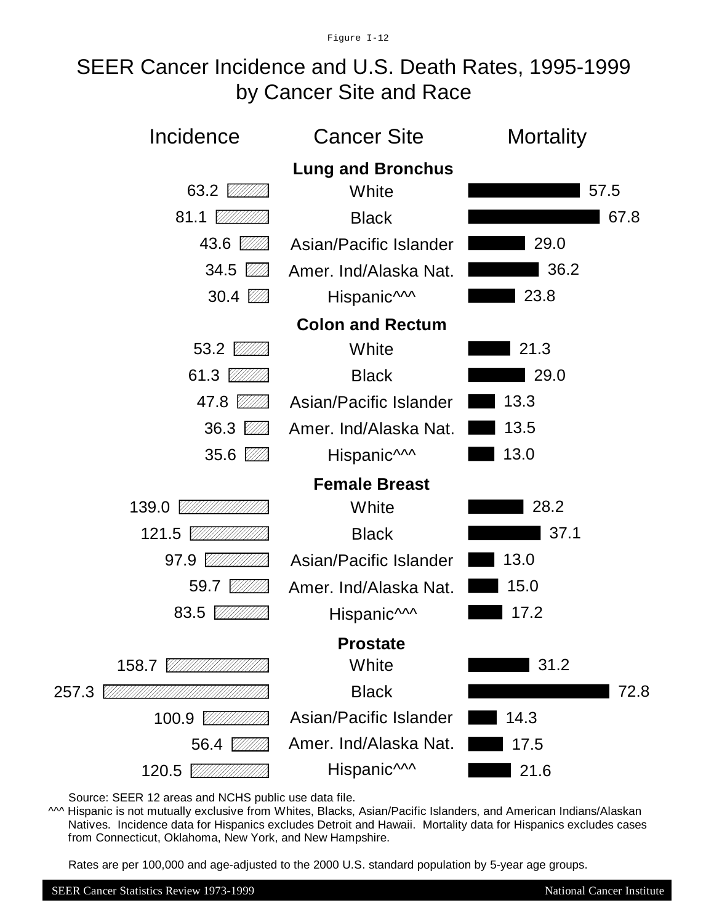Figure I-12

# SEER Cancer Incidence and U.S. Death Rates, 1995-1999 by Cancer Site and Race

| Incidence                    | <b>Cancer Site</b>       | <b>Mortality</b> |
|------------------------------|--------------------------|------------------|
|                              | <b>Lung and Bronchus</b> |                  |
| 63.2 WWW                     | White                    | 57.5             |
| 81.1 <i>William</i>          | <b>Black</b>             | 67.8             |
| $43.6$ $\mathbb{Z}$          | Asian/Pacific Islander   | 29.0             |
| $34.5$ $\mathbb{Z}$          | Amer. Ind/Alaska Nat.    | 36.2             |
| $30.4$ $\mathbb{Z}$          | Hispanic <sup>^^</sup>   | 23.8             |
| <b>Colon and Rectum</b>      |                          |                  |
| 53.2 WWW                     | White                    | 21.3             |
| 61.3 WWW                     | <b>Black</b>             | 29.0             |
| 47.8 WWA                     | Asian/Pacific Islander   | 13.3             |
| $36.3$ $\mathbb{Z}$          | Amer. Ind/Alaska Nat.    | 13.5             |
| $35.6$ $\mathbb{Z}$          | Hispanic <sup>NN</sup>   | 13.0             |
|                              | <b>Female Breast</b>     |                  |
| 139.0 <i>Willi</i>           | White                    | 28.2             |
| 121.5 <i>William William</i> | <b>Black</b>             | 37.1             |
| 97.9 <i>VIIIIIIIIIIIII</i>   | Asian/Pacific Islander   | 13.0             |
| 59.7 <i>WIIII</i> II         | Amer. Ind/Alaska Nat.    | 15.0             |
| 83.5 <i>William</i>          | Hispanic <sup>NN</sup>   | 17.2             |
|                              | <b>Prostate</b>          |                  |
| 158.7 <i>WA</i>              | White                    | 31.2             |
| 257.3<br>V//                 | <b>Black</b>             | 72.8             |
| 100.9<br><i>ШШШ</i>          | Asian/Pacific Islander   | 14.3             |
| 56.4 <i>WIIII</i> A          | Amer. Ind/Alaska Nat.    | 17.5             |
| 120.5<br><u> УШШШШШ</u>      | Hispanic <sup>NN</sup>   | 21.6             |

Source: SEER 12 areas and NCHS public use data file.

^^^ Hispanic is not mutually exclusive from Whites, Blacks, Asian/Pacific Islanders, and American Indians/Alaskan Natives. Incidence data for Hispanics excludes Detroit and Hawaii. Mortality data for Hispanics excludes cases from Connecticut, Oklahoma, New York, and New Hampshire.

Rates are per 100,000 and age-adjusted to the 2000 U.S. standard population by 5-year age groups.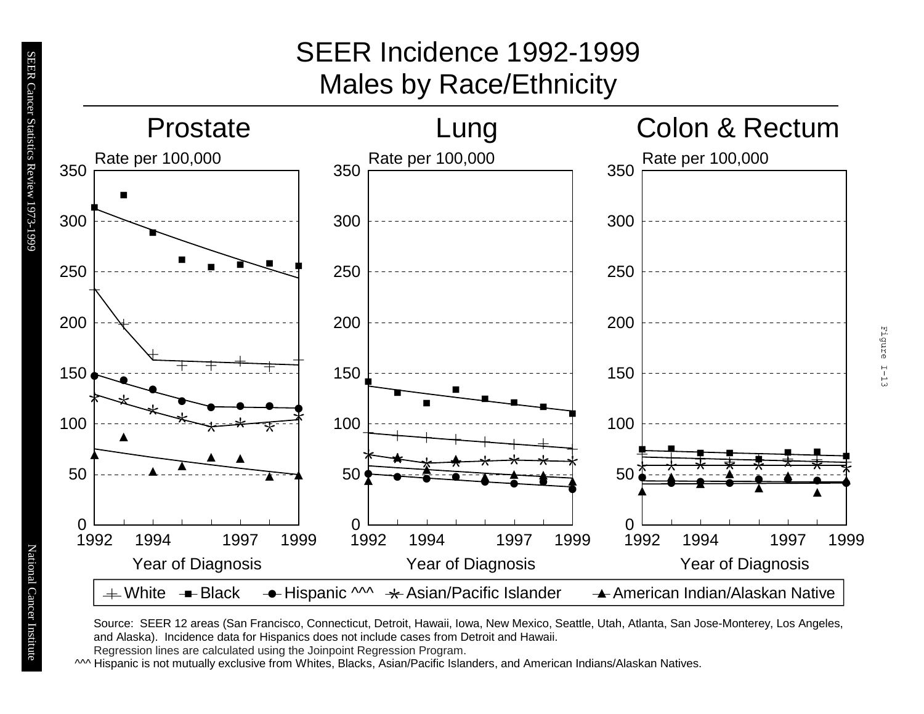# SEER Incidence 1992-1999 Males by Race/Ethnicity



 Source: SEER 12 areas (San Francisco, Connecticut, Detroit, Hawaii, Iowa, New Mexico, Seattle, Utah, Atlanta, San Jose-Monterey, Los Angeles, and Alaska). Incidence data for Hispanics does not include cases from Detroit and Hawaii. Regression lines are calculated using the Joinpoint Regression Program.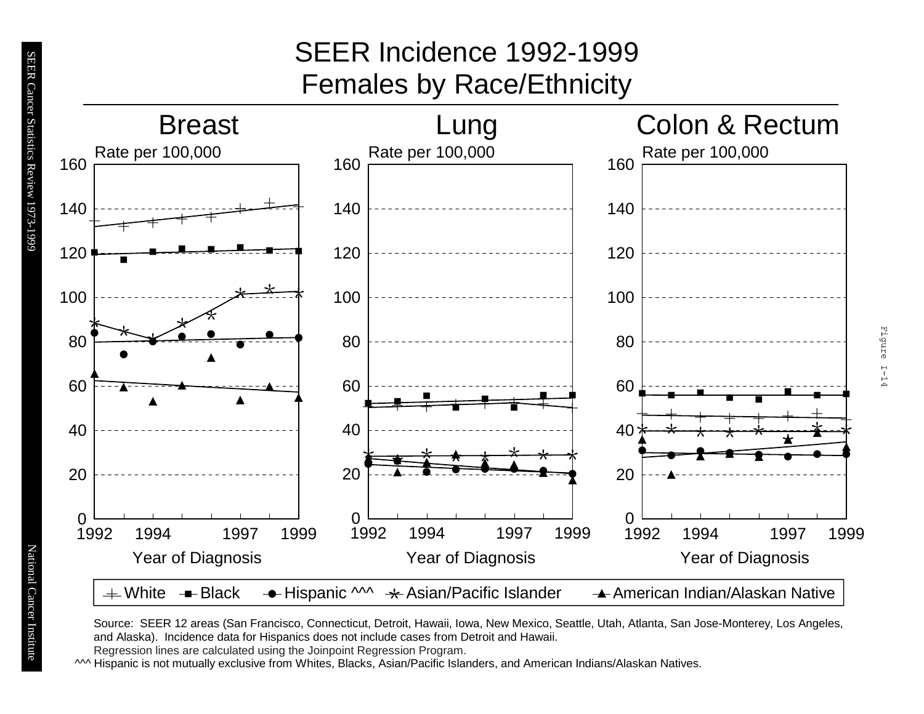

 Source: SEER 12 areas (San Francisco, Connecticut, Detroit, Hawaii, Iowa, New Mexico, Seattle, Utah, Atlanta, San Jose-Monterey, Los Angeles, and Alaska). Incidence data for Hispanics does not include cases from Detroit and Hawaii. Regression lines are calculated using the Joinpoint Regression Program.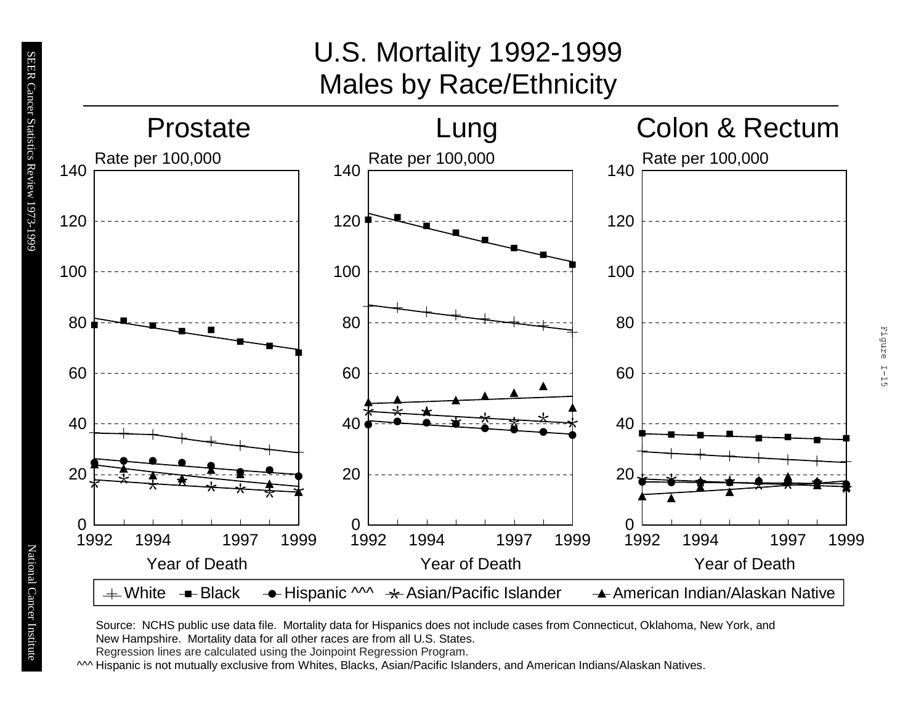# U.S. Mortality 1992-1999 Males by Race/Ethnicity



 Source: NCHS public use data file. Mortality data for Hispanics does not include cases from Connecticut, Oklahoma, New York, and New Hampshire. Mortality data for all other races are from all U.S. States. Regression lines are calculated using the Joinpoint Regression Program.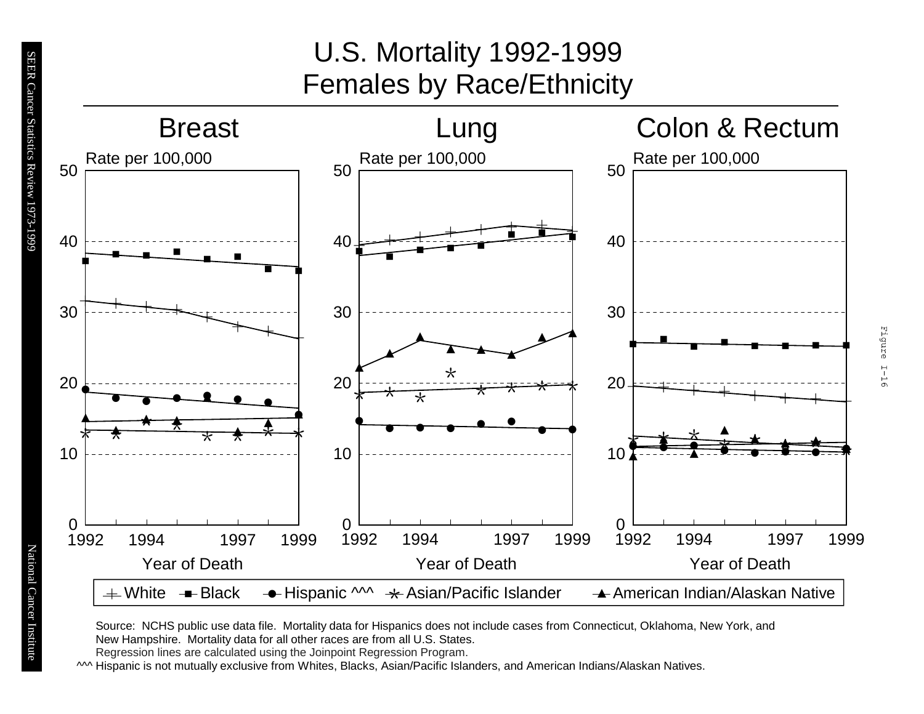# U.S. Mortality 1992-1999 Females by Race/Ethnicity



 Source: NCHS public use data file. Mortality data for Hispanics does not include cases from Connecticut, Oklahoma, New York, and New Hampshire. Mortality data for all other races are from all U.S. States.

Regression lines are calculated using the Joinpoint Regression Program.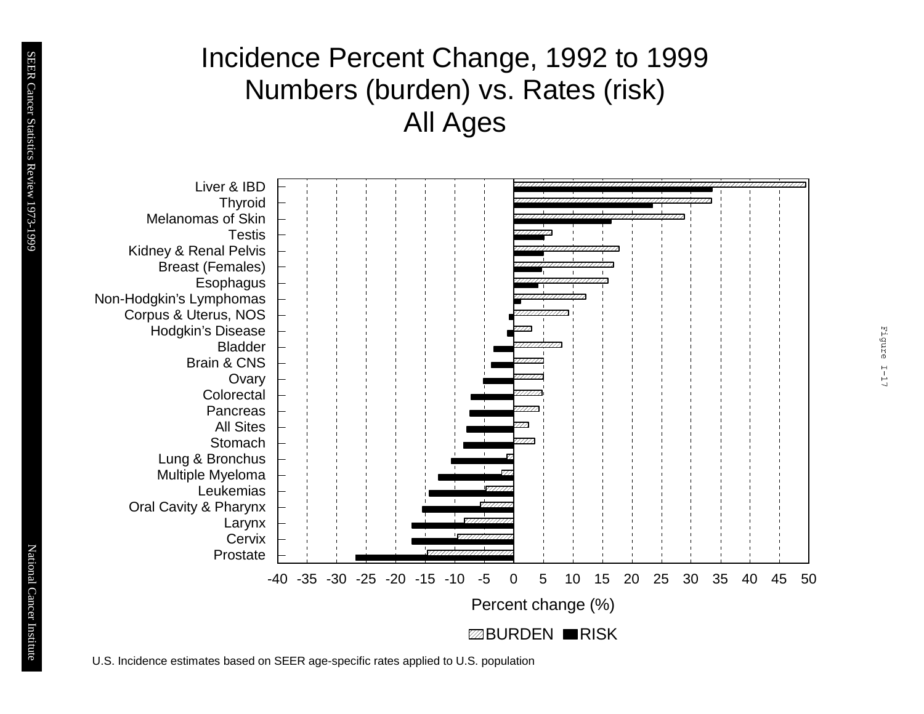# Incidence Percent Change, 1992 to 1999 Numbers (burden) vs. Rates (risk) All Ages

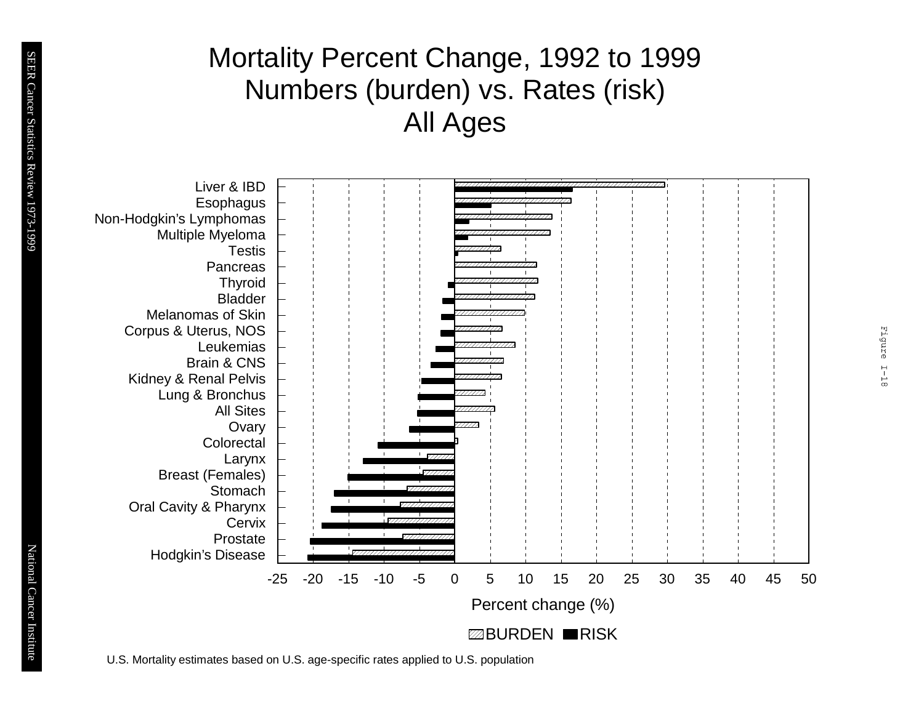# Mortality Percent Change, 1992 to 1999 Numbers (burden) vs. Rates (risk) All Ages

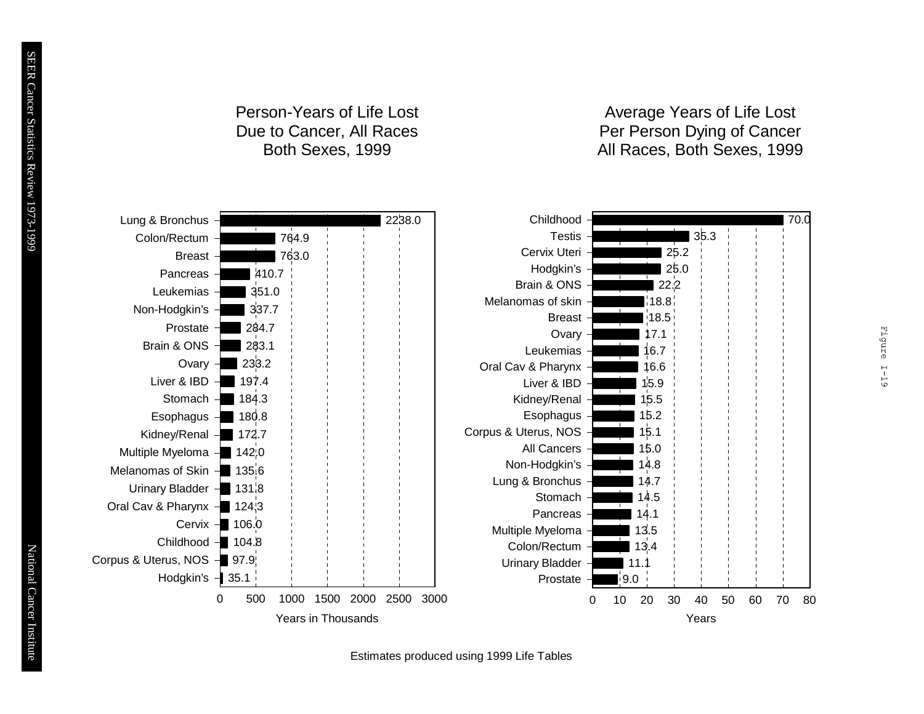## Person-Years of Life LostDue to Cancer, All Races Both Sexes, 1999

## Average Years of Life Lost Per Person Dying of Cancer All Races, Both Sexes, 1999